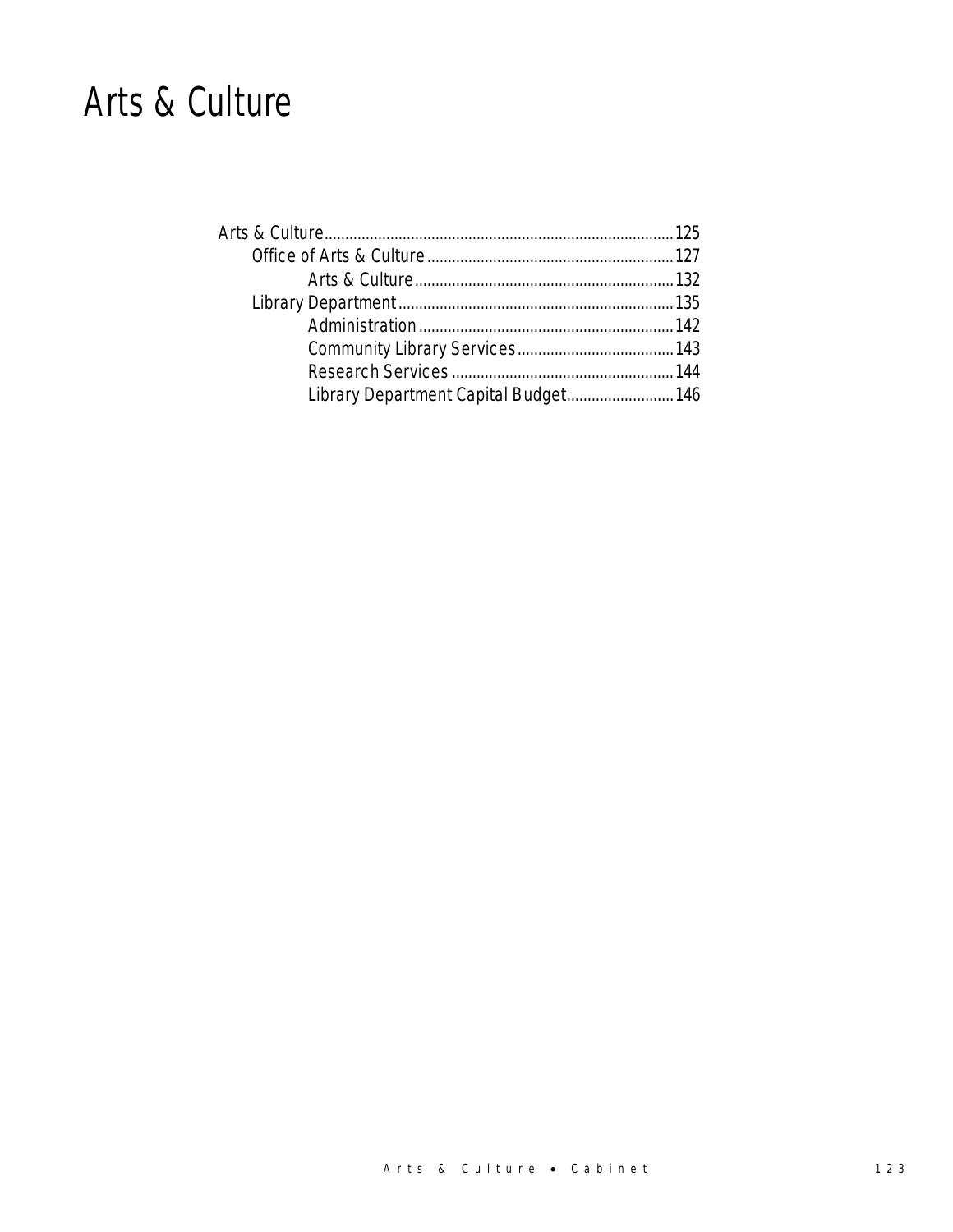### Arts & Culture

| Library Department Capital Budget 146 |  |
|---------------------------------------|--|
|                                       |  |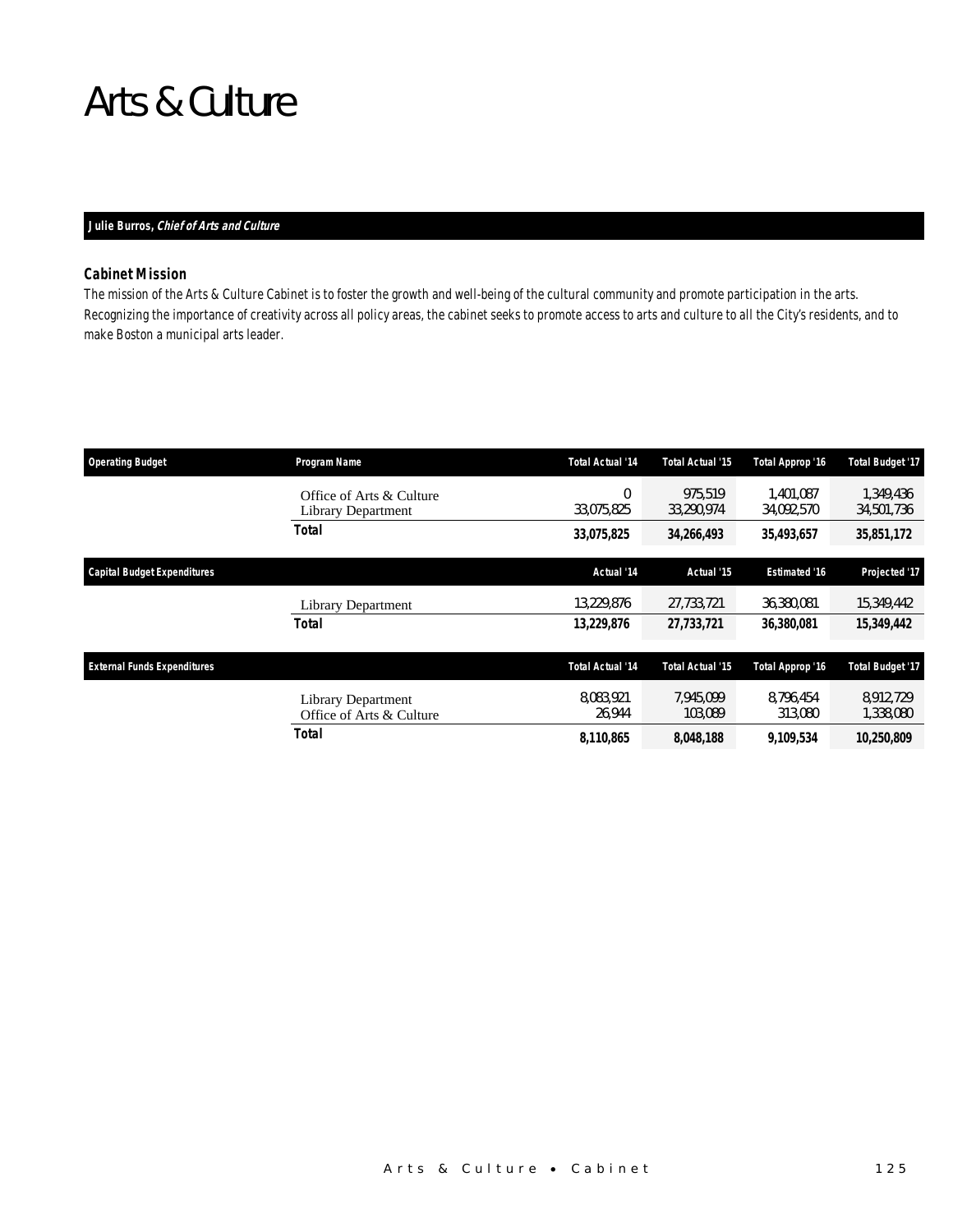### Arts & Culture

### *Julie Burros, Chief of Arts and Culture*

### *Cabinet Mission*

The mission of the Arts & Culture Cabinet is to foster the growth and well-being of the cultural community and promote participation in the arts. Recognizing the importance of creativity across all policy areas, the cabinet seeks to promote access to arts and culture to all the City's residents, and to make Boston a municipal arts leader.

| <b>Operating Budget</b>            | Program Name                                          | Total Actual '14    | <b>Total Actual '15</b> | Total Approp '16        | <b>Total Budget '17</b> |
|------------------------------------|-------------------------------------------------------|---------------------|-------------------------|-------------------------|-------------------------|
|                                    | Office of Arts & Culture<br><b>Library Department</b> | 0<br>33,075,825     | 975,519<br>33.290.974   | 1.401.087<br>34,092,570 | 1,349,436<br>34,501,736 |
|                                    | Total                                                 | 33,075,825          | 34,266,493              | 35,493,657              | 35,851,172              |
| <b>Capital Budget Expenditures</b> |                                                       | Actual '14          | Actual '15              | <b>Estimated '16</b>    | Projected '17           |
|                                    | Library Department                                    | 13,229,876          | 27,733,721              | 36.380.081              | 15,349,442              |
|                                    | <b>Total</b>                                          | 13,229,876          | 27,733,721              | 36,380,081              | 15,349,442              |
| <b>External Funds Expenditures</b> |                                                       | Total Actual '14    | <b>Total Actual '15</b> | Total Approp '16        | <b>Total Budget '17</b> |
|                                    | Library Department<br>Office of Arts & Culture        | 8.083.921<br>26,944 | 7.945.099<br>103.089    | 8.796.454<br>313,080    | 8.912.729<br>1,338,080  |
|                                    | Total                                                 | 8,110,865           | 8,048,188               | 9.109.534               | 10,250,809              |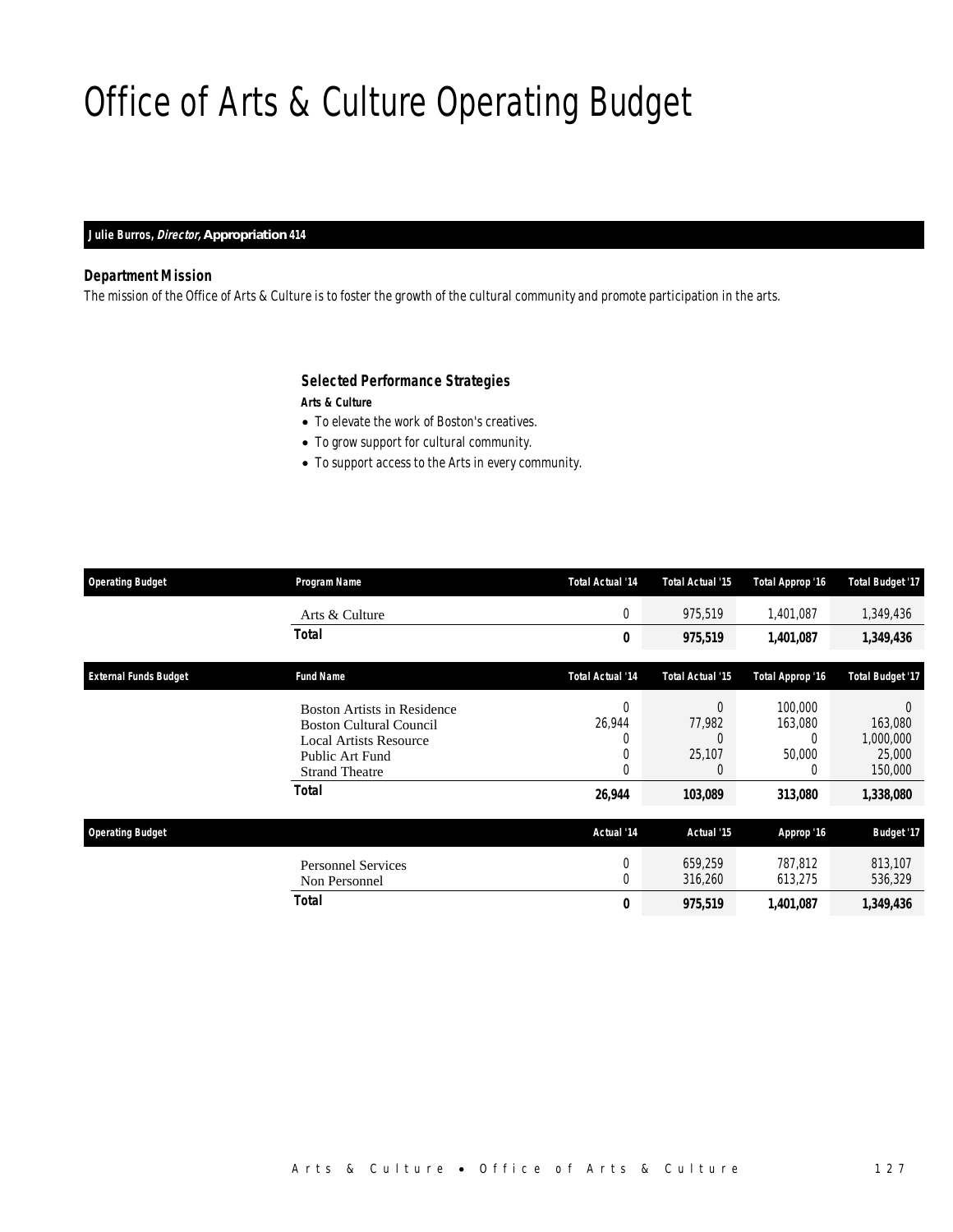## Office of Arts & Culture Operating Budget

### *Julie Burros, Director, Appropriation 414*

### *Department Mission*

The mission of the Office of Arts & Culture is to foster the growth of the cultural community and promote participation in the arts.

### *Selected Performance Strategies*

*Arts & Culture* 

- To elevate the work of Boston's creatives.
- To grow support for cultural community.
- To support access to the Arts in every community.

| <b>Operating Budget</b>      | Program Name                                                                                                                                               | <b>Total Actual '14</b>                | <b>Total Actual '15</b>                           | <b>Total Approp '16</b>                                  | <b>Total Budget '17</b>                                     |
|------------------------------|------------------------------------------------------------------------------------------------------------------------------------------------------------|----------------------------------------|---------------------------------------------------|----------------------------------------------------------|-------------------------------------------------------------|
|                              | Arts & Culture                                                                                                                                             | 0                                      | 975,519                                           | 1,401,087                                                | 1,349,436                                                   |
|                              | Total                                                                                                                                                      | 0                                      | 975,519                                           | 1,401,087                                                | 1,349,436                                                   |
| <b>External Funds Budget</b> | <b>Fund Name</b>                                                                                                                                           | Total Actual '14                       | <b>Total Actual '15</b>                           | Total Approp '16                                         | <b>Total Budget '17</b>                                     |
|                              | <b>Boston Artists in Residence</b><br><b>Boston Cultural Council</b><br><b>Local Artists Resource</b><br>Public Art Fund<br><b>Strand Theatre</b><br>Total | $\Omega$<br>26,944<br>0<br>0<br>26,944 | $\Omega$<br>77,982<br>C<br>25,107<br>C<br>103,089 | 100,000<br>163,080<br>$\Omega$<br>50,000<br>0<br>313,080 | 0<br>163,080<br>1,000,000<br>25,000<br>150,000<br>1,338,080 |
| <b>Operating Budget</b>      |                                                                                                                                                            | Actual '14                             | Actual '15                                        | Approp '16                                               | <b>Budget '17</b>                                           |
|                              | <b>Personnel Services</b><br>Non Personnel                                                                                                                 | 0<br>$\Omega$                          | 659,259<br>316,260                                | 787.812<br>613,275                                       | 813,107<br>536,329                                          |
|                              | Total                                                                                                                                                      | 0                                      | 975,519                                           | 1,401,087                                                | 1,349,436                                                   |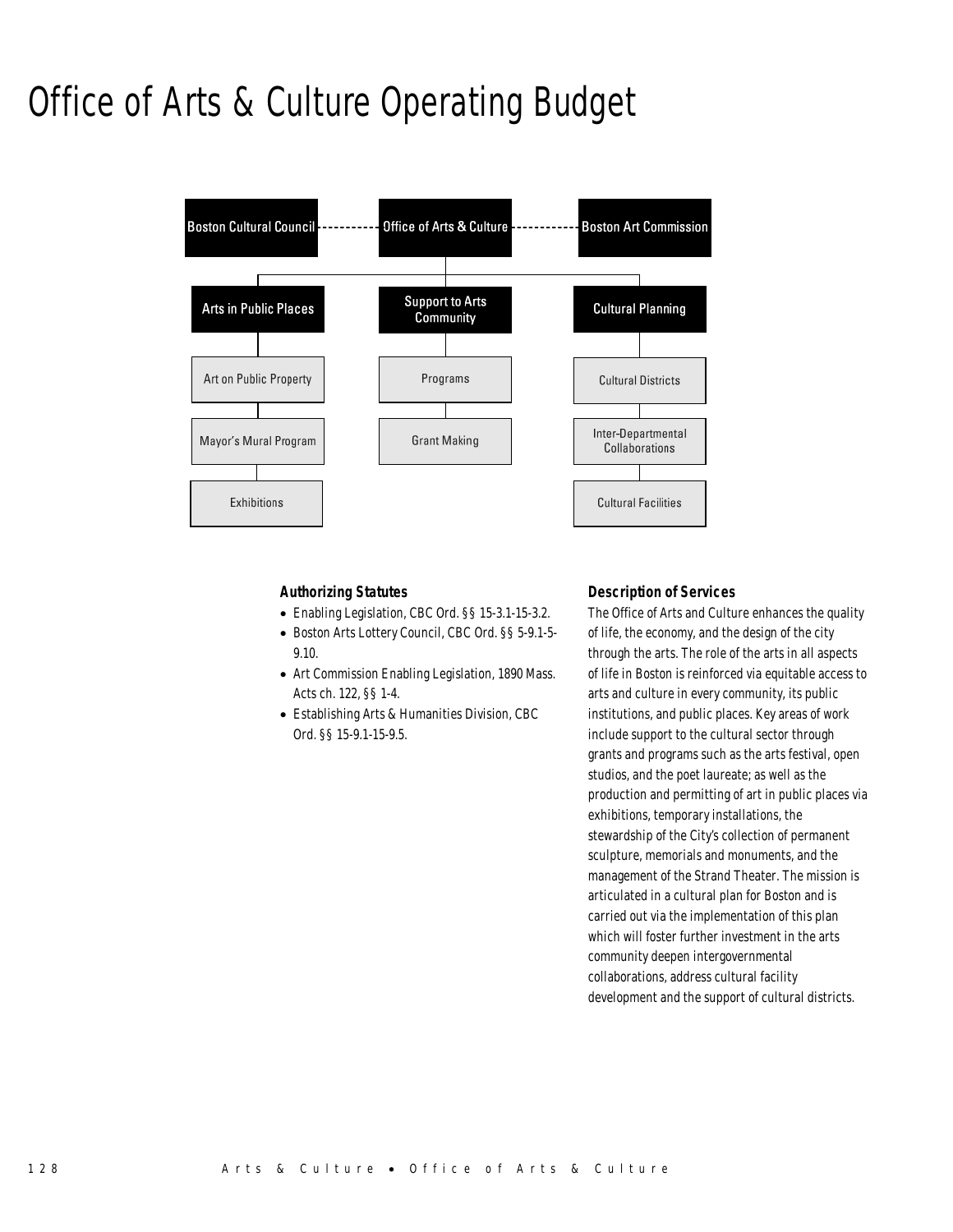## Office of Arts & Culture Operating Budget



### *Authorizing Statutes*

- Enabling Legislation, CBC Ord. §§ 15-3.1-15-3.2.
- Boston Arts Lottery Council, CBC Ord. §§ 5-9.1-5-
- 9.10. • Art Commission Enabling Legislation, 1890 Mass.
- Acts ch. 122, §§ 1-4. • Establishing Arts & Humanities Division, CBC
- Ord. §§ 15-9.1-15-9.5.

### *Description of Services*

The Office of Arts and Culture enhances the quality of life, the economy, and the design of the city through the arts. The role of the arts in all aspects of life in Boston is reinforced via equitable access to arts and culture in every community, its public institutions, and public places. Key areas of work include support to the cultural sector through grants and programs such as the arts festival, open studios, and the poet laureate; as well as the production and permitting of art in public places via exhibitions, temporary installations, the stewardship of the City's collection of permanent sculpture, memorials and monuments, and the management of the Strand Theater. The mission is articulated in a cultural plan for Boston and is carried out via the implementation of this plan which will foster further investment in the arts community deepen intergovernmental collaborations, address cultural facility development and the support of cultural districts.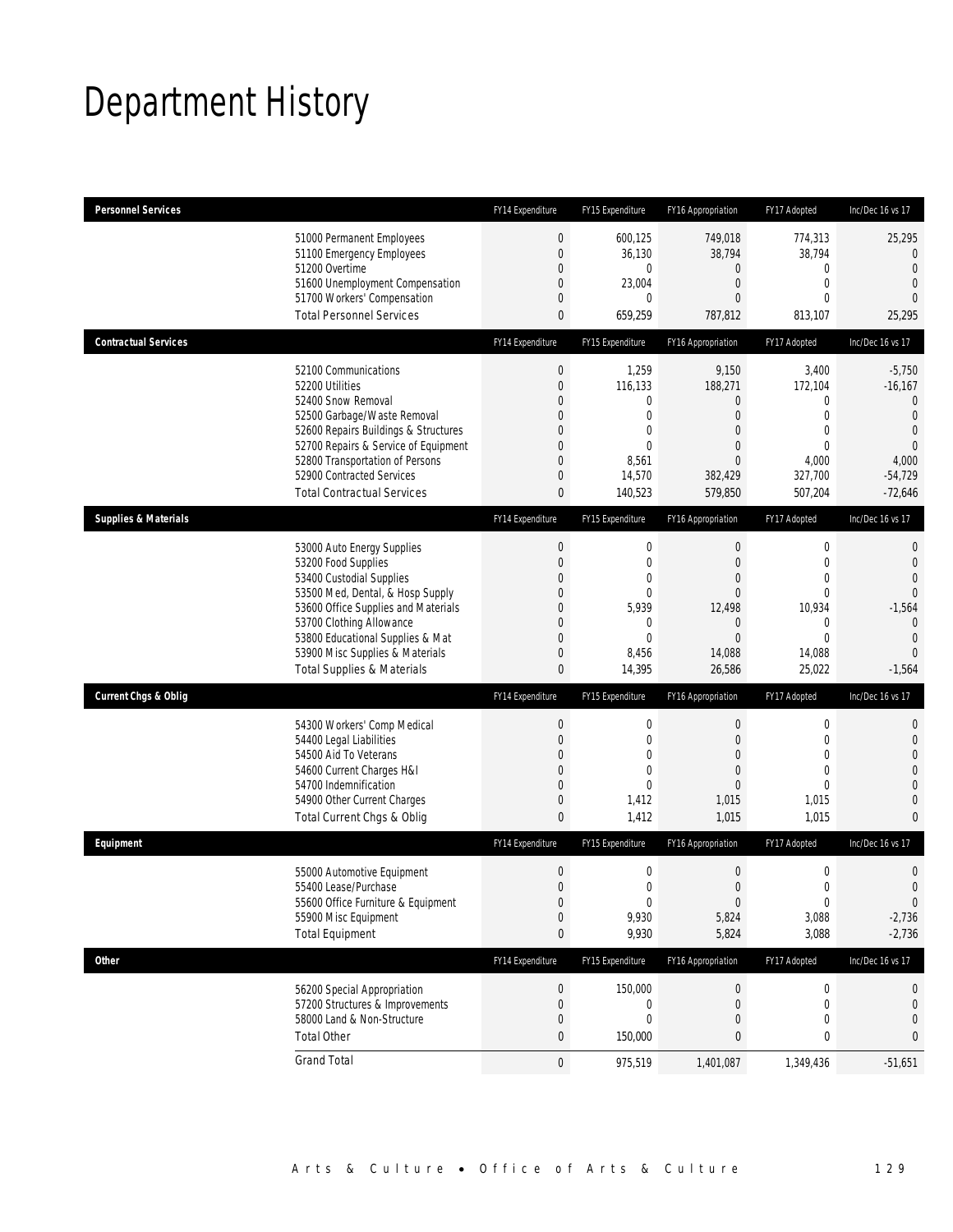## Department History

| <b>Personnel Services</b>       |                                                                                                                                                                                                                                                                                                      | FY14 Expenditure                                                                                   | FY15 Expenditure                                                                                          | <b>FY16 Appropriation</b>                                                                                                 | FY17 Adopted                                                                                                      | Inc/Dec 16 vs 17                                                                                                          |
|---------------------------------|------------------------------------------------------------------------------------------------------------------------------------------------------------------------------------------------------------------------------------------------------------------------------------------------------|----------------------------------------------------------------------------------------------------|-----------------------------------------------------------------------------------------------------------|---------------------------------------------------------------------------------------------------------------------------|-------------------------------------------------------------------------------------------------------------------|---------------------------------------------------------------------------------------------------------------------------|
|                                 | 51000 Permanent Employees<br>51100 Emergency Employees<br>51200 Overtime<br>51600 Unemployment Compensation<br>51700 Workers' Compensation<br><b>Total Personnel Services</b>                                                                                                                        | $\boldsymbol{0}$<br>$\mathbf 0$<br>$\mathbf 0$<br>0<br>0<br>$\mathbf{0}$                           | 600,125<br>36,130<br>$\mathbf 0$<br>23,004<br>0<br>659,259                                                | 749,018<br>38,794<br>$\mathbf 0$<br>$\boldsymbol{0}$<br>0<br>787,812                                                      | 774,313<br>38,794<br>0<br>$\mathbf 0$<br>$\mathbf{0}$<br>813,107                                                  | 25,295<br>$\mathbf{0}$<br>$\overline{0}$<br>$\mathbf{0}$<br>$\overline{0}$<br>25,295                                      |
| <b>Contractual Services</b>     |                                                                                                                                                                                                                                                                                                      | FY14 Expenditure                                                                                   | FY15 Expenditure                                                                                          | FY16 Appropriation                                                                                                        | FY17 Adopted                                                                                                      | Inc/Dec 16 vs 17                                                                                                          |
|                                 | 52100 Communications<br>52200 Utilities<br>52400 Snow Removal<br>52500 Garbage/Waste Removal<br>52600 Repairs Buildings & Structures<br>52700 Repairs & Service of Equipment<br>52800 Transportation of Persons<br>52900 Contracted Services<br><b>Total Contractual Services</b>                    | $\boldsymbol{0}$<br>$\boldsymbol{0}$<br>0<br>0<br>0<br>0<br>$\mathbf 0$<br>0<br>0                  | 1,259<br>116,133<br>$\mathbf 0$<br>0<br>$\mathbf 0$<br>$\mathbf 0$<br>8,561<br>14,570<br>140,523          | 9,150<br>188,271<br>$\mathbf 0$<br>$\mathbf{0}$<br>$\overline{0}$<br>$\overline{0}$<br>$\mathbf{0}$<br>382,429<br>579,850 | 3,400<br>172,104<br>$\mathbf 0$<br>$\mathbf 0$<br>$\mathbf{0}$<br>$\mathbf 0$<br>4,000<br>327,700<br>507,204      | $-5,750$<br>$-16,167$<br>$\mathbf{0}$<br>$\mathbf{0}$<br>$\mathbf 0$<br>$\overline{0}$<br>4,000<br>$-54,729$<br>$-72,646$ |
| <b>Supplies &amp; Materials</b> |                                                                                                                                                                                                                                                                                                      | FY14 Expenditure                                                                                   | FY15 Expenditure                                                                                          | FY16 Appropriation                                                                                                        | FY17 Adopted                                                                                                      | Inc/Dec 16 vs 17                                                                                                          |
|                                 | 53000 Auto Energy Supplies<br>53200 Food Supplies<br>53400 Custodial Supplies<br>53500 Med, Dental, & Hosp Supply<br>53600 Office Supplies and Materials<br>53700 Clothing Allowance<br>53800 Educational Supplies & Mat<br>53900 Misc Supplies & Materials<br><b>Total Supplies &amp; Materials</b> | $\boldsymbol{0}$<br>$\boldsymbol{0}$<br>0<br>0<br>0<br>0<br>$\mathbf 0$<br>0<br>$\mathbf{0}$       | 0<br>$\mathbf 0$<br>$\mathbf 0$<br>$\mathbf 0$<br>5,939<br>$\mathbf 0$<br>$\mathbf{0}$<br>8,456<br>14,395 | $\boldsymbol{0}$<br>$\boldsymbol{0}$<br>$\mathbf 0$<br>$\mathbf{0}$<br>12,498<br>0<br>$\mathbf{0}$<br>14,088<br>26,586    | $\boldsymbol{0}$<br>$\mathbf 0$<br>$\mathbf 0$<br>$\mathbf{0}$<br>10,934<br>0<br>$\mathbf{0}$<br>14,088<br>25,022 | 0<br>$\mathbf 0$<br>$\overline{0}$<br>$\Omega$<br>$-1,564$<br>$\overline{0}$<br>$\mathbf{0}$<br>$\Omega$<br>$-1,564$      |
| <b>Current Chgs &amp; Oblig</b> |                                                                                                                                                                                                                                                                                                      | FY14 Expenditure                                                                                   | FY15 Expenditure                                                                                          | FY16 Appropriation                                                                                                        | FY17 Adopted                                                                                                      | Inc/Dec 16 vs 17                                                                                                          |
|                                 | 54300 Workers' Comp Medical<br>54400 Legal Liabilities<br>54500 Aid To Veterans<br>54600 Current Charges H&I<br>54700 Indemnification<br>54900 Other Current Charges<br>Total Current Chgs & Oblig                                                                                                   | $\boldsymbol{0}$<br>$\boldsymbol{0}$<br>$\overline{0}$<br>0<br>$\overline{0}$<br>0<br>$\mathbf{0}$ | 0<br>$\mathbf 0$<br>$\mathbf{0}$<br>$\mathbf{0}$<br>$\mathbf{0}$<br>1,412<br>1,412                        | $\boldsymbol{0}$<br>$\mathbf{0}$<br>$\overline{0}$<br>$\mathbf{0}$<br>0<br>1,015<br>1,015                                 | $\boldsymbol{0}$<br>$\mathbf 0$<br>$\mathbf{0}$<br>$\mathbf{0}$<br>$\mathbf{0}$<br>1,015<br>1,015                 | 0<br>$\mathbf 0$<br>$\overline{0}$<br>$\overline{0}$<br>$\overline{0}$<br>$\mathbf{0}$<br>$\mathbf{0}$                    |
| Equipment                       |                                                                                                                                                                                                                                                                                                      | FY14 Expenditure                                                                                   | FY15 Expenditure                                                                                          | FY16 Appropriation                                                                                                        | FY17 Adopted                                                                                                      | Inc/Dec 16 vs 17                                                                                                          |
|                                 | 55000 Automotive Equipment<br>55400 Lease/Purchase<br>55600 Office Furniture & Equipment<br>55900 Misc Equipment<br><b>Total Equipment</b>                                                                                                                                                           | $\boldsymbol{0}$<br>$\Omega$<br>$\boldsymbol{0}$<br>$\boldsymbol{0}$<br>$\pmb{0}$                  | $\mathbf 0$<br>$\theta$<br>$\boldsymbol{0}$<br>9,930<br>9,930                                             | $\boldsymbol{0}$<br>0<br>$\boldsymbol{0}$<br>5,824<br>5,824                                                               | $\boldsymbol{0}$<br>$\boldsymbol{0}$<br>$\boldsymbol{0}$<br>3,088<br>3,088                                        | $\mathbf 0$<br>$\mathbf 0$<br>$\boldsymbol{0}$<br>$-2,736$<br>$-2,736$                                                    |
| <b>Other</b>                    |                                                                                                                                                                                                                                                                                                      | FY14 Expenditure                                                                                   | FY15 Expenditure                                                                                          | FY16 Appropriation                                                                                                        | FY17 Adopted                                                                                                      | Inc/Dec 16 vs 17                                                                                                          |
|                                 | 56200 Special Appropriation<br>57200 Structures & Improvements<br>58000 Land & Non-Structure<br><b>Total Other</b>                                                                                                                                                                                   | 0<br>$\boldsymbol{0}$<br>$\boldsymbol{0}$<br>$\bf{0}$                                              | 150,000<br>$\boldsymbol{0}$<br>$\mathbf 0$<br>150,000                                                     | $\boldsymbol{0}$<br>$\mathbf 0$<br>$\mathbf 0$<br>0                                                                       | 0<br>$\boldsymbol{0}$<br>0<br>0                                                                                   | 0<br>$\mathbf 0$<br>$\boldsymbol{0}$<br>0                                                                                 |
|                                 | <b>Grand Total</b>                                                                                                                                                                                                                                                                                   | $\mathbf 0$                                                                                        | 975,519                                                                                                   | 1,401,087                                                                                                                 | 1,349,436                                                                                                         | $-51,651$                                                                                                                 |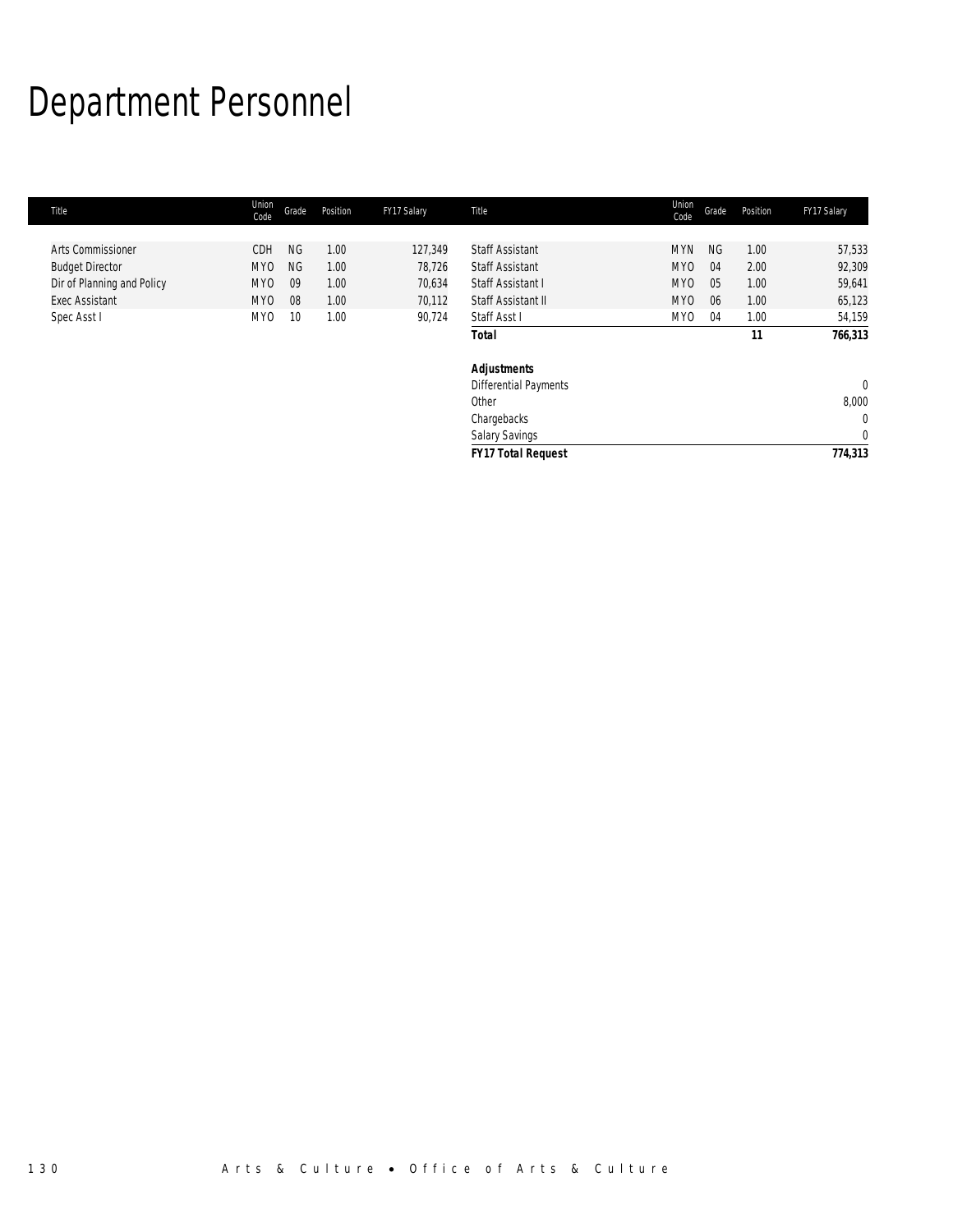## Department Personnel

| Title                      | Union<br>Code   | Grade     | Position | FY17 Salary | Title                        | Union<br>Code   | Grade     | Position | FY17 Salary    |
|----------------------------|-----------------|-----------|----------|-------------|------------------------------|-----------------|-----------|----------|----------------|
|                            |                 |           |          |             |                              |                 |           |          |                |
| <b>Arts Commissioner</b>   | CDH             | <b>NG</b> | 1.00     | 127,349     | <b>Staff Assistant</b>       | <b>MYN</b>      | <b>NG</b> | 1.00     | 57,533         |
| <b>Budget Director</b>     | MY <sub>0</sub> | <b>NG</b> | 1.00     | 78,726      | <b>Staff Assistant</b>       | MY <sub>0</sub> | 04        | 2.00     | 92,309         |
| Dir of Planning and Policy | MY <sub>0</sub> | 09        | 1.00     | 70,634      | Staff Assistant I            | MYO             | 05        | 1.00     | 59,641         |
| <b>Exec Assistant</b>      | MY <sub>0</sub> | 08        | 1.00     | 70,112      | Staff Assistant II           | MYO             | 06        | 1.00     | 65,123         |
| Spec Asst I                | MY <sub>0</sub> | 10        | 1.00     | 90,724      | Staff Asst I                 | MY0             | 04        | 1.00     | 54,159         |
|                            |                 |           |          |             | <b>Total</b>                 |                 |           | 11       | 766,313        |
|                            |                 |           |          |             | <b>Adjustments</b>           |                 |           |          |                |
|                            |                 |           |          |             | <b>Differential Payments</b> |                 |           |          | $\overline{0}$ |
|                            |                 |           |          |             | Other                        |                 |           |          | 8,000          |
|                            |                 |           |          |             | Chargebacks                  |                 |           |          | $\mathbf 0$    |
|                            |                 |           |          |             | Salary Savings               |                 |           |          | $\mathbf{0}$   |
|                            |                 |           |          |             | <b>FY17 Total Request</b>    |                 |           |          | 774,313        |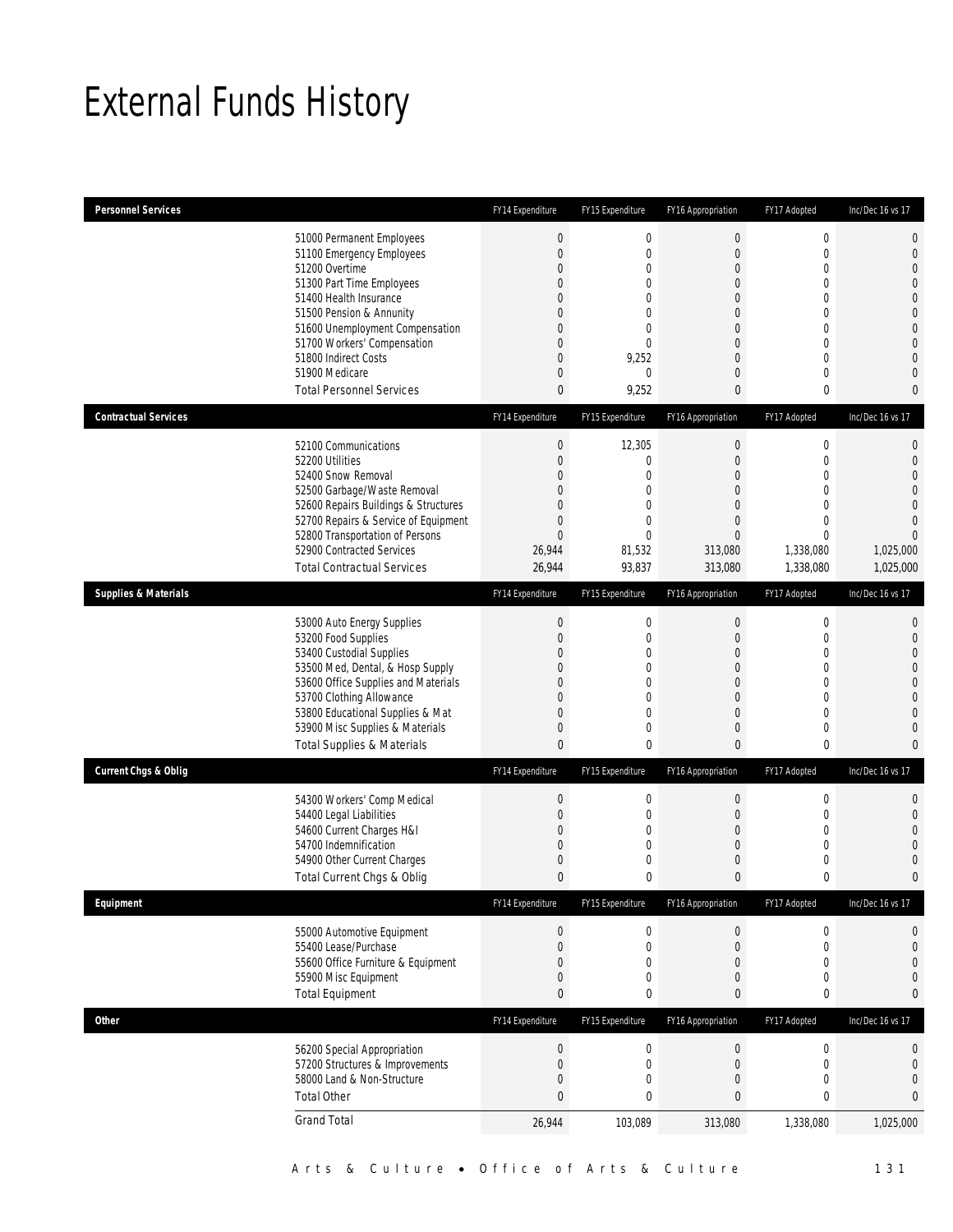## External Funds History

| <b>Personnel Services</b>       |                                                                                                                                                                                                                                                                                                            | FY14 Expenditure                                                                                          | FY15 Expenditure                                                                                                                                            | FY16 Appropriation                                                                             | FY17 Adopted                                                                                                                                                       | Inc/Dec 16 vs 17                                                                                                                                                                       |
|---------------------------------|------------------------------------------------------------------------------------------------------------------------------------------------------------------------------------------------------------------------------------------------------------------------------------------------------------|-----------------------------------------------------------------------------------------------------------|-------------------------------------------------------------------------------------------------------------------------------------------------------------|------------------------------------------------------------------------------------------------|--------------------------------------------------------------------------------------------------------------------------------------------------------------------|----------------------------------------------------------------------------------------------------------------------------------------------------------------------------------------|
|                                 | 51000 Permanent Employees<br>51100 Emergency Employees<br>51200 Overtime<br>51300 Part Time Employees<br>51400 Health Insurance<br>51500 Pension & Annunity<br>51600 Unemployment Compensation<br>51700 Workers' Compensation<br>51800 Indirect Costs<br>51900 Medicare<br><b>Total Personnel Services</b> | $\boldsymbol{0}$<br>$\boldsymbol{0}$<br>0<br>0<br>0<br>0<br>0<br>0<br>$\overline{0}$<br>0<br>$\mathbf{0}$ | $\boldsymbol{0}$<br>$\mathbf 0$<br>$\mathbf 0$<br>$\mathbf{0}$<br>$\mathbf 0$<br>$\mathbf 0$<br>$\mathbf 0$<br>$\mathbf 0$<br>9,252<br>$\mathbf 0$<br>9,252 | $\mathbf 0$<br>$\overline{0}$<br>0<br>$\overline{0}$<br>0<br>0<br>0<br>0<br>0<br>0<br>0        | $\boldsymbol{0}$<br>$\mathbf 0$<br>$\mathbf 0$<br>$\mathbf{0}$<br>$\mathbf{0}$<br>$\mathbf 0$<br>$\mathbf{0}$<br>$\mathbf{0}$<br>$\mathbf{0}$<br>$\mathbf{0}$<br>0 | $\overline{0}$<br>$\mathbf{0}$<br>$\overline{0}$<br>$\overline{0}$<br>$\overline{0}$<br>$\overline{0}$<br>$\mathbf{0}$<br>$\overline{0}$<br>$\overline{0}$<br>$\Omega$<br>$\mathbf{0}$ |
| <b>Contractual Services</b>     |                                                                                                                                                                                                                                                                                                            | FY14 Expenditure                                                                                          | FY15 Expenditure                                                                                                                                            | FY16 Appropriation                                                                             | FY17 Adopted                                                                                                                                                       | Inc/Dec 16 vs 17                                                                                                                                                                       |
|                                 | 52100 Communications<br>52200 Utilities<br>52400 Snow Removal<br>52500 Garbage/Waste Removal<br>52600 Repairs Buildings & Structures<br>52700 Repairs & Service of Equipment<br>52800 Transportation of Persons<br>52900 Contracted Services<br><b>Total Contractual Services</b>                          | $\boldsymbol{0}$<br>$\boldsymbol{0}$<br>0<br>0<br>0<br>0<br>$\overline{0}$<br>26,944<br>26,944            | 12,305<br>0<br>$\overline{0}$<br>$\mathbf 0$<br>$\mathbf 0$<br>0<br>$\overline{0}$<br>81,532<br>93,837                                                      | 0<br>$\boldsymbol{0}$<br>0<br>$\overline{0}$<br>0<br>0<br>$\overline{0}$<br>313,080<br>313,080 | $\boldsymbol{0}$<br>$\mathbf 0$<br>$\mathbf{0}$<br>$\mathbf 0$<br>$\mathbf{0}$<br>$\mathbf{0}$<br>$\mathbf 0$<br>1,338,080<br>1,338,080                            | 0<br>$\mathbf{0}$<br>$\overline{0}$<br>$\Omega$<br>$\overline{0}$<br>$\Omega$<br>$\overline{0}$<br>1,025,000<br>1,025,000                                                              |
| <b>Supplies &amp; Materials</b> |                                                                                                                                                                                                                                                                                                            | FY14 Expenditure                                                                                          | FY15 Expenditure                                                                                                                                            | FY16 Appropriation                                                                             | FY17 Adopted                                                                                                                                                       | Inc/Dec 16 vs 17                                                                                                                                                                       |
|                                 | 53000 Auto Energy Supplies<br>53200 Food Supplies<br>53400 Custodial Supplies<br>53500 Med, Dental, & Hosp Supply<br>53600 Office Supplies and Materials<br>53700 Clothing Allowance<br>53800 Educational Supplies & Mat<br>53900 Misc Supplies & Materials<br><b>Total Supplies &amp; Materials</b>       | $\boldsymbol{0}$<br>$\boldsymbol{0}$<br>0<br>0<br>$\overline{0}$<br>0<br>0<br>0<br>$\mathbf{0}$           | $\mathbf 0$<br>$\mathbf 0$<br>$\mathbf 0$<br>$\mathbf 0$<br>$\overline{0}$<br>$\mathbf 0$<br>$\mathbf 0$<br>$\mathbf 0$<br>0                                | 0<br>$\boldsymbol{0}$<br>0<br>0<br>0<br>0<br>$\overline{0}$<br>0<br>0                          | 0<br>$\mathbf 0$<br>$\mathbf{0}$<br>$\mathbf 0$<br>$\mathbf{0}$<br>$\mathbf{0}$<br>$\mathbf 0$<br>$\mathbf 0$<br>0                                                 | 0<br>$\mathbf{0}$<br>$\overline{0}$<br>$\overline{0}$<br>$\mathbf{0}$<br>$\overline{0}$<br>$\overline{0}$<br>$\mathbf{0}$<br>$\mathbf{0}$                                              |
| <b>Current Chgs &amp; Oblig</b> |                                                                                                                                                                                                                                                                                                            | FY14 Expenditure                                                                                          | FY15 Expenditure                                                                                                                                            | FY16 Appropriation                                                                             | FY17 Adopted                                                                                                                                                       | Inc/Dec 16 vs 17                                                                                                                                                                       |
|                                 | 54300 Workers' Comp Medical<br>54400 Legal Liabilities<br>54600 Current Charges H&I<br>54700 Indemnification<br>54900 Other Current Charges<br>Total Current Chgs & Oblig                                                                                                                                  | $\boldsymbol{0}$<br>$\boldsymbol{0}$<br>0<br>0<br>$\mathbf 0$<br>0                                        | $\mathbf 0$<br>$\mathbf 0$<br>$\mathbf 0$<br>$\mathbf 0$<br>0<br>0                                                                                          | $\boldsymbol{0}$<br>$\boldsymbol{0}$<br>0<br>0<br>0<br>0                                       | $\boldsymbol{0}$<br>$\mathbf 0$<br>$\mathbf{0}$<br>$\mathbf 0$<br>$\mathbf 0$<br>$\mathbf 0$                                                                       | $\mathbf{0}$<br>$\mathbf{0}$<br>$\overline{0}$<br>$\Omega$<br>$\mathbf{0}$<br>$\bf{0}$                                                                                                 |
| Equipment                       |                                                                                                                                                                                                                                                                                                            | FY14 Expenditure                                                                                          | FY15 Expenditure                                                                                                                                            | FY16 Appropriation                                                                             | FY17 Adopted                                                                                                                                                       | Inc/Dec 16 vs 17                                                                                                                                                                       |
|                                 | 55000 Automotive Equipment<br>55400 Lease/Purchase<br>55600 Office Furniture & Equipment<br>55900 Misc Equipment<br><b>Total Equipment</b>                                                                                                                                                                 | $\boldsymbol{0}$<br>$\boldsymbol{0}$<br>$\mathbf 0$<br>$\boldsymbol{0}$<br>0                              | 0<br>0<br>$\mathbf 0$<br>0<br>0                                                                                                                             | $\boldsymbol{0}$<br>$\boldsymbol{0}$<br>0<br>0<br>0                                            | 0<br>$\mathbf 0$<br>$\mathbf 0$<br>$\boldsymbol{0}$<br>$\pmb{0}$                                                                                                   | 0<br>$\mathbf{0}$<br>$\mathbf{0}$<br>$\mathbf{0}$<br>$\bf{0}$                                                                                                                          |
| <b>Other</b>                    |                                                                                                                                                                                                                                                                                                            | FY14 Expenditure                                                                                          | FY15 Expenditure                                                                                                                                            | FY16 Appropriation                                                                             | FY17 Adopted                                                                                                                                                       | Inc/Dec 16 vs 17                                                                                                                                                                       |
|                                 | 56200 Special Appropriation<br>57200 Structures & Improvements<br>58000 Land & Non-Structure<br><b>Total Other</b>                                                                                                                                                                                         | $\boldsymbol{0}$<br>$\boldsymbol{0}$<br>$\boldsymbol{0}$<br>$\mathbf{0}$                                  | $\boldsymbol{0}$<br>$\mathbf 0$<br>0<br>$\bf{0}$                                                                                                            | $\boldsymbol{0}$<br>$\boldsymbol{0}$<br>0<br>0                                                 | $\boldsymbol{0}$<br>$\boldsymbol{0}$<br>0<br>$\pmb{0}$                                                                                                             | 0<br>$\mathbf{0}$<br>$\mathbf{0}$<br>0                                                                                                                                                 |
|                                 | <b>Grand Total</b>                                                                                                                                                                                                                                                                                         | 26,944                                                                                                    | 103,089                                                                                                                                                     | 313,080                                                                                        | 1,338,080                                                                                                                                                          | 1,025,000                                                                                                                                                                              |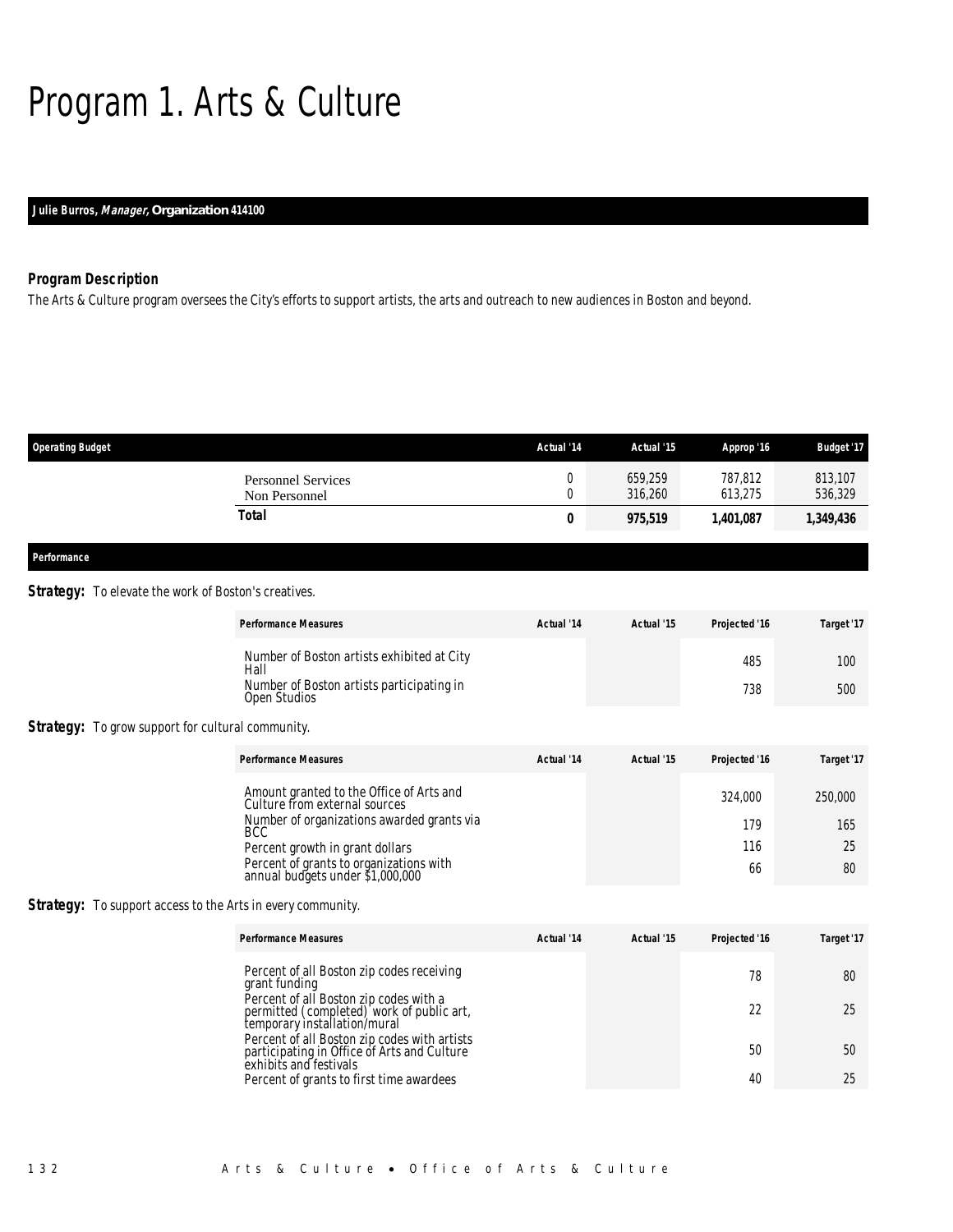## Program 1. Arts & Culture

### *Julie Burros, Manager, Organization 414100*

### *Program Description*

The Arts & Culture program oversees the City's efforts to support artists, the arts and outreach to new audiences in Boston and beyond.

| <b>Operating Budget</b>                    | Actual '14 | Actual '15         | Approp '16         | <b>Budget '17</b>  |
|--------------------------------------------|------------|--------------------|--------------------|--------------------|
| <b>Personnel Services</b><br>Non Personnel |            | 659,259<br>316,260 | 787,812<br>613,275 | 813,107<br>536,329 |
| <b>Total</b>                               | 0          | 975,519            | 1,401,087          | 1,349,436          |
|                                            |            |                    |                    |                    |

#### *Performance*

#### **Strategy:** To elevate the work of Boston's creatives.

|                                                                    | <b>Performance Measures</b>                                                                                                                                                                                                                      | Actual '14 | Actual '15 | Projected '16               | Target '17                 |
|--------------------------------------------------------------------|--------------------------------------------------------------------------------------------------------------------------------------------------------------------------------------------------------------------------------------------------|------------|------------|-----------------------------|----------------------------|
|                                                                    | Number of Boston artists exhibited at City<br>Hall<br>Number of Boston artists participating in<br>Open Studios                                                                                                                                  |            |            | 485<br>738                  | 100<br>500                 |
| <b>Strategy:</b> To grow support for cultural community.           |                                                                                                                                                                                                                                                  |            |            |                             |                            |
|                                                                    | <b>Performance Measures</b>                                                                                                                                                                                                                      | Actual '14 | Actual '15 | Projected '16               | Target '17                 |
|                                                                    | Amount granted to the Office of Arts and<br>Culture from external sources<br>Number of organizations awarded grants via<br>BCC<br>Percent growth in grant dollars<br>Percent of grants to organizations with<br>annual budgets under \$1,000,000 |            |            | 324,000<br>179<br>116<br>66 | 250,000<br>165<br>25<br>80 |
| <b>Strategy:</b> To support access to the Arts in every community. |                                                                                                                                                                                                                                                  |            |            |                             |                            |

 *Performance Measures Actual '14 Actual '15 Projected '16 Target '17* Percent of all Boston zip codes receiving grant funding 78 80 Percent of all Boston zip codes with a permitted (completed) work of public art, temporary installation/mural 22 25 Percent of all Boston zip codes with artists participating in Office of Arts and Culture exhibits and festivals 50 50 Percent of grants to first time awardees 40 25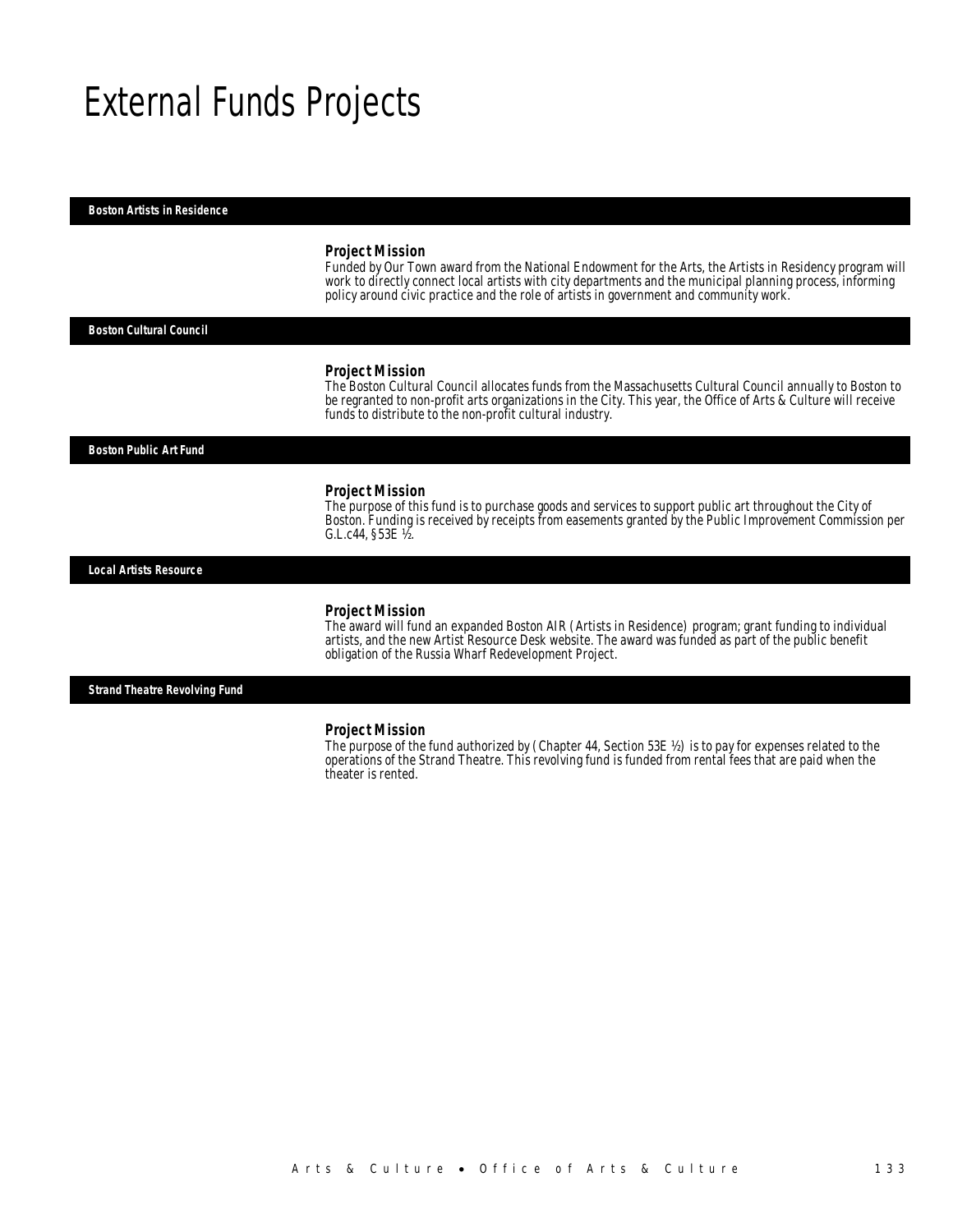### External Funds Projects

#### *Boston Artists in Residence*

#### *Project Mission*

Funded by Our Town award from the National Endowment for the Arts, the Artists in Residency program will work to directly connect local artists with city departments and the municipal planning process, informing policy around civic practice and the role of artists in government and community work. Î

#### *Boston Cultural Council*

#### *Project Mission*

The Boston Cultural Council allocates funds from the Massachusetts Cultural Council annually to Boston to be regranted to non-profit arts organizations in the City. This year, the Office of Arts & Culture will receive funds to distribute to the non-profit cultural industry.

*Boston Public Art Fund* 

#### *Project Mission*

The purpose of this fund is to purchase goods and services to support public art throughout the City of Boston. Funding is received by receipts from easements granted by the Public Improvement Commission per G.L.c44, §53E ½.

*Local Artists Resource* 

#### *Project Mission*

The award will fund an expanded Boston AIR (Artists in Residence) program; grant funding to individual artists, and the new Artist Resource Desk website. The award was funded as part of the public benefit obligation of the Russia Wharf Redevelopment Project.

*Strand Theatre Revolving Fund* 

#### *Project Mission*

The purpose of the fund authorized by (Chapter 44, Section 53E  $\frac{1}{2}$ ) is to pay for expenses related to the operations of the Strand Theatre. This revolving fund is funded from rental fees that are paid when the theater is rented.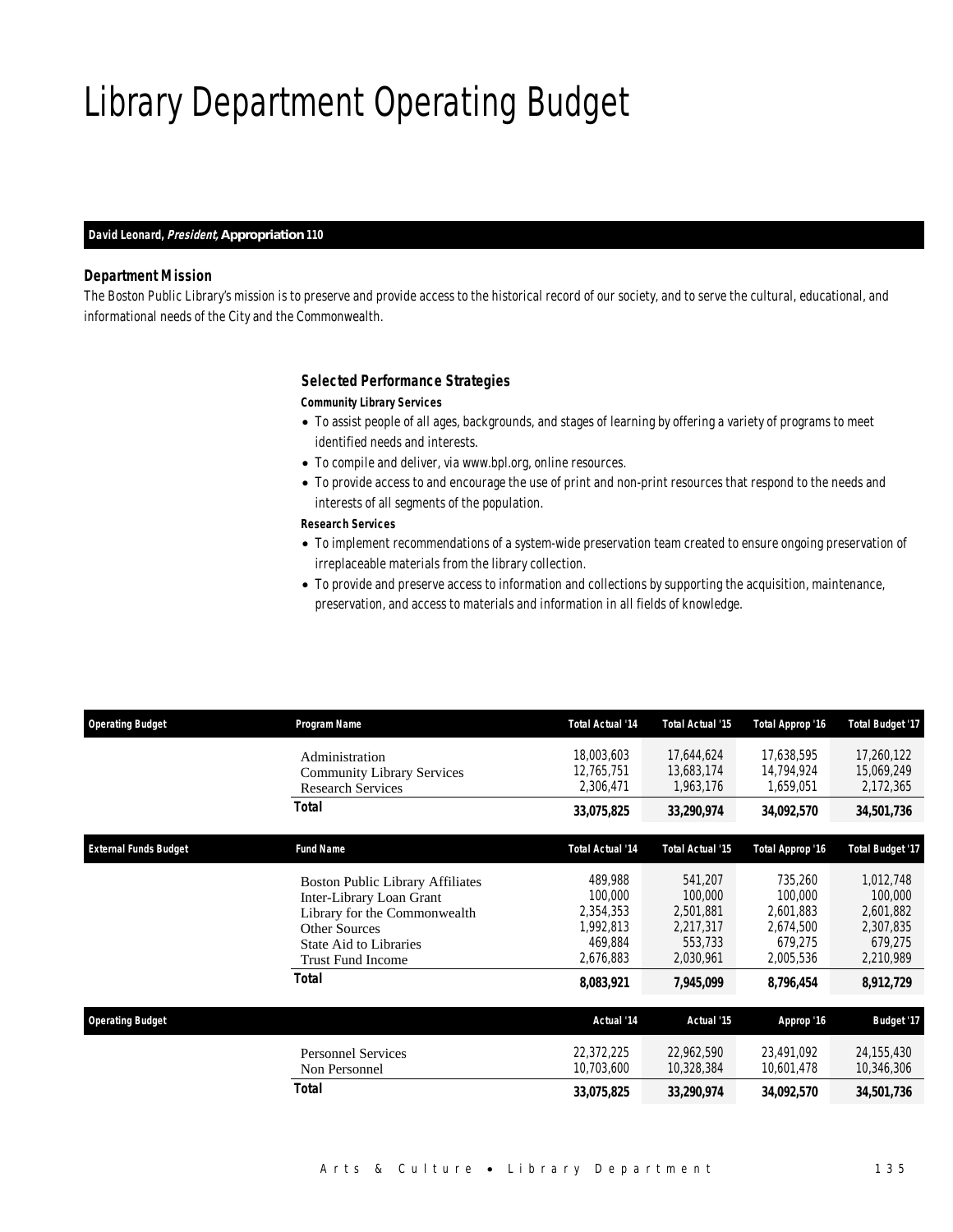## Library Department Operating Budget

#### *David Leonard, President, Appropriation 110*

### *Department Mission*

The Boston Public Library's mission is to preserve and provide access to the historical record of our society, and to serve the cultural, educational, and informational needs of the City and the Commonwealth.

### *Selected Performance Strategies*

#### *Community Library Services*

- To assist people of all ages, backgrounds, and stages of learning by offering a variety of programs to meet identified needs and interests.
- To compile and deliver, via www.bpl.org, online resources.
- To provide access to and encourage the use of print and non-print resources that respond to the needs and interests of all segments of the population.

### *Research Services*

- To implement recommendations of a system-wide preservation team created to ensure ongoing preservation of irreplaceable materials from the library collection.
- To provide and preserve access to information and collections by supporting the acquisition, maintenance, preservation, and access to materials and information in all fields of knowledge.

| <b>Operating Budget</b>      | Program Name                                                                                                                                                                      | <b>Total Actual '14</b>                                              | <b>Total Actual '15</b>                                              | Total Approp '16                                                     | <b>Total Budget '17</b>                                                |
|------------------------------|-----------------------------------------------------------------------------------------------------------------------------------------------------------------------------------|----------------------------------------------------------------------|----------------------------------------------------------------------|----------------------------------------------------------------------|------------------------------------------------------------------------|
|                              | Administration<br><b>Community Library Services</b><br><b>Research Services</b>                                                                                                   | 18,003,603<br>12,765,751<br>2,306,471                                | 17,644,624<br>13,683,174<br>1,963,176                                | 17,638,595<br>14,794,924<br>1,659,051                                | 17,260,122<br>15,069,249<br>2,172,365                                  |
|                              | Total                                                                                                                                                                             | 33,075,825                                                           | 33,290,974                                                           | 34,092,570                                                           | 34,501,736                                                             |
| <b>External Funds Budget</b> | <b>Fund Name</b>                                                                                                                                                                  | <b>Total Actual '14</b>                                              | <b>Total Actual '15</b>                                              | Total Approp '16                                                     | <b>Total Budget '17</b>                                                |
|                              | <b>Boston Public Library Affiliates</b><br>Inter-Library Loan Grant<br>Library for the Commonwealth<br><b>Other Sources</b><br><b>State Aid to Libraries</b><br>Trust Fund Income | 489,988<br>100,000<br>2,354,353<br>1,992,813<br>469.884<br>2,676,883 | 541,207<br>100,000<br>2,501,881<br>2,217,317<br>553.733<br>2,030,961 | 735,260<br>100,000<br>2,601,883<br>2,674,500<br>679.275<br>2,005,536 | 1,012,748<br>100,000<br>2,601,882<br>2,307,835<br>679.275<br>2,210,989 |
|                              | <b>Total</b>                                                                                                                                                                      | 8,083,921                                                            | 7,945,099                                                            | 8,796,454                                                            | 8,912,729                                                              |
| <b>Operating Budget</b>      |                                                                                                                                                                                   | Actual '14                                                           | Actual '15                                                           | Approp '16                                                           | <b>Budget '17</b>                                                      |
|                              | <b>Personnel Services</b><br>Non Personnel                                                                                                                                        | 22,372,225<br>10,703,600                                             | 22,962,590<br>10,328,384                                             | 23,491,092<br>10,601,478                                             | 24,155,430<br>10,346,306                                               |
|                              | Total                                                                                                                                                                             | 33,075,825                                                           | 33,290,974                                                           | 34,092,570                                                           | 34,501,736                                                             |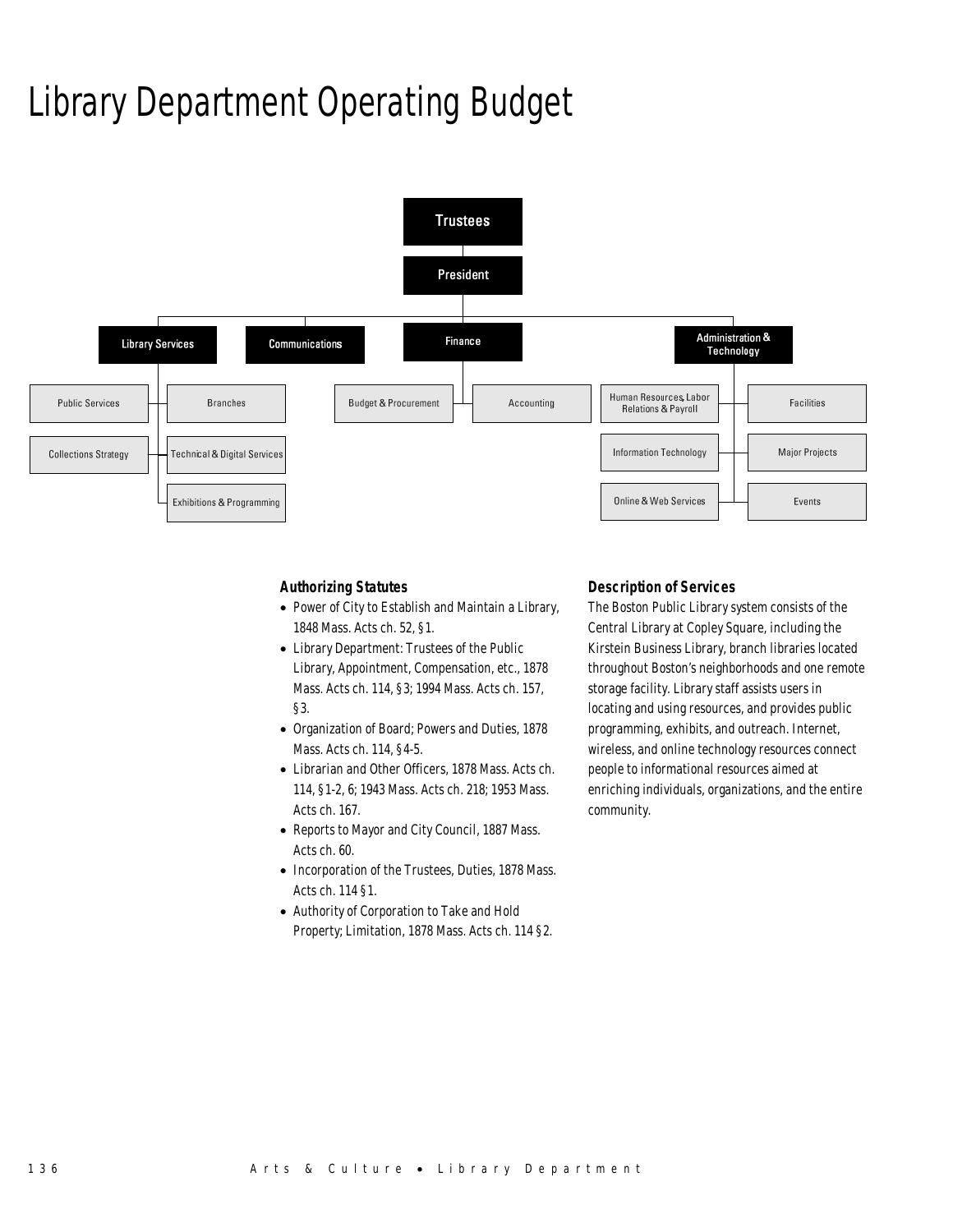## Library Department Operating Budget



### *Authorizing Statutes*

- Power of City to Establish and Maintain a Library, 1848 Mass. Acts ch. 52, §1.
- Library Department: Trustees of the Public Library, Appointment, Compensation, etc., 1878 Mass. Acts ch. 114, §3; 1994 Mass. Acts ch. 157, §3.
- Organization of Board; Powers and Duties, 1878 Mass. Acts ch. 114, §4-5.
- Librarian and Other Officers, 1878 Mass. Acts ch. 114, §1-2, 6; 1943 Mass. Acts ch. 218; 1953 Mass. Acts ch. 167.
- Reports to Mayor and City Council, 1887 Mass. Acts ch. 60.
- Incorporation of the Trustees, Duties, 1878 Mass. Acts ch. 114 §1.
- Authority of Corporation to Take and Hold Property; Limitation, 1878 Mass. Acts ch. 114 §2.

#### *Description of Services*

The Boston Public Library system consists of the Central Library at Copley Square, including the Kirstein Business Library, branch libraries located throughout Boston's neighborhoods and one remote storage facility. Library staff assists users in locating and using resources, and provides public programming, exhibits, and outreach. Internet, wireless, and online technology resources connect people to informational resources aimed at enriching individuals, organizations, and the entire community.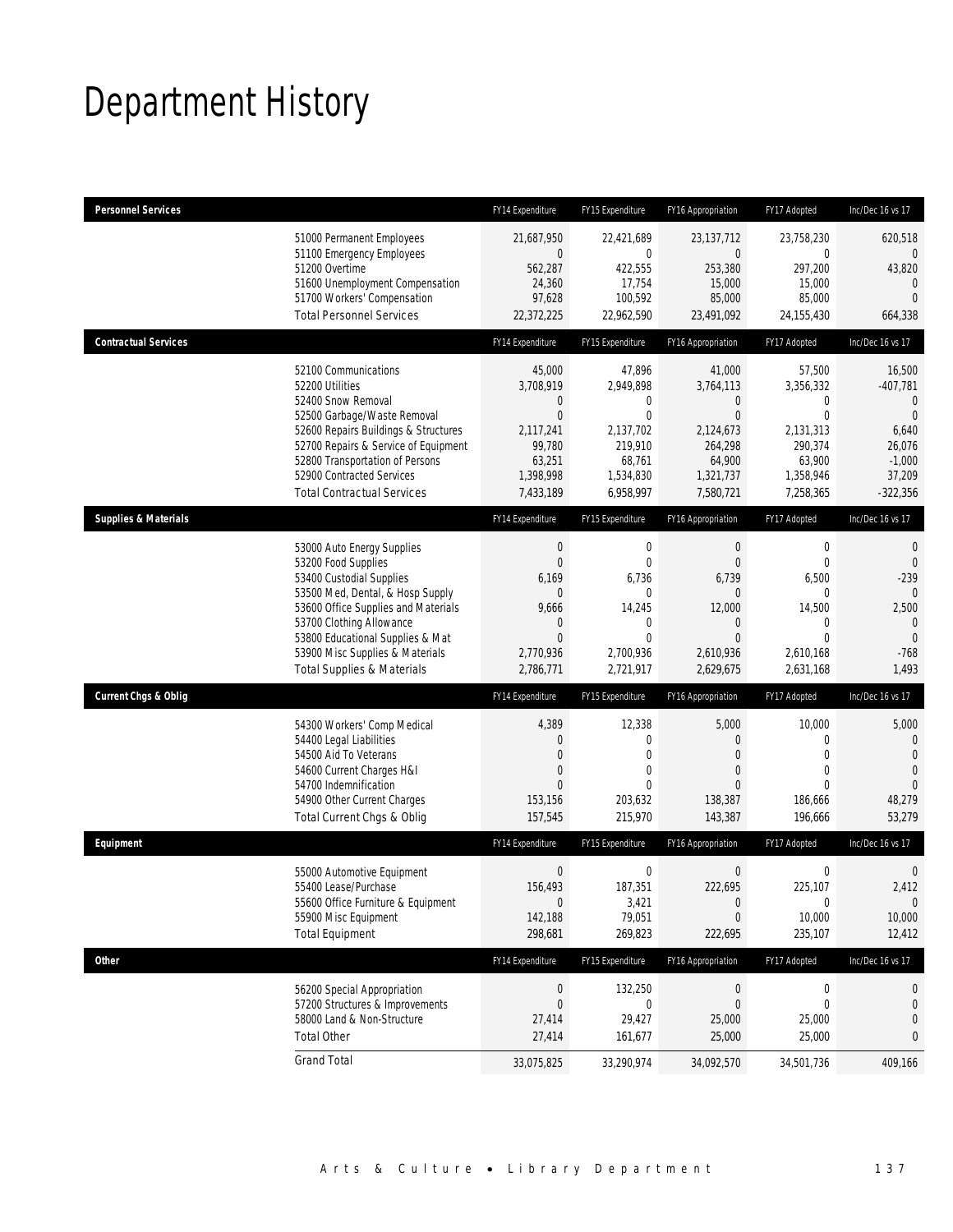## Department History

| <b>Personnel Services</b>       |                                                                                                                                                                                                                                                                                                      | FY14 Expenditure                                                                                        | FY15 Expenditure                                                                                                             | FY16 Appropriation                                                                                                | FY17 Adopted                                                                                                    | Inc/Dec 16 vs 17                                                                                              |
|---------------------------------|------------------------------------------------------------------------------------------------------------------------------------------------------------------------------------------------------------------------------------------------------------------------------------------------------|---------------------------------------------------------------------------------------------------------|------------------------------------------------------------------------------------------------------------------------------|-------------------------------------------------------------------------------------------------------------------|-----------------------------------------------------------------------------------------------------------------|---------------------------------------------------------------------------------------------------------------|
|                                 | 51000 Permanent Employees<br>51100 Emergency Employees<br>51200 Overtime<br>51600 Unemployment Compensation<br>51700 Workers' Compensation<br><b>Total Personnel Services</b>                                                                                                                        | 21,687,950<br>0<br>562,287<br>24,360<br>97,628<br>22,372,225                                            | 22,421,689<br>$\mathbf 0$<br>422,555<br>17,754<br>100,592<br>22,962,590                                                      | 23,137,712<br>$\overline{0}$<br>253,380<br>15,000<br>85,000<br>23,491,092                                         | 23,758,230<br>0<br>297,200<br>15,000<br>85,000<br>24,155,430                                                    | 620,518<br>0<br>43,820<br>$\theta$<br>$\overline{0}$<br>664,338                                               |
| <b>Contractual Services</b>     |                                                                                                                                                                                                                                                                                                      | FY14 Expenditure                                                                                        | FY15 Expenditure                                                                                                             | FY16 Appropriation                                                                                                | FY17 Adopted                                                                                                    | Inc/Dec 16 vs 17                                                                                              |
|                                 | 52100 Communications<br>52200 Utilities<br>52400 Snow Removal<br>52500 Garbage/Waste Removal<br>52600 Repairs Buildings & Structures<br>52700 Repairs & Service of Equipment<br>52800 Transportation of Persons<br>52900 Contracted Services<br><b>Total Contractual Services</b>                    | 45,000<br>3,708,919<br>0<br>$\overline{0}$<br>2,117,241<br>99,780<br>63,251<br>1,398,998<br>7,433,189   | 47,896<br>2,949,898<br>0<br>$\overline{0}$<br>2,137,702<br>219,910<br>68,761<br>1,534,830<br>6,958,997                       | 41,000<br>3,764,113<br>$\theta$<br>$\overline{0}$<br>2,124,673<br>264,298<br>64,900<br>1,321,737<br>7,580,721     | 57,500<br>3,356,332<br>$\mathbf{0}$<br>$\mathbf{0}$<br>2,131,313<br>290,374<br>63,900<br>1,358,946<br>7,258,365 | 16,500<br>$-407,781$<br>$\mathbf{0}$<br>$\Omega$<br>6,640<br>26,076<br>$-1,000$<br>37,209<br>$-322,356$       |
| <b>Supplies &amp; Materials</b> |                                                                                                                                                                                                                                                                                                      | FY14 Expenditure                                                                                        | FY15 Expenditure                                                                                                             | FY16 Appropriation                                                                                                | FY17 Adopted                                                                                                    | Inc/Dec 16 vs 17                                                                                              |
|                                 | 53000 Auto Energy Supplies<br>53200 Food Supplies<br>53400 Custodial Supplies<br>53500 Med, Dental, & Hosp Supply<br>53600 Office Supplies and Materials<br>53700 Clothing Allowance<br>53800 Educational Supplies & Mat<br>53900 Misc Supplies & Materials<br><b>Total Supplies &amp; Materials</b> | $\boldsymbol{0}$<br>0<br>6,169<br>$\mathbf 0$<br>9,666<br>0<br>$\overline{0}$<br>2,770,936<br>2,786,771 | $\mathbf 0$<br>$\mathbf{0}$<br>6,736<br>$\overline{0}$<br>14,245<br>$\mathbf{0}$<br>$\overline{0}$<br>2,700,936<br>2,721,917 | $\theta$<br>$\theta$<br>6,739<br>$\overline{0}$<br>12,000<br>$\theta$<br>$\overline{0}$<br>2,610,936<br>2,629,675 | $\boldsymbol{0}$<br>$\mathbf{0}$<br>6,500<br>$\mathbf 0$<br>14,500<br>0<br>$\Omega$<br>2,610,168<br>2,631,168   | $\mathbf{0}$<br>$\mathbf 0$<br>$-239$<br>$\theta$<br>2,500<br>$\mathbf{0}$<br>$\mathbf{0}$<br>$-768$<br>1,493 |
| <b>Current Chgs &amp; Oblig</b> |                                                                                                                                                                                                                                                                                                      | FY14 Expenditure                                                                                        | FY15 Expenditure                                                                                                             | FY16 Appropriation                                                                                                | FY17 Adopted                                                                                                    | Inc/Dec 16 vs 17                                                                                              |
|                                 | 54300 Workers' Comp Medical<br>54400 Legal Liabilities<br>54500 Aid To Veterans<br>54600 Current Charges H&I<br>54700 Indemnification<br>54900 Other Current Charges<br>Total Current Chgs & Oblig                                                                                                   | 4,389<br>0<br>0<br>0<br>$\Omega$<br>153,156<br>157,545                                                  | 12,338<br>0<br>$\overline{0}$<br>0<br>$\theta$<br>203,632<br>215,970                                                         | 5,000<br>$\theta$<br>$\overline{0}$<br>$\overline{0}$<br>$\Omega$<br>138,387<br>143,387                           | 10,000<br>$\mathbf 0$<br>$\mathbf{0}$<br>$\mathbf{0}$<br>$\Omega$<br>186,666<br>196,666                         | 5,000<br>$\mathbf{0}$<br>$\mathbf{0}$<br>$\overline{0}$<br>$\overline{0}$<br>48,279<br>53,279                 |
| Equipment                       |                                                                                                                                                                                                                                                                                                      | FY14 Expenditure                                                                                        | FY15 Expenditure                                                                                                             | FY16 Appropriation                                                                                                | FY17 Adopted                                                                                                    | Inc/Dec 16 vs 17                                                                                              |
|                                 | 55000 Automotive Equipment<br>55400 Lease/Purchase<br>55600 Office Furniture & Equipment<br>55900 Misc Equipment<br><b>Total Equipment</b>                                                                                                                                                           | $\boldsymbol{0}$<br>156,493<br>$\mathbf 0$<br>142,188<br>298,681                                        | $\boldsymbol{0}$<br>187,351<br>3,421<br>79,051<br>269,823                                                                    | $\boldsymbol{0}$<br>222,695<br>$\theta$<br>$\theta$<br>222,695                                                    | $\mathbf 0$<br>225,107<br>$\boldsymbol{0}$<br>10,000<br>235,107                                                 | $\mathbf 0$<br>2,412<br>$\mathbf{0}$<br>10,000<br>12,412                                                      |
| <b>Other</b>                    |                                                                                                                                                                                                                                                                                                      | FY14 Expenditure                                                                                        | FY15 Expenditure                                                                                                             | FY16 Appropriation                                                                                                | FY17 Adopted                                                                                                    | Inc/Dec 16 vs 17                                                                                              |
|                                 | 56200 Special Appropriation<br>57200 Structures & Improvements<br>58000 Land & Non-Structure<br><b>Total Other</b>                                                                                                                                                                                   | $\boldsymbol{0}$<br>$\mathbf 0$<br>27,414<br>27,414                                                     | 132,250<br>$\mathbf 0$<br>29,427<br>161,677                                                                                  | $\boldsymbol{0}$<br>$\mathbf 0$<br>25,000<br>25,000                                                               | 0<br>$\mathbf 0$<br>25,000<br>25,000                                                                            | 0<br>0<br>0<br>0                                                                                              |
|                                 | <b>Grand Total</b>                                                                                                                                                                                                                                                                                   | 33,075,825                                                                                              | 33,290,974                                                                                                                   | 34,092,570                                                                                                        | 34,501,736                                                                                                      | 409,166                                                                                                       |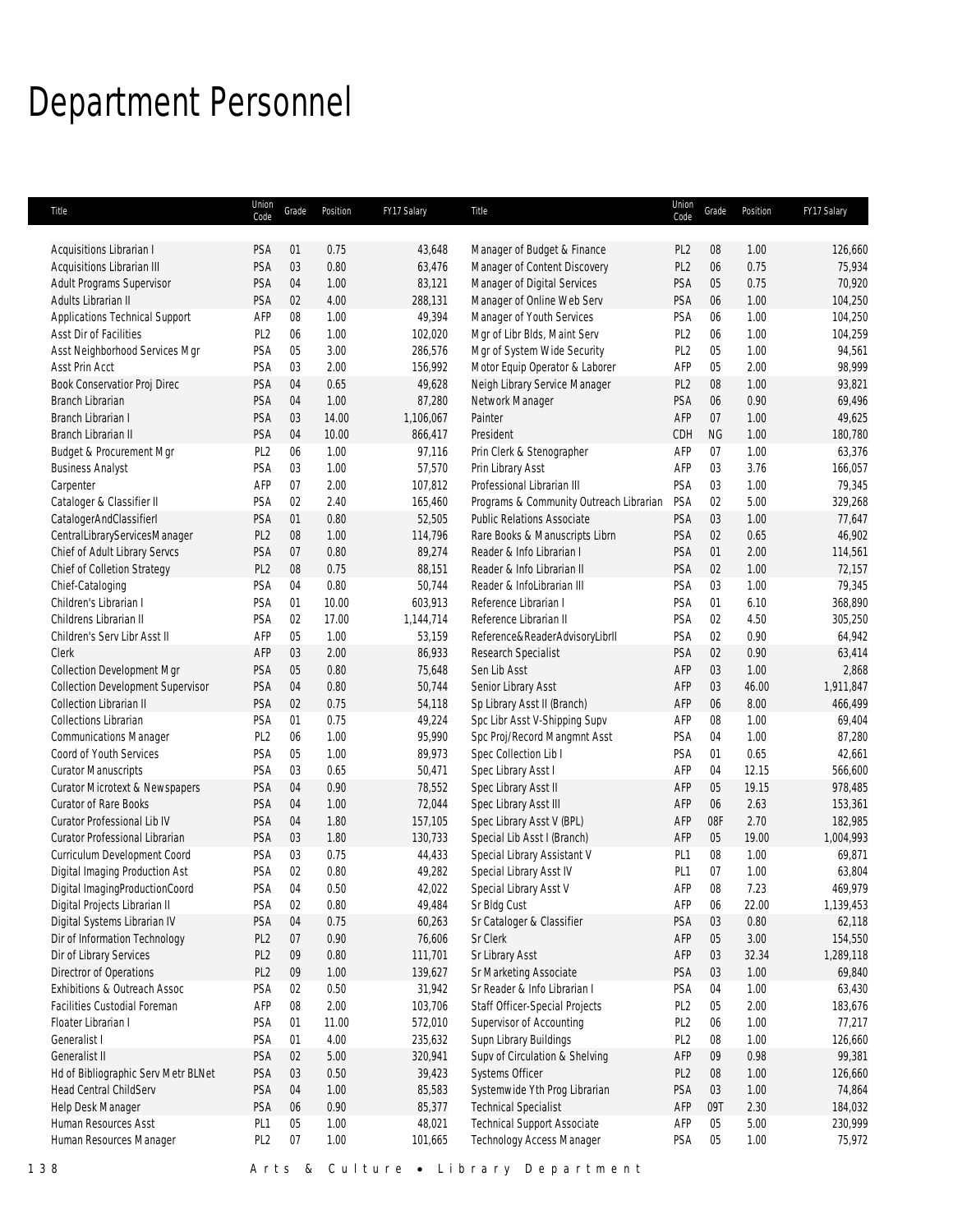# Department Personnel

| Title                                    | Union<br>Code   | Grade  | Position | FY17 Salary | <b>Title</b>                            | Union<br>Code   | Grade     | Position | FY17 Salary |
|------------------------------------------|-----------------|--------|----------|-------------|-----------------------------------------|-----------------|-----------|----------|-------------|
|                                          |                 |        |          |             |                                         |                 |           |          |             |
| Acquisitions Librarian I                 | PSA             | 01     | 0.75     | 43,648      | Manager of Budget & Finance             | PL <sub>2</sub> | 08        | 1.00     | 126,660     |
| Acquisitions Librarian III               | PSA             | 03     | 0.80     | 63,476      | Manager of Content Discovery            | PL <sub>2</sub> | 06        | 0.75     | 75,934      |
| Adult Programs Supervisor                | PSA             | 04     | 1.00     | 83,121      | Manager of Digital Services             | PSA             | 05        | 0.75     | 70,920      |
| Adults Librarian II                      | PSA             | 02     | 4.00     | 288,131     | Manager of Online Web Serv              | PSA             | 06        | 1.00     | 104,250     |
| Applications Technical Support           | AFP             | 08     | 1.00     | 49,394      | Manager of Youth Services               | PSA             | 06        | 1.00     | 104,250     |
| Asst Dir of Facilities                   | PL <sub>2</sub> | 06     | 1.00     | 102,020     | Mgr of Libr Blds, Maint Serv            | PL <sub>2</sub> | 06        | 1.00     | 104,259     |
| Asst Neighborhood Services Mgr           | PSA             | 05     | 3.00     | 286,576     | Mgr of System Wide Security             | PL <sub>2</sub> | 05        | 1.00     | 94,561      |
| Asst Prin Acct                           | PSA             | 03     | 2.00     | 156,992     | Motor Equip Operator & Laborer          | AFP             | 05        | 2.00     | 98,999      |
| Book Conservatior Proj Direc             | PSA             | 04     | 0.65     | 49,628      | Neigh Library Service Manager           | PL <sub>2</sub> | 08        | 1.00     | 93,821      |
| Branch Librarian                         | PSA             | 04     | 1.00     | 87,280      | Network Manager                         | PSA             | 06        | 0.90     | 69,496      |
| Branch Librarian I                       | PSA             | 03     | 14.00    | 1,106,067   | Painter                                 | AFP             | 07        | 1.00     | 49,625      |
| Branch Librarian II                      | PSA             | 04     | 10.00    | 866,417     | President                               | CDH             | <b>NG</b> | 1.00     | 180,780     |
| Budget & Procurement Mgr                 | PL <sub>2</sub> | 06     | 1.00     | 97,116      | Prin Clerk & Stenographer               | AFP             | 07        | 1.00     | 63,376      |
| <b>Business Analyst</b>                  | PSA             | 03     | 1.00     | 57,570      | Prin Library Asst                       | AFP             | 03        | 3.76     | 166,057     |
| Carpenter                                | AFP             | 07     | 2.00     | 107,812     | Professional Librarian III              | PSA             | 03        | 1.00     | 79,345      |
| Cataloger & Classifier II                | PSA             | 02     | 2.40     | 165,460     | Programs & Community Outreach Librarian | PSA             | 02        | 5.00     | 329,268     |
| CatalogerAndClassifierI                  | PSA             | 01     | 0.80     | 52,505      | <b>Public Relations Associate</b>       | PSA             | 03        | 1.00     | 77,647      |
| CentralLibraryServicesManager            | PL <sub>2</sub> | $08\,$ | 1.00     | 114,796     | Rare Books & Manuscripts Librn          | PSA             | 02        | 0.65     | 46,902      |
| Chief of Adult Library Servcs            | PSA             | 07     | 0.80     | 89,274      | Reader & Info Librarian I               | <b>PSA</b>      | 01        | 2.00     | 114,561     |
| Chief of Colletion Strategy              | PL <sub>2</sub> | 08     | 0.75     | 88,151      | Reader & Info Librarian II              | PSA             | 02        | 1.00     | 72,157      |
| Chief-Cataloging                         | PSA             | 04     | 0.80     | 50,744      | Reader & InfoLibrarian III              | <b>PSA</b>      | 03        | 1.00     | 79,345      |
| Children's Librarian I                   | PSA             | 01     | 10.00    | 603,913     | Reference Librarian I                   | PSA             | 01        | 6.10     | 368,890     |
| Childrens Librarian II                   | PSA             | 02     | 17.00    | 1,144,714   | Reference Librarian II                  | PSA             | 02        | 4.50     | 305,250     |
| Children's Serv Libr Asst II             | AFP             | 05     | 1.00     | 53,159      | Reference&ReaderAdvisoryLibrII          | PSA             | 02        | 0.90     | 64,942      |
| Clerk                                    | AFP             | 03     | 2.00     | 86,933      | Research Specialist                     | <b>PSA</b>      | 02        | 0.90     | 63,414      |
| <b>Collection Development Mgr</b>        | PSA             | 05     | 0.80     | 75,648      | Sen Lib Asst                            | AFP             | 03        | 1.00     | 2,868       |
| <b>Collection Development Supervisor</b> | PSA             | 04     | 0.80     | 50,744      | Senior Library Asst                     | AFP             | 03        | 46.00    | 1,911,847   |
| Collection Librarian II                  | PSA             | 02     | 0.75     | 54,118      | Sp Library Asst II (Branch)             | AFP             | 06        | 8.00     | 466,499     |
| <b>Collections Librarian</b>             | PSA             | 01     | 0.75     | 49,224      | Spc Libr Asst V-Shipping Supv           | AFP             | 08        | 1.00     | 69,404      |
| <b>Communications Manager</b>            | PL <sub>2</sub> | 06     | 1.00     | 95,990      | Spc Proj/Record Mangmnt Asst            | PSA             | 04        | 1.00     | 87,280      |
| Coord of Youth Services                  | PSA             | 05     | 1.00     | 89,973      | Spec Collection Lib I                   | PSA             | 01        | 0.65     | 42,661      |
| <b>Curator Manuscripts</b>               | PSA             | 03     | 0.65     | 50,471      | Spec Library Asst I                     | AFP             | 04        | 12.15    | 566,600     |
| Curator Microtext & Newspapers           | PSA             | 04     | 0.90     | 78,552      | Spec Library Asst II                    | AFP             | 05        | 19.15    | 978,485     |
| <b>Curator of Rare Books</b>             | PSA             | 04     | 1.00     | 72,044      | Spec Library Asst III                   | AFP             | 06        | 2.63     | 153,361     |
| <b>Curator Professional Lib IV</b>       | PSA             | 04     | 1.80     | 157,105     | Spec Library Asst V (BPL)               | AFP             | 08F       | 2.70     | 182,985     |
| Curator Professional Librarian           | PSA             | 03     | 1.80     | 130,733     | Special Lib Asst I (Branch)             | AFP             | 05        | 19.00    | 1,004,993   |
| Curriculum Development Coord             | PSA             | 03     | 0.75     | 44,433      | Special Library Assistant V             | PL <sub>1</sub> | 08        | 1.00     | 69,871      |
| Digital Imaging Production Ast           | PSA             | 02     | 0.80     | 49,282      | Special Library Asst IV                 | PL <sub>1</sub> | 07        | 1.00     | 63,804      |
| Digital ImagingProductionCoord           | PSA             | 04     | 0.50     | 42,022      | Special Library Asst V                  | AFP             | 08        | 7.23     | 469,979     |
| Digital Projects Librarian II            | PSA             | 02     | 0.80     | 49,484      | Sr Bldg Cust                            | AFP             | 06        | 22.00    | 1,139,453   |
| Digital Systems Librarian IV             | PSA             | 04     | 0.75     | 60,263      | Sr Cataloger & Classifier               | PSA             | 03        | 0.80     | 62,118      |
| Dir of Information Technology            | PL <sub>2</sub> | 07     | 0.90     | 76,606      | Sr Clerk                                | AFP             | 05        | 3.00     | 154,550     |
| Dir of Library Services                  | PL <sub>2</sub> | 09     | 0.80     | 111,701     | Sr Library Asst                         | AFP             | 03        | 32.34    | 1,289,118   |
| Directror of Operations                  | PL <sub>2</sub> | 09     | 1.00     | 139,627     | Sr Marketing Associate                  | PSA             | 03        | 1.00     | 69,840      |
| Exhibitions & Outreach Assoc             | PSA             | 02     | 0.50     | 31,942      | Sr Reader & Info Librarian I            | PSA             | 04        | 1.00     | 63,430      |
| <b>Facilities Custodial Foreman</b>      | AFP             | 08     | 2.00     | 103,706     | Staff Officer-Special Projects          | PL <sub>2</sub> | 05        | 2.00     | 183,676     |
| Floater Librarian I                      | PSA             | 01     | 11.00    | 572,010     | Supervisor of Accounting                | PL <sub>2</sub> | 06        | 1.00     | 77,217      |
| Generalist I                             | PSA             | 01     | 4.00     | 235,632     | Supn Library Buildings                  | PL <sub>2</sub> | 08        | 1.00     | 126,660     |
| Generalist II                            | PSA             | 02     | 5.00     | 320,941     | Supv of Circulation & Shelving          | AFP             | 09        | 0.98     | 99,381      |
| Hd of Bibliographic Serv Metr BLNet      | PSA             | 03     | 0.50     | 39,423      | Systems Officer                         | PL <sub>2</sub> | 08        | 1.00     | 126,660     |
| Head Central ChildServ                   | PSA             | 04     | 1.00     | 85,583      | Systemwide Yth Prog Librarian           | PSA             | 03        | 1.00     | 74,864      |
| Help Desk Manager                        | PSA             | 06     | 0.90     | 85,377      | <b>Technical Specialist</b>             | AFP             | 09T       | 2.30     | 184,032     |
| Human Resources Asst                     | PL <sub>1</sub> | 05     | 1.00     | 48,021      | <b>Technical Support Associate</b>      | AFP             | 05        | 5.00     | 230,999     |
| Human Resources Manager                  | PL <sub>2</sub> | 07     | 1.00     | 101,665     | Technology Access Manager               | PSA             | 05        | 1.00     | 75,972      |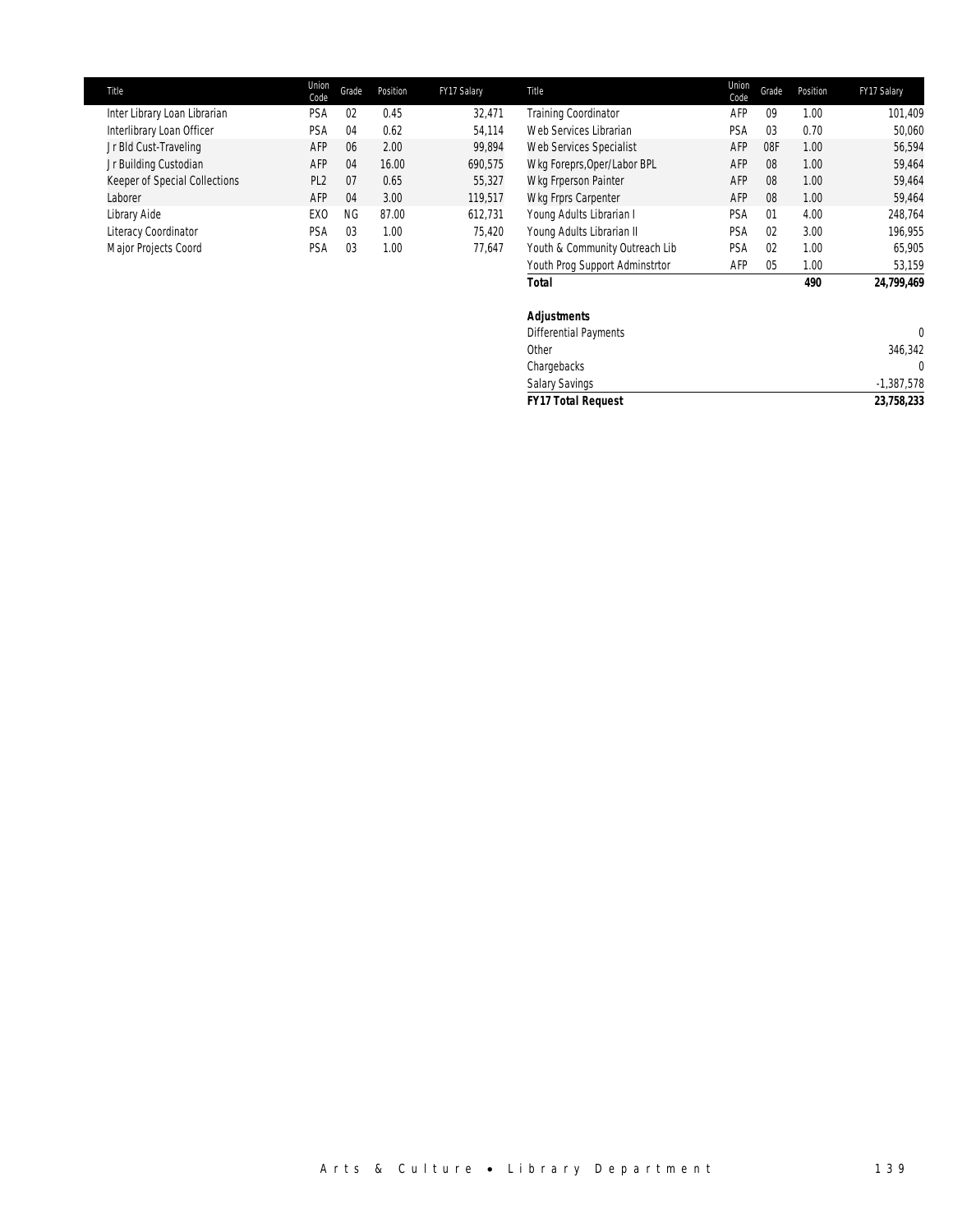| Title                         | Union<br>Code   | Grade | Position | FY17 Salary | Title                                                               | Union<br>Code | Grade          | Position | FY17 Salary  |
|-------------------------------|-----------------|-------|----------|-------------|---------------------------------------------------------------------|---------------|----------------|----------|--------------|
| Inter Library Loan Librarian  | <b>PSA</b>      | 02    | 0.45     | 32.471      | <b>Training Coordinator</b>                                         | AFP           | 09             | 1.00     | 101,409      |
| Interlibrary Loan Officer     | PSA             | 04    | 0.62     | 54.114      | Web Services Librarian                                              | PSA           | 03             | 0.70     | 50,060       |
| Jr Bld Cust-Traveling         | AFP             | 06    | 2.00     | 99,894      | Web Services Specialist                                             | AFP           | 08F            | 1.00     | 56,594       |
| Jr Building Custodian         | AFP             | 04    | 16.00    | 690,575     | Wkg Foreprs, Oper/Labor BPL                                         | AFP           | 08             | 1.00     | 59,464       |
| Keeper of Special Collections | PL <sub>2</sub> | 07    | 0.65     | 55.327      | Wkg Frperson Painter                                                | AFP           | 08             | 1.00     | 59.464       |
| Laborer                       | AFP             | 04    | 3.00     | 119.517     | Wkg Frprs Carpenter                                                 | AFP           | 08             | 1.00     | 59.464       |
| Library Aide                  | EX <sub>0</sub> | NG    | 87.00    | 612.731     | Young Adults Librarian I                                            | <b>PSA</b>    | 01             | 4.00     | 248,764      |
| Literacy Coordinator          | PSA             | 03    | 1.00     | 75.420      | Young Adults Librarian II                                           | PSA           | 02             | 3.00     | 196,955      |
| Major Projects Coord          | PSA             | 03    | 1.00     | 77.647      | Youth & Community Outreach Lib                                      | PSA           | 0 <sup>2</sup> | 1.00     | 65,905       |
|                               |                 |       |          |             | $\mathcal{L}$ and $\mathcal{L}$ and $\mathcal{L}$ and $\mathcal{L}$ | 0.55          | $\sim$         | $\sim$   | <b>COMPO</b> |

| Youth Prog Support Adminstrtor | AFP | 05 | 1.00 | 53,159       |
|--------------------------------|-----|----|------|--------------|
| <b>Total</b>                   |     |    | 490  | 24,799,469   |
| <b>Adjustments</b>             |     |    |      |              |
| <b>Differential Payments</b>   |     |    |      | $\mathbf{0}$ |
| Other                          |     |    |      | 346,342      |
| Chargebacks                    |     |    |      | $\mathbf{0}$ |
| <b>Salary Savings</b>          |     |    |      | $-1,387,578$ |
| <b>FY17 Total Request</b>      |     |    |      | 23,758,233   |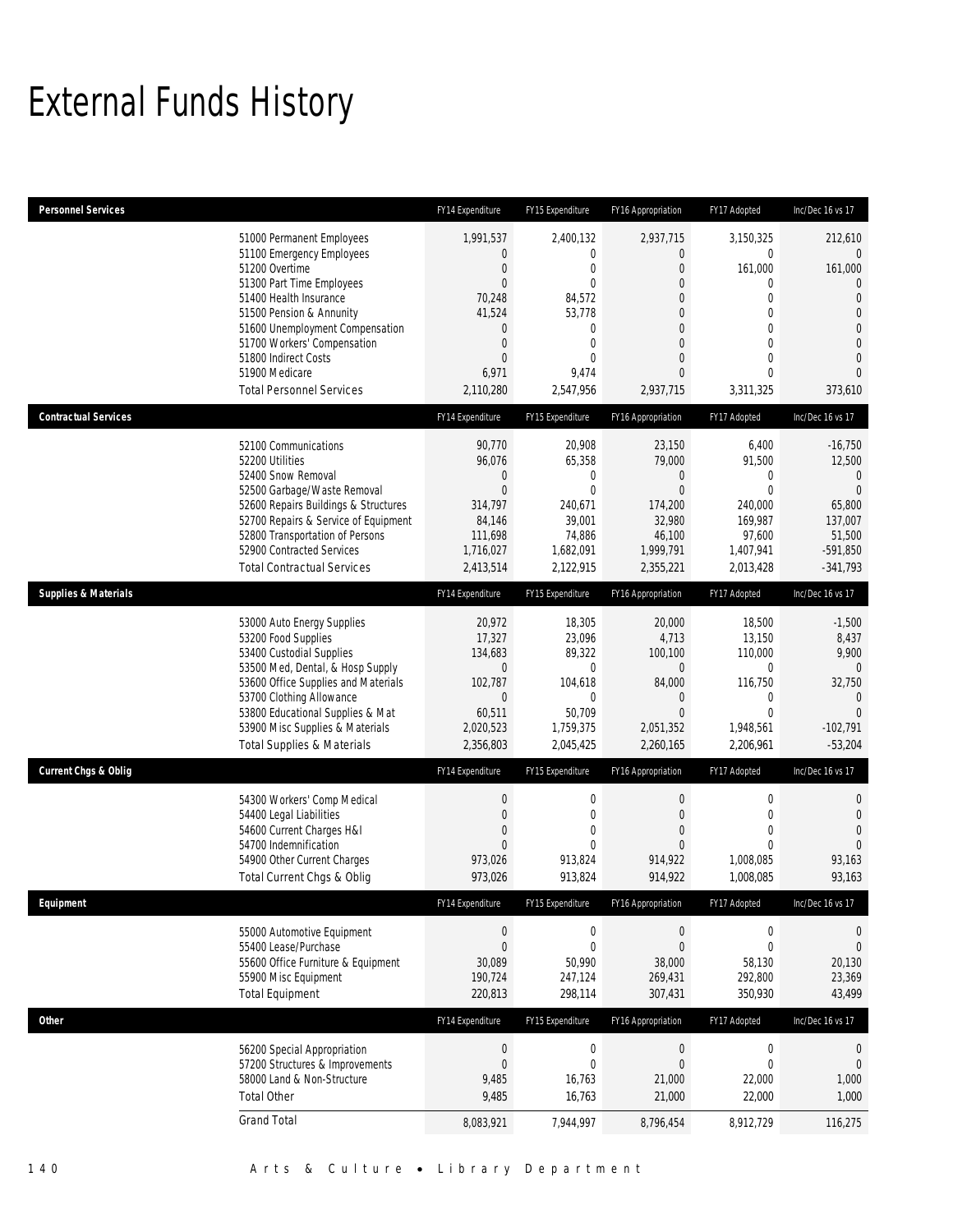## External Funds History

| <b>Personnel Services</b>       |                                                                                                                                                                                                                                                                                                            | FY14 Expenditure                                                                                            | FY15 Expenditure                                                                                                                                    | FY16 Appropriation                                                                                                                                                        | FY17 Adopted                                                                                                                                                   | Inc/Dec 16 vs 17                                                                                                                                              |
|---------------------------------|------------------------------------------------------------------------------------------------------------------------------------------------------------------------------------------------------------------------------------------------------------------------------------------------------------|-------------------------------------------------------------------------------------------------------------|-----------------------------------------------------------------------------------------------------------------------------------------------------|---------------------------------------------------------------------------------------------------------------------------------------------------------------------------|----------------------------------------------------------------------------------------------------------------------------------------------------------------|---------------------------------------------------------------------------------------------------------------------------------------------------------------|
|                                 | 51000 Permanent Employees<br>51100 Emergency Employees<br>51200 Overtime<br>51300 Part Time Employees<br>51400 Health Insurance<br>51500 Pension & Annunity<br>51600 Unemployment Compensation<br>51700 Workers' Compensation<br>51800 Indirect Costs<br>51900 Medicare<br><b>Total Personnel Services</b> | 1,991,537<br>0<br>0<br>$\overline{0}$<br>70,248<br>41,524<br>0<br>0<br>$\overline{0}$<br>6,971<br>2,110,280 | 2,400,132<br>$\mathbf{0}$<br>$\mathbf{0}$<br>$\mathbf{0}$<br>84,572<br>53,778<br>$\mathbf{0}$<br>$\mathbf{0}$<br>$\mathbf{0}$<br>9,474<br>2,547,956 | 2,937,715<br>$\mathbf 0$<br>$\overline{0}$<br>$\mathbf{0}$<br>$\mathbf{0}$<br>$\theta$<br>$\overline{0}$<br>$\overline{0}$<br>$\mathbf{0}$<br>$\overline{0}$<br>2,937,715 | 3,150,325<br>$\mathbf{0}$<br>161,000<br>$\mathbf 0$<br>$\mathbf{0}$<br>$\mathbf{0}$<br>$\overline{0}$<br>$\mathbf{0}$<br>$\mathbf{0}$<br>$\Omega$<br>3,311,325 | 212,610<br>$\overline{0}$<br>161,000<br>$\mathbf 0$<br>$\mathbf 0$<br>$\mathbf{0}$<br>$\boldsymbol{0}$<br>$\mathbf{0}$<br>$\mathbf{0}$<br>$\theta$<br>373,610 |
| <b>Contractual Services</b>     |                                                                                                                                                                                                                                                                                                            | FY14 Expenditure                                                                                            | FY15 Expenditure                                                                                                                                    | FY16 Appropriation                                                                                                                                                        | FY17 Adopted                                                                                                                                                   | Inc/Dec 16 vs 17                                                                                                                                              |
|                                 | 52100 Communications<br>52200 Utilities<br>52400 Snow Removal<br>52500 Garbage/Waste Removal<br>52600 Repairs Buildings & Structures<br>52700 Repairs & Service of Equipment<br>52800 Transportation of Persons<br>52900 Contracted Services<br><b>Total Contractual Services</b>                          | 90,770<br>96,076<br>$\mathbf 0$<br>$\overline{0}$<br>314,797<br>84,146<br>111,698<br>1,716,027<br>2,413,514 | 20,908<br>65,358<br>$\mathbf 0$<br>$\mathbf{0}$<br>240,671<br>39,001<br>74,886<br>1,682,091<br>2,122,915                                            | 23,150<br>79,000<br>$\boldsymbol{0}$<br>$\mathbf{0}$<br>174,200<br>32,980<br>46,100<br>1,999,791<br>2,355,221                                                             | 6,400<br>91,500<br>$\mathbf 0$<br>$\Omega$<br>240,000<br>169,987<br>97,600<br>1,407,941<br>2,013,428                                                           | $-16,750$<br>12,500<br>$\mathbf 0$<br>$\overline{0}$<br>65,800<br>137,007<br>51,500<br>$-591,850$<br>$-341,793$                                               |
| <b>Supplies &amp; Materials</b> |                                                                                                                                                                                                                                                                                                            | FY14 Expenditure                                                                                            | FY15 Expenditure                                                                                                                                    | FY16 Appropriation                                                                                                                                                        | FY17 Adopted                                                                                                                                                   | Inc/Dec 16 vs 17                                                                                                                                              |
|                                 | 53000 Auto Energy Supplies<br>53200 Food Supplies<br>53400 Custodial Supplies<br>53500 Med, Dental, & Hosp Supply<br>53600 Office Supplies and Materials<br>53700 Clothing Allowance<br>53800 Educational Supplies & Mat<br>53900 Misc Supplies & Materials<br><b>Total Supplies &amp; Materials</b>       | 20,972<br>17,327<br>134,683<br>$\mathbf 0$<br>102,787<br>$\overline{0}$<br>60,511<br>2,020,523<br>2,356,803 | 18,305<br>23,096<br>89,322<br>0<br>104,618<br>$\mathbf 0$<br>50,709<br>1,759,375<br>2,045,425                                                       | 20,000<br>4,713<br>100,100<br>$\mathbf 0$<br>84,000<br>$\theta$<br>$\overline{0}$<br>2,051,352<br>2,260,165                                                               | 18,500<br>13,150<br>110,000<br>0<br>116,750<br>$\mathbf 0$<br>$\Omega$<br>1,948,561<br>2,206,961                                                               | $-1,500$<br>8,437<br>9,900<br>$\overline{0}$<br>32,750<br>$\Omega$<br>$\Omega$<br>$-102,791$<br>$-53,204$                                                     |
| <b>Current Chgs &amp; Oblig</b> |                                                                                                                                                                                                                                                                                                            | FY14 Expenditure                                                                                            | FY15 Expenditure                                                                                                                                    | FY16 Appropriation                                                                                                                                                        | FY17 Adopted                                                                                                                                                   | Inc/Dec 16 vs 17                                                                                                                                              |
|                                 | 54300 Workers' Comp Medical<br>54400 Legal Liabilities<br>54600 Current Charges H&I<br>54700 Indemnification<br>54900 Other Current Charges<br>Total Current Chgs & Oblig                                                                                                                                  | $\boldsymbol{0}$<br>0<br>$\overline{0}$<br>0<br>973,026<br>973,026                                          | $\mathbf 0$<br>$\mathbf{0}$<br>$\mathbf{0}$<br>$\Omega$<br>913,824<br>913,824                                                                       | $\boldsymbol{0}$<br>$\mathbf{0}$<br>$\overline{0}$<br>$\Omega$<br>914,922<br>914,922                                                                                      | $\mathbf 0$<br>$\mathbf{0}$<br>$\overline{0}$<br>$\mathbf{0}$<br>1.008.085<br>1,008,085                                                                        | $\mathbf 0$<br>$\mathbf 0$<br>$\mathbf{0}$<br>$\mathbf{0}$<br>93,163<br>93,163                                                                                |
| Equipment                       |                                                                                                                                                                                                                                                                                                            | FY14 Expenditure                                                                                            | FY15 Expenditure                                                                                                                                    | FY16 Appropriation                                                                                                                                                        | FY17 Adopted                                                                                                                                                   | Inc/Dec 16 vs 17                                                                                                                                              |
|                                 | 55000 Automotive Equipment<br>55400 Lease/Purchase<br>55600 Office Furniture & Equipment<br>55900 Misc Equipment<br><b>Total Equipment</b>                                                                                                                                                                 | $\boldsymbol{0}$<br>$\boldsymbol{0}$<br>30,089<br>190,724<br>220,813                                        | $\boldsymbol{0}$<br>$\mathbf 0$<br>50,990<br>247,124<br>298,114                                                                                     | $\boldsymbol{0}$<br>$\boldsymbol{0}$<br>38,000<br>269,431<br>307,431                                                                                                      | $\boldsymbol{0}$<br>$\mathbf 0$<br>58,130<br>292,800<br>350,930                                                                                                | $\mathbf 0$<br>$\mathbf 0$<br>20,130<br>23,369<br>43,499                                                                                                      |
| Other                           |                                                                                                                                                                                                                                                                                                            | FY14 Expenditure                                                                                            | FY15 Expenditure                                                                                                                                    | FY16 Appropriation                                                                                                                                                        | FY17 Adopted                                                                                                                                                   | Inc/Dec 16 vs 17                                                                                                                                              |
|                                 | 56200 Special Appropriation<br>57200 Structures & Improvements<br>58000 Land & Non-Structure<br><b>Total Other</b><br><b>Grand Total</b>                                                                                                                                                                   | $\boldsymbol{0}$<br>$\overline{0}$<br>9,485<br>9,485                                                        | $\boldsymbol{0}$<br>$\boldsymbol{0}$<br>16,763<br>16,763                                                                                            | $\boldsymbol{0}$<br>$\boldsymbol{0}$<br>21,000<br>21,000                                                                                                                  | $\mathbf 0$<br>$\mathbf 0$<br>22,000<br>22,000                                                                                                                 | $\mathbf 0$<br>$\mathbf 0$<br>1,000<br>1,000                                                                                                                  |
|                                 |                                                                                                                                                                                                                                                                                                            | 8,083,921                                                                                                   | 7,944,997                                                                                                                                           | 8,796,454                                                                                                                                                                 | 8,912,729                                                                                                                                                      | 116,275                                                                                                                                                       |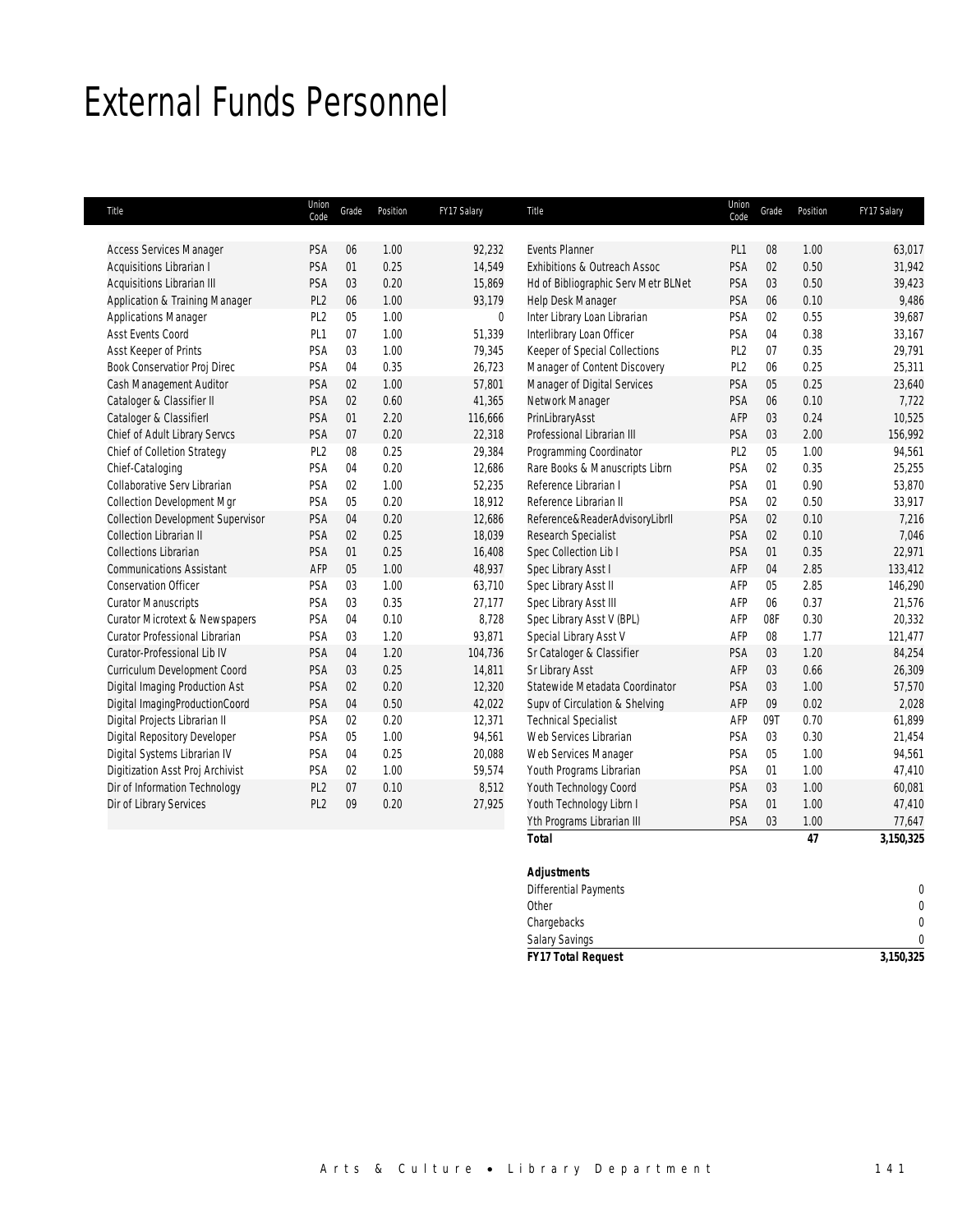### External Funds Personnel

| Title                                    | Union<br>Code   | Grade | Position | FY17 Salary | Title                               | Union<br>Code   | Grade | Position | FY17 Salary |
|------------------------------------------|-----------------|-------|----------|-------------|-------------------------------------|-----------------|-------|----------|-------------|
|                                          |                 |       |          |             |                                     |                 |       |          |             |
| <b>Access Services Manager</b>           | PSA             | 06    | 1.00     | 92,232      | <b>Events Planner</b>               | PL <sub>1</sub> | 08    | 1.00     | 63,017      |
| Acquisitions Librarian I                 | PSA             | 01    | 0.25     | 14,549      | Exhibitions & Outreach Assoc        | PSA             | 02    | 0.50     | 31,942      |
| <b>Acquisitions Librarian III</b>        | PSA             | 03    | 0.20     | 15,869      | Hd of Bibliographic Serv Metr BLNet | PSA             | 03    | 0.50     | 39,423      |
| Application & Training Manager           | PL <sub>2</sub> | 06    | 1.00     | 93,179      | Help Desk Manager                   | PSA             | 06    | 0.10     | 9,486       |
| <b>Applications Manager</b>              | PL <sub>2</sub> | 05    | 1.00     | $\mathbf 0$ | Inter Library Loan Librarian        | PSA             | 02    | 0.55     | 39,687      |
| Asst Events Coord                        | PL <sub>1</sub> | 07    | 1.00     | 51,339      | Interlibrary Loan Officer           | PSA             | 04    | 0.38     | 33,167      |
| Asst Keeper of Prints                    | PSA             | 03    | 1.00     | 79,345      | Keeper of Special Collections       | PL <sub>2</sub> | 07    | 0.35     | 29,791      |
| Book Conservatior Proj Direc             | PSA             | 04    | 0.35     | 26,723      | Manager of Content Discovery        | PL <sub>2</sub> | 06    | 0.25     | 25,311      |
| Cash Management Auditor                  | PSA             | 02    | 1.00     | 57,801      | Manager of Digital Services         | PSA             | 05    | 0.25     | 23,640      |
| Cataloger & Classifier II                | PSA             | 02    | 0.60     | 41,365      | Network Manager                     | PSA             | 06    | 0.10     | 7,722       |
| Cataloger & Classifierl                  | PSA             | 01    | 2.20     | 116,666     | PrinLibraryAsst                     | AFP             | 03    | 0.24     | 10,525      |
| Chief of Adult Library Servcs            | PSA             | 07    | 0.20     | 22,318      | Professional Librarian III          | PSA             | 03    | 2.00     | 156,992     |
| Chief of Colletion Strategy              | PL <sub>2</sub> | 08    | 0.25     | 29,384      | Programming Coordinator             | PL <sub>2</sub> | 05    | 1.00     | 94,561      |
| Chief-Cataloging                         | PSA             | 04    | 0.20     | 12,686      | Rare Books & Manuscripts Librn      | PSA             | 02    | 0.35     | 25,255      |
| Collaborative Serv Librarian             | PSA             | 02    | 1.00     | 52,235      | Reference Librarian I               | PSA             | 01    | 0.90     | 53,870      |
| <b>Collection Development Mgr</b>        | PSA             | 05    | 0.20     | 18,912      | Reference Librarian II              | PSA             | 02    | 0.50     | 33,917      |
| <b>Collection Development Supervisor</b> | PSA             | 04    | 0.20     | 12,686      | Reference&ReaderAdvisoryLibrII      | PSA             | 02    | 0.10     | 7,216       |
| Collection Librarian II                  | PSA             | 02    | 0.25     | 18,039      | Research Specialist                 | PSA             | 02    | 0.10     | 7,046       |
| <b>Collections Librarian</b>             | PSA             | 01    | 0.25     | 16,408      | Spec Collection Lib I               | PSA             | 01    | 0.35     | 22,971      |
| <b>Communications Assistant</b>          | AFP             | 05    | 1.00     | 48,937      | Spec Library Asst I                 | AFP             | 04    | 2.85     | 133,412     |
| <b>Conservation Officer</b>              | PSA             | 03    | 1.00     | 63,710      | Spec Library Asst II                | AFP             | 05    | 2.85     | 146,290     |
| <b>Curator Manuscripts</b>               | PSA             | 03    | 0.35     | 27,177      | Spec Library Asst III               | AFP             | 06    | 0.37     | 21,576      |
| Curator Microtext & Newspapers           | PSA             | 04    | 0.10     | 8,728       | Spec Library Asst V (BPL)           | AFP             | 08F   | 0.30     | 20,332      |
| Curator Professional Librarian           | PSA             | 03    | 1.20     | 93,871      | Special Library Asst V              | AFP             | 08    | 1.77     | 121,477     |
| Curator-Professional Lib IV              | PSA             | 04    | 1.20     | 104,736     | Sr Cataloger & Classifier           | PSA             | 03    | 1.20     | 84,254      |
| Curriculum Development Coord             | PSA             | 03    | 0.25     | 14,811      | Sr Library Asst                     | AFP             | 03    | 0.66     | 26,309      |
| Digital Imaging Production Ast           | PSA             | 02    | 0.20     | 12,320      | Statewide Metadata Coordinator      | PSA             | 03    | 1.00     | 57,570      |
| Digital ImagingProductionCoord           | PSA             | 04    | 0.50     | 42,022      | Supv of Circulation & Shelving      | AFP             | 09    | 0.02     | 2,028       |
| Digital Projects Librarian II            | PSA             | 02    | 0.20     | 12,371      | <b>Technical Specialist</b>         | AFP             | 09T   | 0.70     | 61,899      |
| Digital Repository Developer             | PSA             | 05    | 1.00     | 94,561      | Web Services Librarian              | PSA             | 03    | 0.30     | 21,454      |
| Digital Systems Librarian IV             | PSA             | 04    | 0.25     | 20,088      | Web Services Manager                | PSA             | 05    | 1.00     | 94,561      |
| Digitization Asst Proj Archivist         | PSA             | 02    | 1.00     | 59,574      | Youth Programs Librarian            | PSA             | 01    | 1.00     | 47,410      |
| Dir of Information Technology            | PL <sub>2</sub> | 07    | 0.10     | 8,512       | Youth Technology Coord              | PSA             | 03    | 1.00     | 60,081      |
| Dir of Library Services                  | PL <sub>2</sub> | 09    | 0.20     | 27,925      | Youth Technology Librn I            | PSA             | 01    | 1.00     | 47,410      |
|                                          |                 |       |          |             | Yth Programs Librarian III          | PSA             | 03    | 1.00     | 77,647      |
|                                          |                 |       |          |             | <b>Total</b>                        |                 |       | 47       | 3,150,325   |

### *Adjustments*

| <b>FY17 Total Request</b> | 3,150,325 |
|---------------------------|-----------|
| <b>Salary Savings</b>     | 0         |
| Chargebacks               | $\Omega$  |
| Other                     | $\Omega$  |
| Differential Payments     | 0         |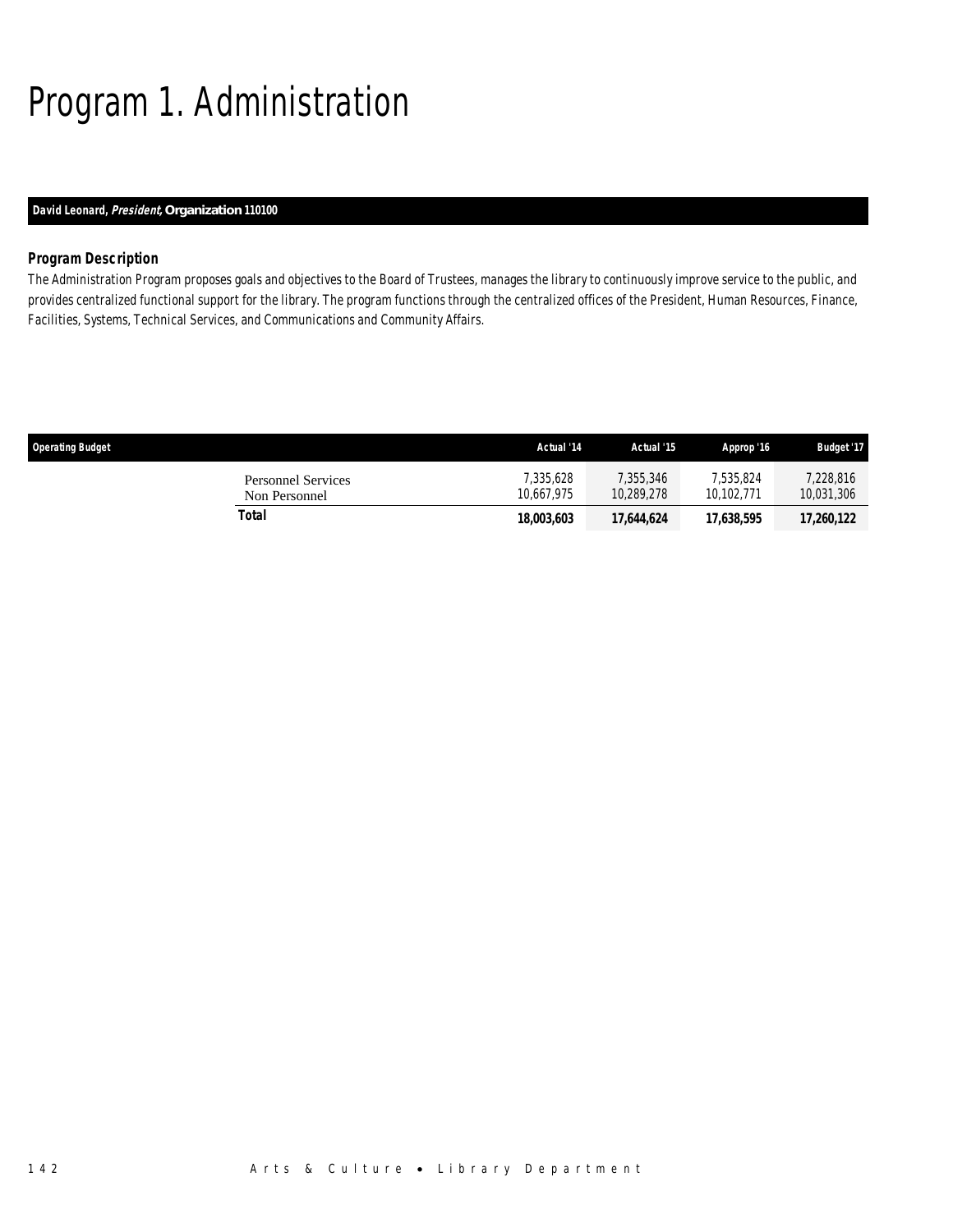## Program 1. Administration

### *David Leonard, President, Organization 110100*

### *Program Description*

The Administration Program proposes goals and objectives to the Board of Trustees, manages the library to continuously improve service to the public, and provides centralized functional support for the library. The program functions through the centralized offices of the President, Human Resources, Finance, Facilities, Systems, Technical Services, and Communications and Community Affairs.

| <b>Operating Budget</b>             | Actual '14              | Actual '15              | Approp '16              | <b>Budget '17</b>       |
|-------------------------------------|-------------------------|-------------------------|-------------------------|-------------------------|
| Personnel Services<br>Non Personnel | 7.335.628<br>10.667.975 | 7.355.346<br>10,289,278 | 7.535.824<br>10.102.771 | 7,228,816<br>10,031,306 |
| Total                               | 18.003.603              | 17.644.624              | 17,638,595              | 17,260,122              |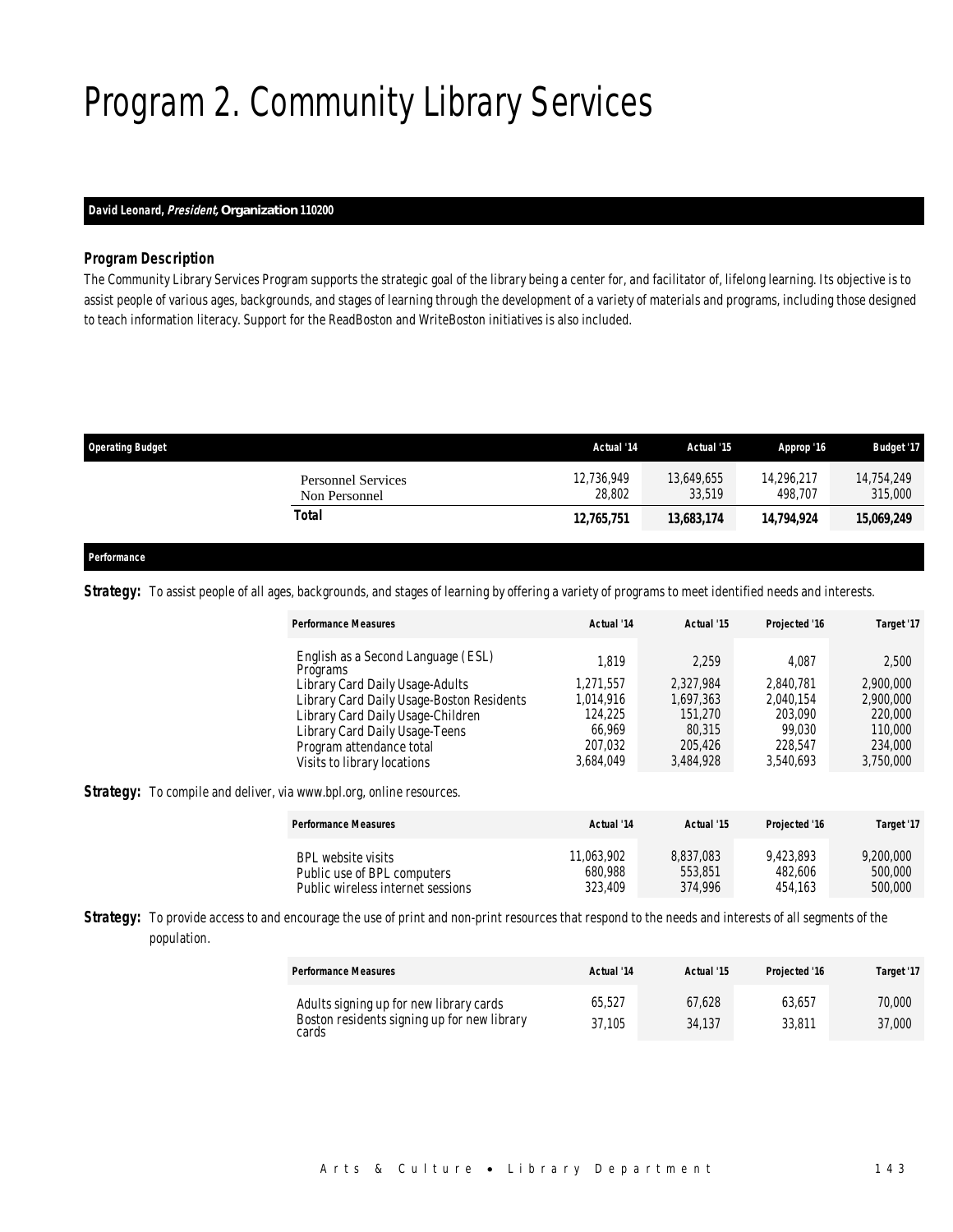## Program 2. Community Library Services

### *David Leonard, President, Organization 110200*

#### *Program Description*

The Community Library Services Program supports the strategic goal of the library being a center for, and facilitator of, lifelong learning. Its objective is to assist people of various ages, backgrounds, and stages of learning through the development of a variety of materials and programs, including those designed to teach information literacy. Support for the ReadBoston and WriteBoston initiatives is also included.

| <b>Operating Budget</b>                    | Actual '14           | Actual '15           | Approp '16            | <b>Budget '17</b>     |
|--------------------------------------------|----------------------|----------------------|-----------------------|-----------------------|
| <b>Personnel Services</b><br>Non Personnel | 12.736.949<br>28,802 | 13,649,655<br>33,519 | 14.296.217<br>498.707 | 14.754.249<br>315,000 |
| Total                                      | 12,765,751           | 13,683,174           | 14,794,924            | 15,069,249            |
|                                            |                      |                      |                       |                       |

### *Performance*

Strategy: To assist people of all ages, backgrounds, and stages of learning by offering a variety of programs to meet identified needs and interests.

| <b>Performance Measures</b>                    | Actual '14 | Actual '15 | Projected '16 | Target '17 |
|------------------------------------------------|------------|------------|---------------|------------|
| English as a Second Language (ESL)<br>Programs | 1.819      | 2.259      | 4.087         | 2,500      |
| Library Card Daily Usage-Adults                | 1.271.557  | 2,327,984  | 2.840.781     | 2,900,000  |
| Library Card Daily Usage-Boston Residents      | 1,014,916  | 1.697.363  | 2,040,154     | 2,900,000  |
| Library Card Daily Usage-Children              | 124,225    | 151,270    | 203,090       | 220,000    |
| Library Card Daily Usage-Teens                 | 66.969     | 80.315     | 99.030        | 110,000    |
| Program attendance total                       | 207.032    | 205.426    | 228,547       | 234,000    |
| Visits to library locations                    | 3.684.049  | 3,484,928  | 3,540,693     | 3,750,000  |

**Strategy:** To compile and deliver, via www.bpl.org, online resources.

| <b>Performance Measures</b>       | Actual '14 | Actual '15 | Projected '16 | Target '17 |
|-----------------------------------|------------|------------|---------------|------------|
| BPL website visits                | 11.063.902 | 8.837.083  | 9.423.893     | 9,200,000  |
| Public use of BPL computers       | 680,988    | 553,851    | 482,606       | 500,000    |
| Public wireless internet sessions | 323.409    | 374.996    | 454.163       | 500,000    |

Strategy: To provide access to and encourage the use of print and non-print resources that respond to the needs and interests of all segments of the population.

| <b>Performance Measures</b>                                                                     | Actual '14       | Actual '15       | Projected '16    | Target '17       |
|-------------------------------------------------------------------------------------------------|------------------|------------------|------------------|------------------|
| Adults signing up for new library cards<br>Boston residents signing up for new library<br>cards | 65.527<br>37.105 | 67.628<br>34.137 | 63.657<br>33,811 | 70,000<br>37,000 |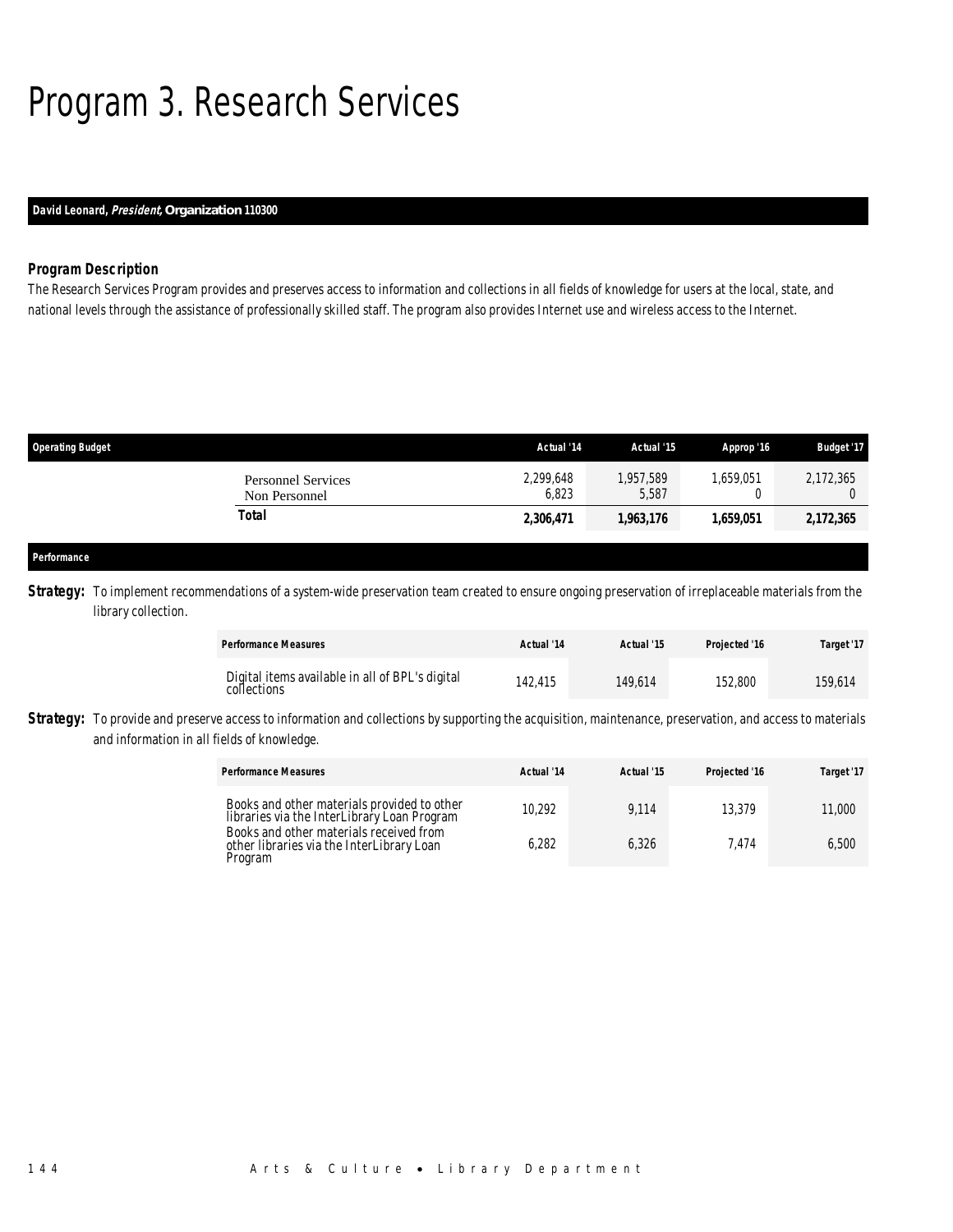## Program 3. Research Services

### *David Leonard, President, Organization 110300*

### *Program Description*

The Research Services Program provides and preserves access to information and collections in all fields of knowledge for users at the local, state, and national levels through the assistance of professionally skilled staff. The program also provides Internet use and wireless access to the Internet.

| <b>Operating Budget</b>                    | Actual '14         | Actual '15         | Approp '16 | <b>Budget '17</b> |
|--------------------------------------------|--------------------|--------------------|------------|-------------------|
| <b>Personnel Services</b><br>Non Personnel | 2,299,648<br>6,823 | 1,957,589<br>5,587 | ,659,051   | 2,172,365         |
| Total                                      | 2,306,471          | 1,963,176          | 1.659.051  | 2,172,365         |
|                                            |                    |                    |            |                   |
| Performance                                |                    |                    |            |                   |

**Strategy:** To implement recommendations of a system-wide preservation team created to ensure ongoing preservation of irreplaceable materials from the library collection.

| <b>Performance Measures</b>                                    | Actual '14 | Actual '15 | Projected '16 | Target '17 |
|----------------------------------------------------------------|------------|------------|---------------|------------|
| Digital items available in all of BPL's digital<br>collections | 142.415    | 149.614    | 152.800       | 159.614    |

**Strategy:** To provide and preserve access to information and collections by supporting the acquisition, maintenance, preservation, and access to materials and information in all fields of knowledge.

| <b>Performance Measures</b>                                                                     | Actual '14 | Actual '15 | Projected '16 | Target '17 |
|-------------------------------------------------------------------------------------------------|------------|------------|---------------|------------|
| Books and other materials provided to other<br>libraries via the InterLibrary Loan Program      | 10.292     | 9.114      | 13.379        | 11,000     |
| Books and other materials received from<br>other libraries via the InterLibrary Loan<br>Program | 6,282      | 6.326      | 474.          | 6.500      |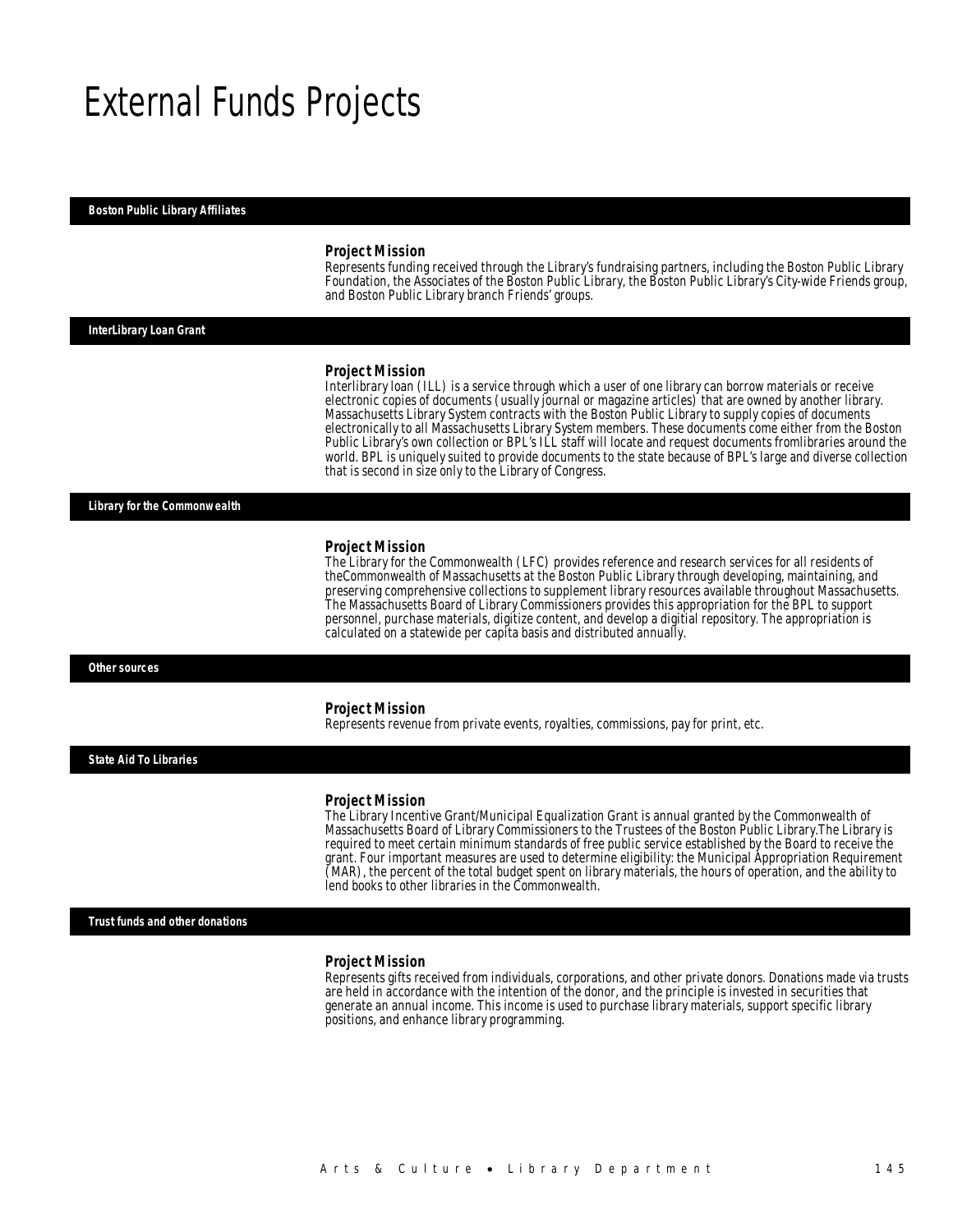### External Funds Projects

#### *Boston Public Library Affiliates*

#### *Project Mission*

Represents funding received through the Library's fundraising partners, including the Boston Public Library Foundation, the Associates of the Boston Public Library, the Boston Public Library's City-wide Friends group, and Boston Public Library branch Friends' groups.

#### *InterLibrary Loan Grant*

#### *Project Mission*

Interlibrary loan (ILL) is a service through which a user of one library can borrow materials or receive electronic copies of documents (usually journal or magazine articles) that are owned by another library. Massachusetts Library System contracts with the Boston Public Library to supply copies of documents electronically to all Massachusetts Library System members. These documents come either from the Boston Public Library's own collection or BPL's ILL staff will locate and request documents fromlibraries around the world. BPL is uniquely suited to provide documents to the state because of BPL's large and diverse collection that is second in size only to the Library of Congress.

*Library for the Commonwealth* 

#### *Project Mission*

The Library for the Commonwealth (LFC) provides reference and research services for all residents of theCommonwealth of Massachusetts at the Boston Public Library through developing, maintaining, and preserving comprehensive collections to supplement library resources available throughout Massachusetts. The Massachusetts Board of Library Commissioners provides this appropriation for the BPL to support personnel, purchase materials, digitize content, and develop a digitial repository. The appropriation is calculated on a statewide per capita basis and distributed annually.

#### *Other sources*

#### *Project Mission*

Represents revenue from private events, royalties, commissions, pay for print, etc.

*State Aid To Libraries* 

#### *Project Mission*

The Library Incentive Grant/Municipal Equalization Grant is annual granted by the Commonwealth of Massachusetts Board of Library Commissioners to the Trustees of the Boston Public Library.The Library is required to meet certain minimum standards of free public service established by the Board to receive the grant. Four important measures are used to determine eligibility: the Municipal Appropriation Requirement (MAR), the percent of the total budget spent on library materials, the hours of operation, and the ability to lend books to other libraries in the Commonwealth.

*Trust funds and other donations* 

#### *Project Mission*

Represents gifts received from individuals, corporations, and other private donors. Donations made via trusts are held in accordance with the intention of the donor, and the principle is invested in securities that generate an annual income. This income is used to purchase library materials, support specific library positions, and enhance library programming.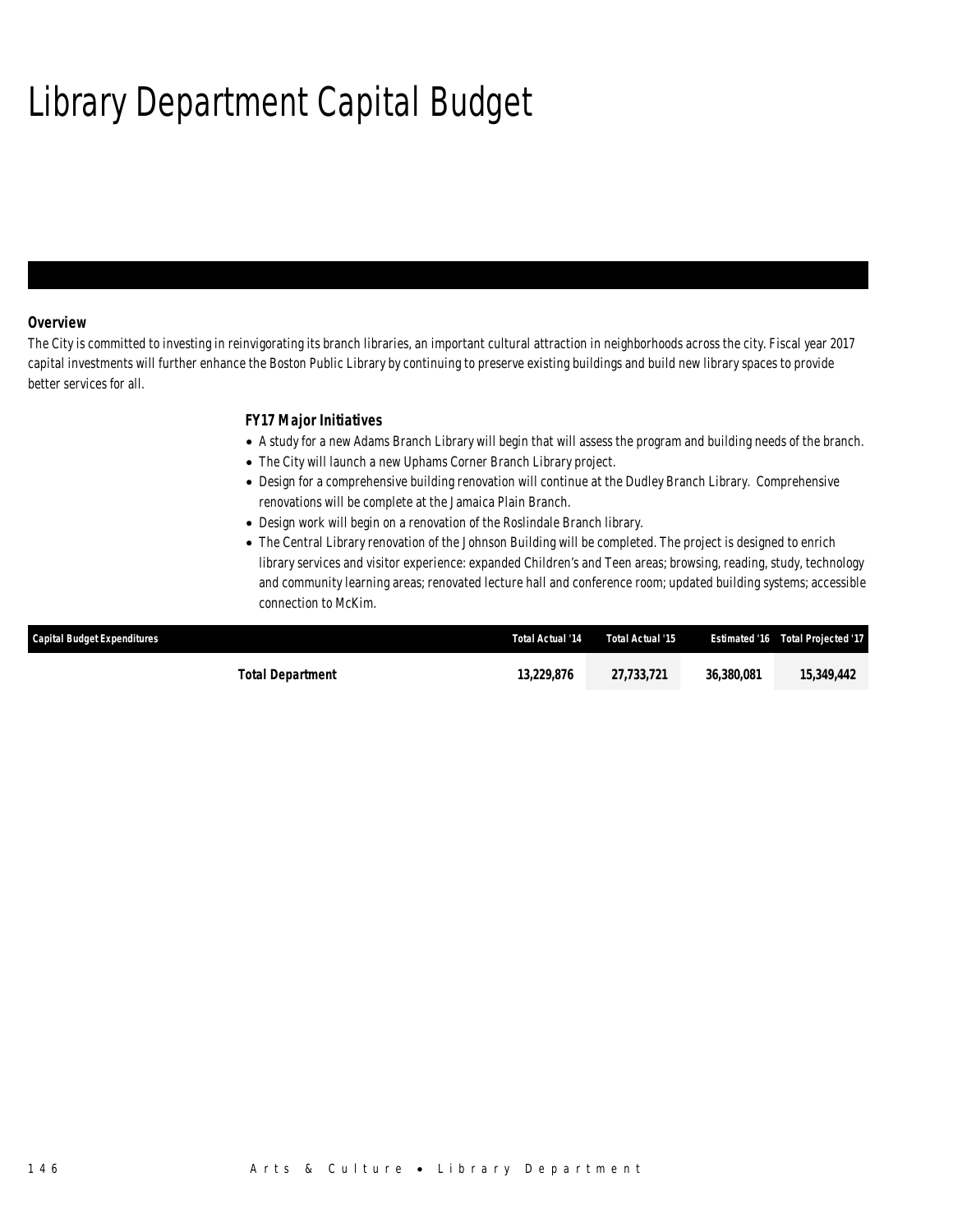## Library Department Capital Budget

### *Overview*

The City is committed to investing in reinvigorating its branch libraries, an important cultural attraction in neighborhoods across the city. Fiscal year 2017 capital investments will further enhance the Boston Public Library by continuing to preserve existing buildings and build new library spaces to provide better services for all.

### *FY17 Major Initiatives*

- A study for a new Adams Branch Library will begin that will assess the program and building needs of the branch.
- The City will launch a new Uphams Corner Branch Library project.
- Design for a comprehensive building renovation will continue at the Dudley Branch Library. Comprehensive renovations will be complete at the Jamaica Plain Branch.
- Design work will begin on a renovation of the Roslindale Branch library.
- The Central Library renovation of the Johnson Building will be completed. The project is designed to enrich library services and visitor experience: expanded Children's and Teen areas; browsing, reading, study, technology and community learning areas; renovated lecture hall and conference room; updated building systems; accessible connection to McKim.

| <b>Capital Budget Expenditures</b> | Total Actual '14 | Total Actual '15 |            | Estimated '16  Total Projected '17 |
|------------------------------------|------------------|------------------|------------|------------------------------------|
| <b>Total Department</b>            | 13,229,876       | 27,733,721       | 36.380.081 | 15,349,442                         |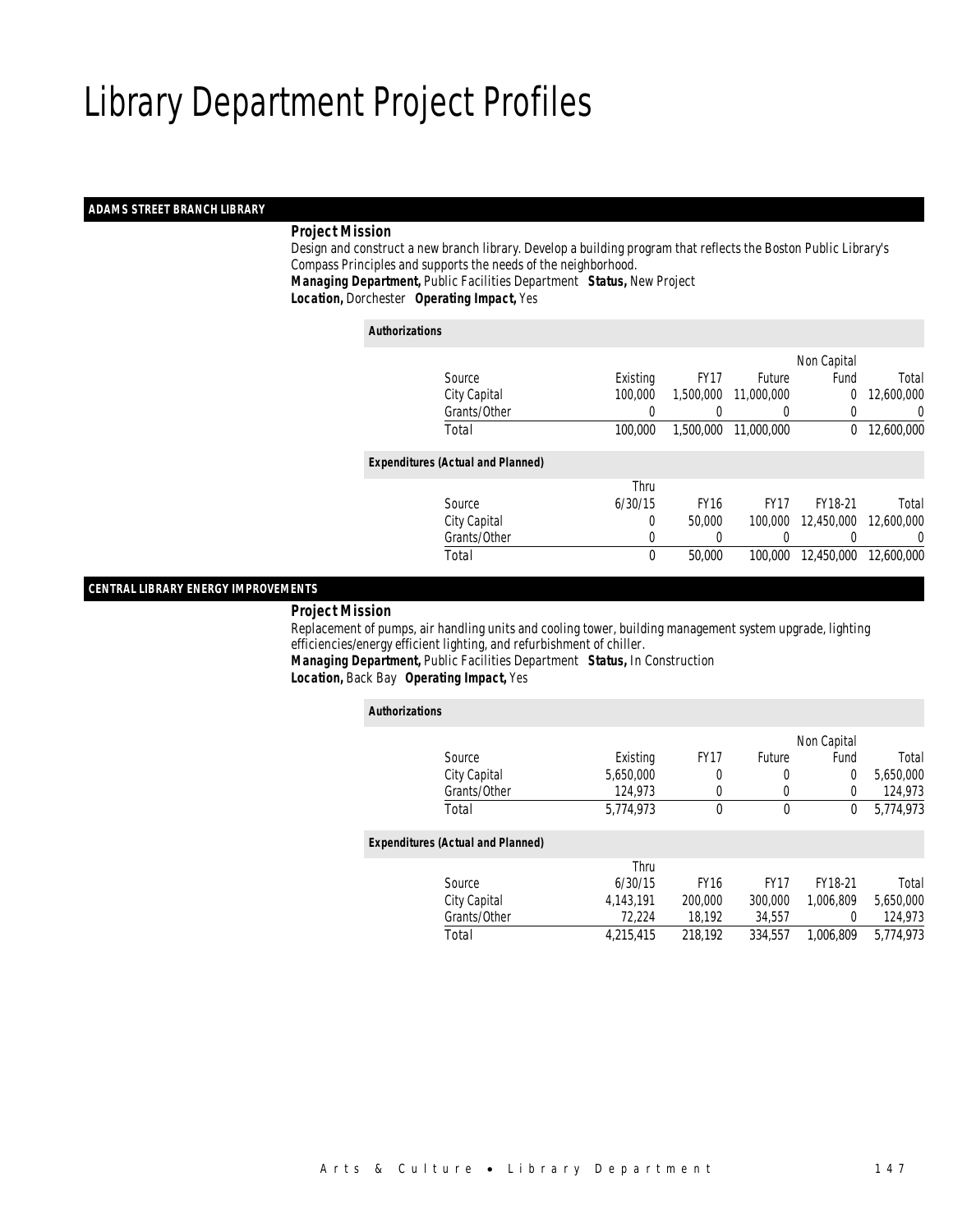#### *ADAMS STREET BRANCH LIBRARY*

### *Project Mission*

 Design and construct a new branch library. Develop a building program that reflects the Boston Public Library's Compass Principles and supports the needs of the neighborhood. *Managing Department,* Public Facilities Department *Status,* New Project*Location,* Dorchester *Operating Impact,* Yes

#### *Authorizations*

|                                          |          |             |                  | Non Capital |            |
|------------------------------------------|----------|-------------|------------------|-------------|------------|
| Source                                   | Existing | <b>FY17</b> | <b>Future</b>    | Fund        | Total      |
| City Capital                             | 100,000  | 1,500,000   | 11,000,000       | $\Omega$    | 12,600,000 |
| Grants/Other                             | 0        |             | $\left( \right)$ |             | 0          |
| Total                                    | 100,000  | 1,500,000   | 11,000,000       | $\Omega$    | 12,600,000 |
| <b>Expenditures (Actual and Planned)</b> |          |             |                  |             |            |
|                                          | Thru     |             |                  |             |            |
| Source                                   | 6/30/15  | <b>FY16</b> | <b>FY17</b>      | FY18-21     | Total      |
| City Capital                             | 0        | 50,000      | 100,000          | 12,450,000  | 12,600,000 |
| Grants/Other                             | 0        |             |                  |             | 0          |
| Total                                    | 0        | 50,000      | 100.000          | 12,450,000  | 12,600,000 |
|                                          |          |             |                  |             |            |

#### *CENTRAL LIBRARY ENERGY IMPROVEMENTS*

#### *Project Mission*

 Replacement of pumps, air handling units and cooling tower, building management system upgrade, lighting efficiencies/energy efficient lighting, and refurbishment of chiller.

*Managing Department,* Public Facilities Department *Status,* In Construction

*Location,* Back Bay *Operating Impact,* Yes

| <b>Authorizations</b> |                                          |           |             |             |             |           |
|-----------------------|------------------------------------------|-----------|-------------|-------------|-------------|-----------|
|                       |                                          |           |             |             | Non Capital |           |
|                       | Source                                   | Existing  | <b>FY17</b> | Future      | Fund        | Total     |
|                       | City Capital                             | 5,650,000 | 0           | 0           | 0           | 5,650,000 |
|                       | Grants/Other                             | 124,973   | 0           | 0           | 0           | 124,973   |
|                       | Total                                    | 5.774.973 | $\Omega$    | 0           | 0           | 5.774.973 |
|                       | <b>Expenditures (Actual and Planned)</b> |           |             |             |             |           |
|                       |                                          | Thru      |             |             |             |           |
|                       | Source                                   | 6/30/15   | <b>FY16</b> | <b>FY17</b> | FY18-21     | Total     |
|                       | City Capital                             | 4.143.191 | 200,000     | 300,000     | 1.006.809   | 5,650,000 |
|                       | Grants/Other                             | 72,224    | 18,192      | 34,557      | 0           | 124,973   |
|                       | Total                                    | 4.215.415 | 218.192     | 334.557     | 1.006.809   | 5.774.973 |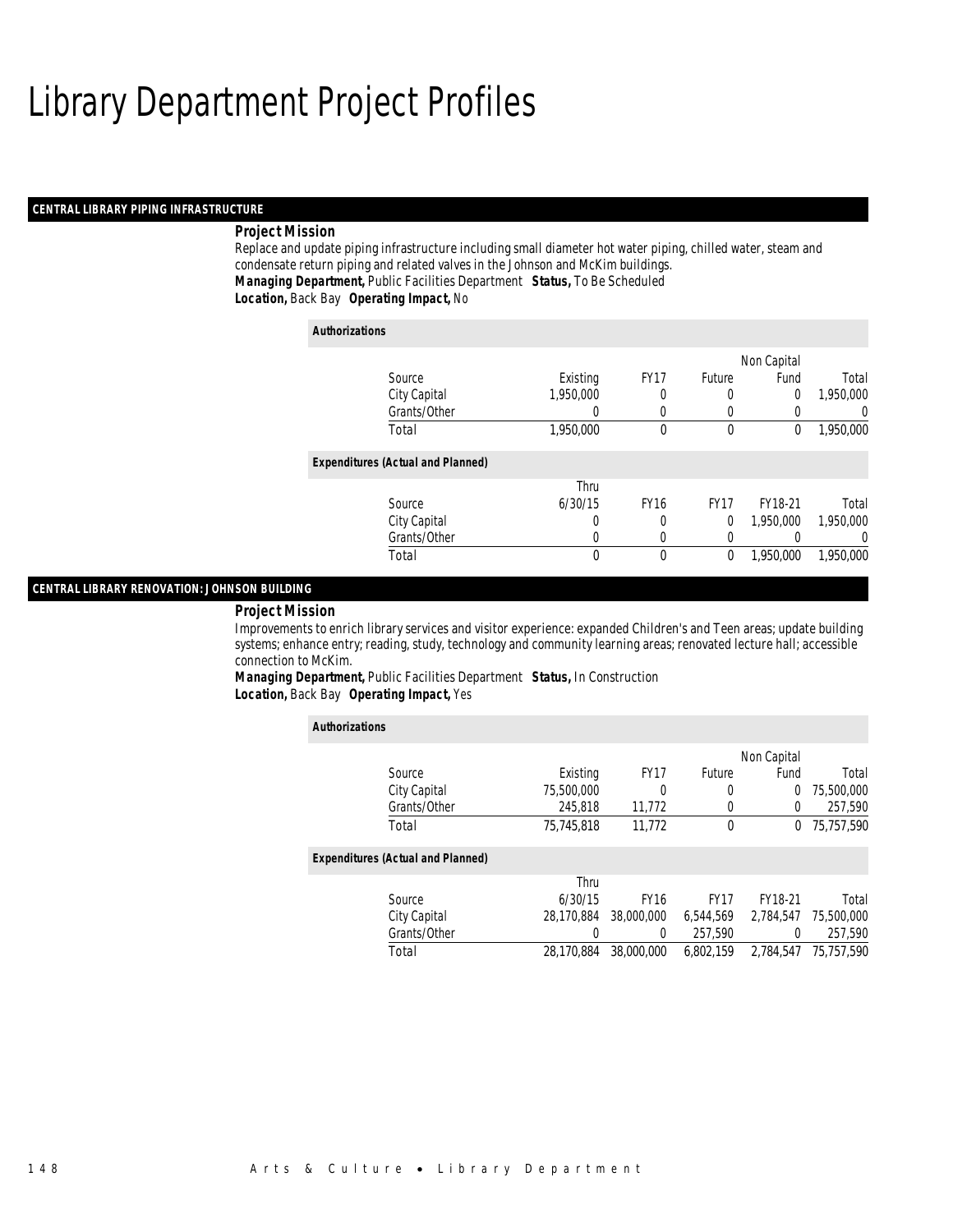#### *CENTRAL LIBRARY PIPING INFRASTRUCTURE*

#### *Project Mission*

Replace and update piping infrastructure including small diameter hot water piping, chilled water, steam and condensate return piping and related valves in the Johnson and McKim buildings. *Managing Department,* Public Facilities Department *Status,* To Be Scheduled*Location,* Back Bay *Operating Impact,* No

| <b>Authorizations</b>                    |           |             |             |             |           |
|------------------------------------------|-----------|-------------|-------------|-------------|-----------|
|                                          |           |             |             | Non Capital |           |
| Source                                   | Existing  | <b>FY17</b> | Future      | Fund        | Total     |
| City Capital                             | 1,950,000 | 0           | 0           | 0           | 1,950,000 |
| Grants/Other                             | 0         | 0           | 0           |             | 0         |
| Total                                    | 1,950,000 | 0           | 0           | 0           | 1,950,000 |
| <b>Expenditures (Actual and Planned)</b> |           |             |             |             |           |
|                                          | Thru      |             |             |             |           |
| Source                                   | 6/30/15   | <b>FY16</b> | <b>FY17</b> | FY18-21     | Total     |
| City Capital                             | 0         | 0           | 0           | 1.950.000   | 1,950,000 |
| Grants/Other                             | 0         | 0           | 0           |             | $\Omega$  |
| Total                                    | 0         | 0           | 0           | 1,950,000   | 1.950.000 |

#### *CENTRAL LIBRARY RENOVATION: JOHNSON BUILDING*

#### *Project Mission*

Improvements to enrich library services and visitor experience: expanded Children's and Teen areas; update building systems; enhance entry; reading, study, technology and community learning areas; renovated lecture hall; accessible connection to McKim.

*Managing Department,* Public Facilities Department *Status,* In Construction*Location,* Back Bay *Operating Impact,* Yes

| <b>Authorizations</b>                    |            |             |             |             |            |
|------------------------------------------|------------|-------------|-------------|-------------|------------|
|                                          |            |             |             | Non Capital |            |
| Source                                   | Existing   | <b>FY17</b> | Future      | Fund        | Total      |
| City Capital                             | 75.500.000 | 0           | 0           | 0           | 75,500,000 |
| Grants/Other                             | 245,818    | 11,772      | 0           | $\Omega$    | 257,590    |
| Total                                    | 75.745.818 | 11.772      | 0           | $^{0}$      | 75,757,590 |
| <b>Expenditures (Actual and Planned)</b> |            |             |             |             |            |
|                                          | Thru       |             |             |             |            |
| Source                                   | 6/30/15    | <b>FY16</b> | <b>FY17</b> | FY18-21     | Total      |
| City Capital                             | 28.170.884 | 38,000,000  | 6,544,569   | 2.784.547   | 75,500,000 |
| Grants/Other                             | 0          | 0           | 257.590     | 0           | 257,590    |
| Total                                    | 28.170.884 | 38,000,000  | 6.802.159   | 2.784.547   | 75,757,590 |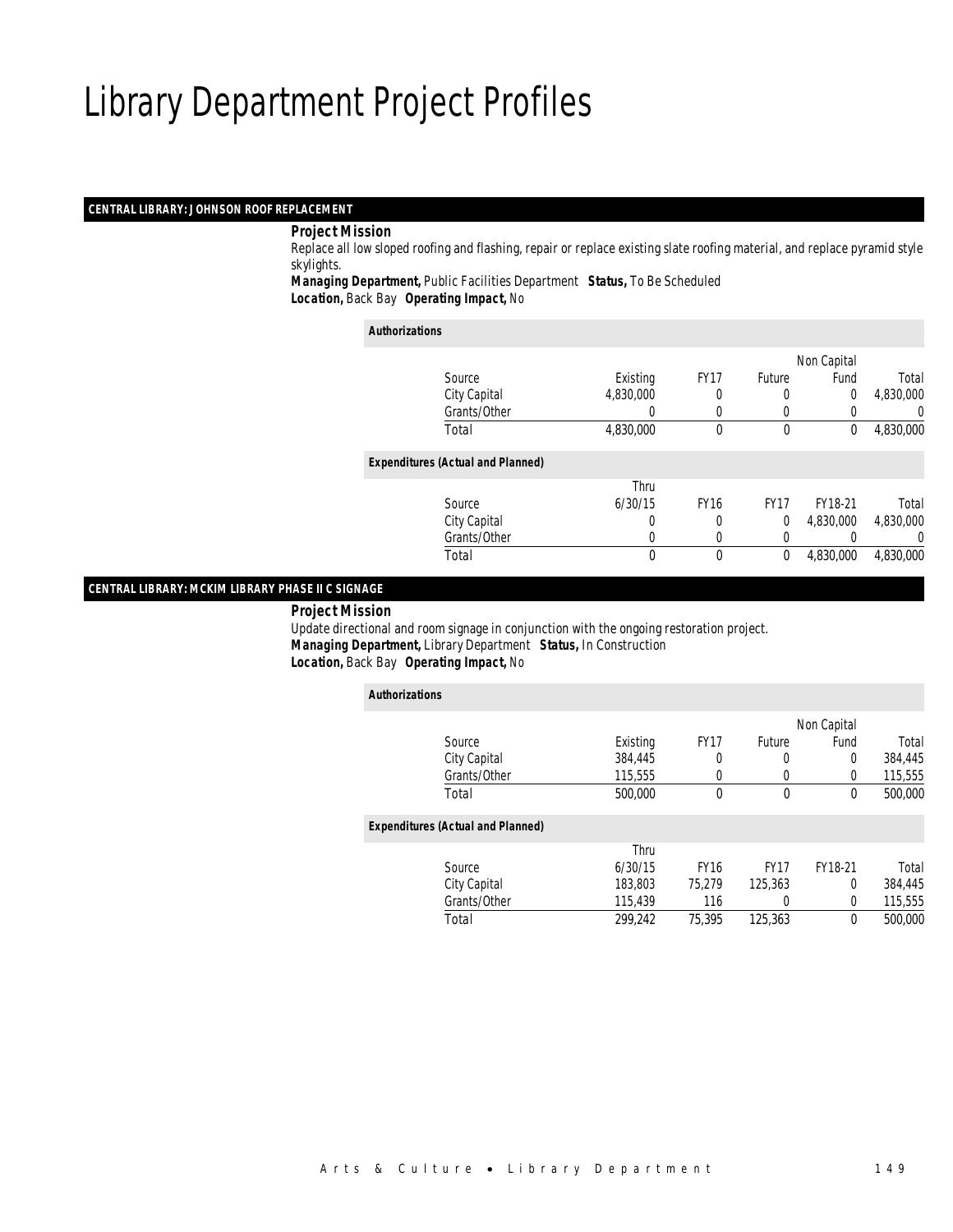#### *CENTRAL LIBRARY: JOHNSON ROOF REPLACEMENT*

#### *Project Mission*

 Replace all low sloped roofing and flashing, repair or replace existing slate roofing material, and replace pyramid style skylights.

*Managing Department,* Public Facilities Department *Status,* To Be Scheduled*Location,* Back Bay *Operating Impact,* No

#### *Authorizations*

|                                          |           |             |             | Non Capital |           |
|------------------------------------------|-----------|-------------|-------------|-------------|-----------|
| Source                                   | Existing  | <b>FY17</b> | Future      | Fund        | Total     |
| City Capital                             | 4,830,000 |             |             | 0           | 4,830,000 |
| Grants/Other                             |           |             |             |             | 0         |
| Total                                    | 4,830,000 | $\theta$    | $\mathbf 0$ | 0           | 4,830,000 |
| <b>Expenditures (Actual and Planned)</b> |           |             |             |             |           |
|                                          | Thru      |             |             |             |           |
| Source                                   | 6/30/15   | <b>FY16</b> | <b>FY17</b> | FY18-21     | Total     |
| City Capital                             | 0         | 0           | 0           | 4,830,000   | 4,830,000 |
| Grants/Other                             |           |             |             |             | 0         |
| Total                                    | 0         | $\theta$    | 0           | 4,830,000   | 4,830,000 |
|                                          |           |             |             |             |           |

### *CENTRAL LIBRARY: MCKIM LIBRARY PHASE II C SIGNAGE*

*Project Mission*

 Update directional and room signage in conjunction with the ongoing restoration project. *Managing Department,* Library Department *Status,* In Construction*Location,* Back Bay *Operating Impact,* No

| <b>Authorizations</b>                    |              |          |             |             |             |         |
|------------------------------------------|--------------|----------|-------------|-------------|-------------|---------|
|                                          |              |          |             |             | Non Capital |         |
| Source                                   |              | Existing | <b>FY17</b> | Future      | Fund        | Total   |
| City Capital                             |              | 384,445  | 0           | 0           | 0           | 384.445 |
|                                          | Grants/Other | 115,555  |             | 0           | 0           | 115,555 |
| Total                                    |              | 500,000  | $\theta$    | $\mathbf 0$ | $\theta$    | 500,000 |
| <b>Expenditures (Actual and Planned)</b> |              |          |             |             |             |         |
|                                          |              | Thru     |             |             |             |         |
| Source                                   |              | 6/30/15  | <b>FY16</b> | <b>FY17</b> | FY18-21     | Total   |
| City Capital                             |              | 183,803  | 75.279      | 125,363     | 0           | 384,445 |
|                                          | Grants/Other | 115,439  | 116         | 0           | 0           | 115,555 |
| Total                                    |              | 299.242  | 75,395      | 125,363     | 0           | 500,000 |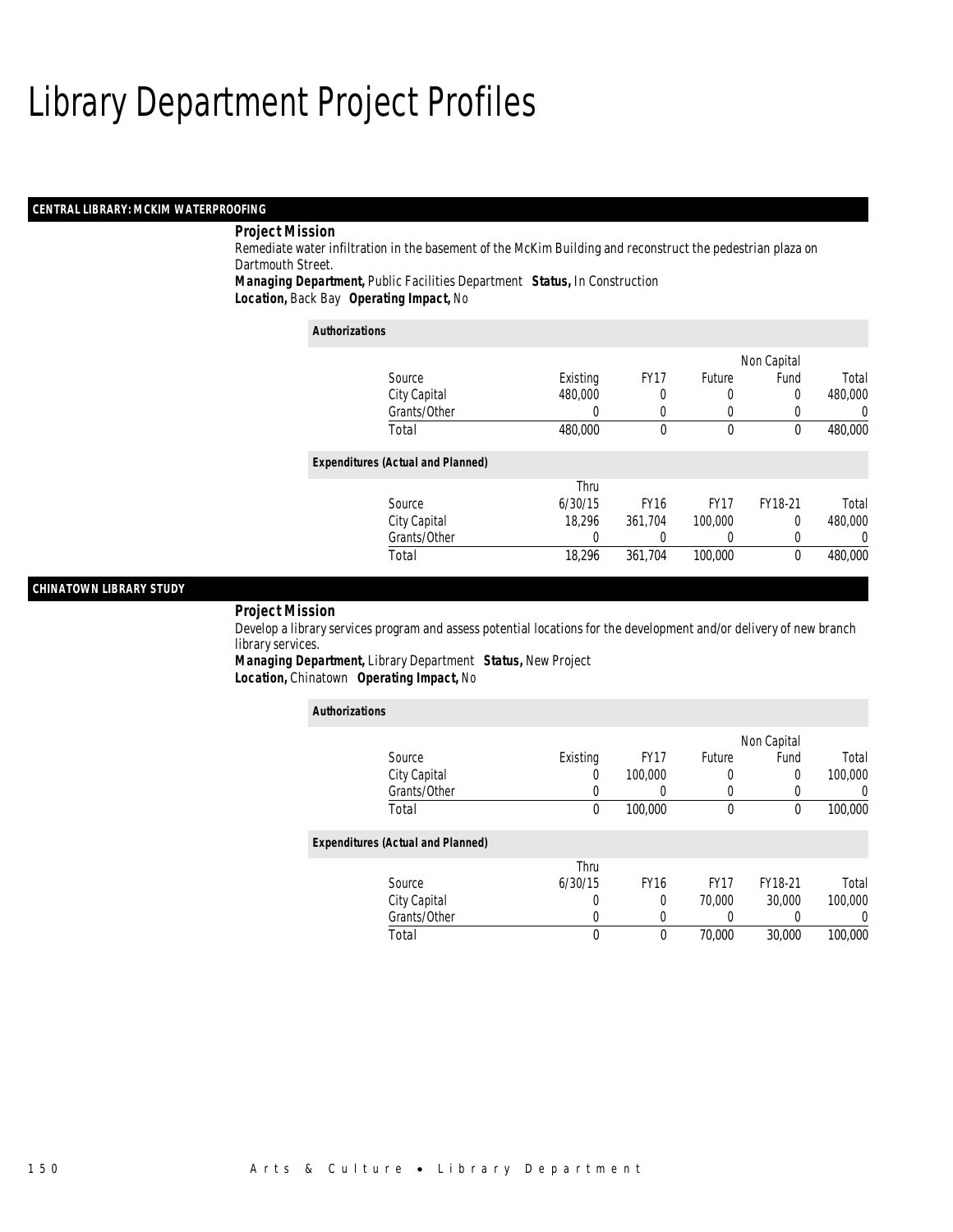#### *CENTRAL LIBRARY: MCKIM WATERPROOFING*

### *Project Mission*

Remediate water infiltration in the basement of the McKim Building and reconstruct the pedestrian plaza on Dartmouth Street.

*Managing Department,* Public Facilities Department *Status,* In Construction*Location,* Back Bay *Operating Impact,* No

| <b>Authorizations</b>                    |          |             |                  |             |         |
|------------------------------------------|----------|-------------|------------------|-------------|---------|
|                                          |          |             |                  | Non Capital |         |
| Source                                   | Existing | <b>FY17</b> | Future           | Fund        | Total   |
| City Capital                             | 480,000  | 0           | $\Omega$         | 0           | 480,000 |
| Grants/Other                             | 0        | 0           |                  | 0           | 0       |
| Total                                    | 480,000  | 0           | $\theta$         | 0           | 480,000 |
| <b>Expenditures (Actual and Planned)</b> |          |             |                  |             |         |
|                                          | Thru     |             |                  |             |         |
| Source                                   | 6/30/15  | <b>FY16</b> | FY <sub>17</sub> | FY18-21     | Total   |
| City Capital                             | 18.296   | 361,704     | 100,000          | $\Omega$    | 480,000 |
| Grants/Other                             | 0        | 0           |                  | 0           | 0       |
| Total                                    | 18.296   | 361.704     | 100,000          | 0           | 480,000 |

#### *CHINATOWN LIBRARY STUDY*

#### *Project Mission*

Develop a library services program and assess potential locations for the development and/or delivery of new branch library services.

*Managing Department,* Library Department *Status,* New Project*Location,* Chinatown *Operating Impact,* No

| <b>Authorizations</b>                    |          |             |                  |             |          |
|------------------------------------------|----------|-------------|------------------|-------------|----------|
|                                          |          |             |                  | Non Capital |          |
| Source                                   | Existing | <b>FY17</b> | Future           | Fund        | Total    |
| City Capital                             | 0        | 100,000     | 0                | 0           | 100,000  |
| Grants/Other                             | 0        |             | 0                |             | $\Omega$ |
| Total                                    | 0        | 100,000     | 0                | 0           | 100,000  |
| <b>Expenditures (Actual and Planned)</b> |          |             |                  |             |          |
|                                          | Thru     |             |                  |             |          |
| Source                                   | 6/30/15  | <b>FY16</b> | FY <sub>17</sub> | FY18-21     | Total    |
| City Capital                             | 0        | 0           | 70,000           | 30,000      | 100,000  |
| Grants/Other                             | 0        | 0           | 0                |             | $\Omega$ |
| Total                                    | 0        | 0           | 70,000           | 30,000      | 100,000  |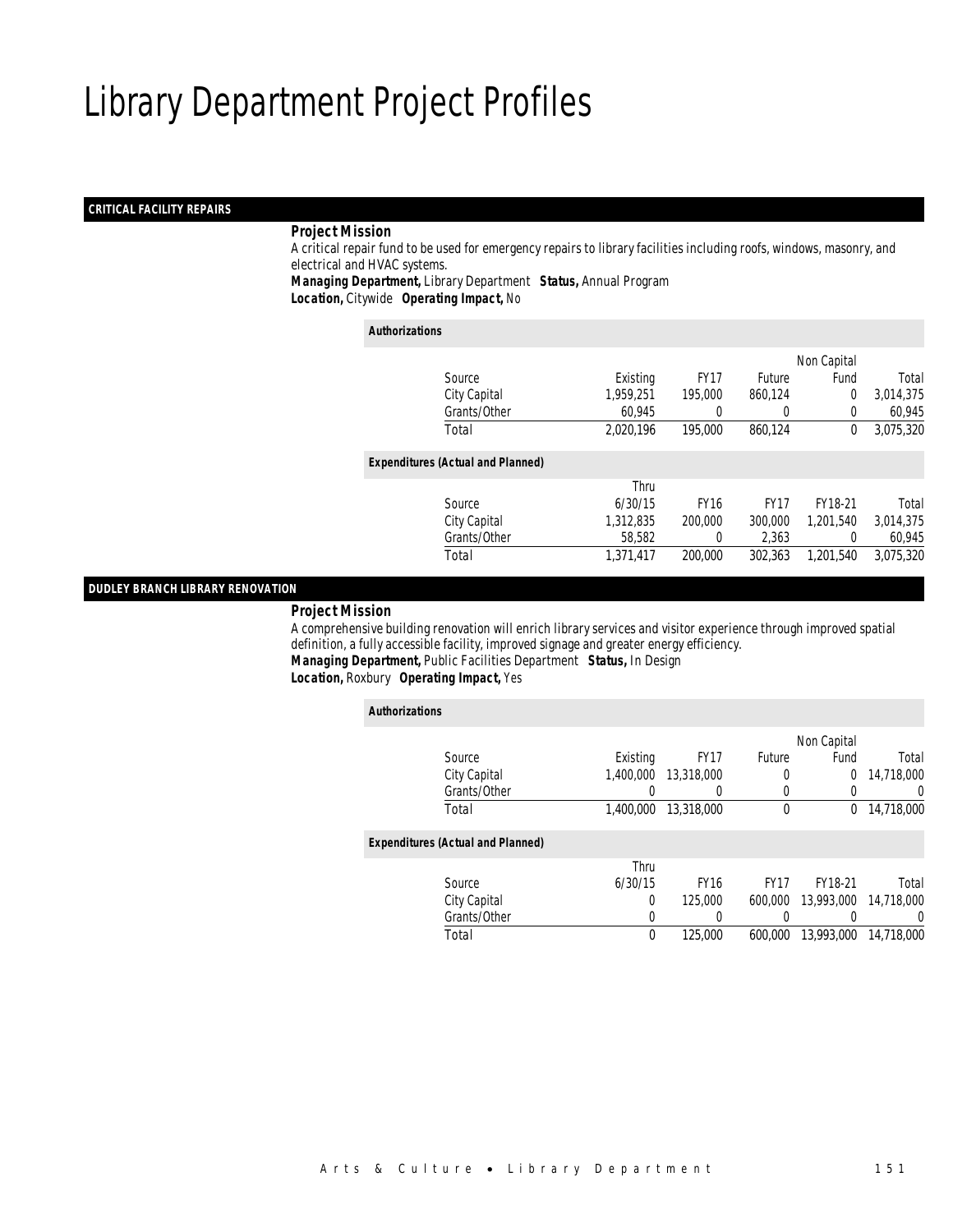### *CRITICAL FACILITY REPAIRS*

#### *Project Mission*

 A critical repair fund to be used for emergency repairs to library facilities including roofs, windows, masonry, and electrical and HVAC systems.

*Managing Department,* Library Department *Status,* Annual Program*Location,* Citywide *Operating Impact,* No

#### *Authorizations*

|                                          |           |             |               | Non Capital    |           |
|------------------------------------------|-----------|-------------|---------------|----------------|-----------|
| Source                                   | Existing  | <b>FY17</b> | <b>Future</b> | Fund           | Total     |
| City Capital                             | 1,959,251 | 195,000     | 860,124       | $\overline{0}$ | 3,014,375 |
| Grants/Other                             | 60,945    |             | $\left($      | $\Omega$       | 60.945    |
| Total                                    | 2,020,196 | 195,000     | 860,124       | 0              | 3,075,320 |
|                                          |           |             |               |                |           |
| <b>Expenditures (Actual and Planned)</b> |           |             |               |                |           |
|                                          | Thru      |             |               |                |           |
| Source                                   | 6/30/15   | <b>FY16</b> | <b>FY17</b>   | FY18-21        | Total     |
| City Capital                             | 1,312,835 | 200,000     | 300,000       | 1,201,540      | 3,014,375 |
| Grants/Other                             | 58,582    | 0           | 2,363         | $\Omega$       | 60,945    |
| Total                                    | 1,371,417 | 200,000     | 302.363       | 1,201,540      | 3,075,320 |
|                                          |           |             |               |                |           |

#### *DUDLEY BRANCH LIBRARY RENOVATION*

*Project Mission*

 A comprehensive building renovation will enrich library services and visitor experience through improved spatial definition, a fully accessible facility, improved signage and greater energy efficiency. *Managing Department,* Public Facilities Department *Status,* In Design*Location,* Roxbury *Operating Impact,* Yes

| <b>Authorizations</b>                    |           |                  |             |             |            |
|------------------------------------------|-----------|------------------|-------------|-------------|------------|
|                                          |           |                  |             | Non Capital |            |
| Source                                   | Existing  | <b>FY17</b>      | Future      | Fund        | Total      |
| City Capital                             | 1.400.000 | 13,318,000       | 0           | 0           | 14,718,000 |
| Grants/Other                             | 0         | $\left( \right)$ | $\left($    | 0           | 0          |
| Total                                    | 1,400,000 | 13,318,000       | $\mathbf 0$ | $\Omega$    | 14,718,000 |
| <b>Expenditures (Actual and Planned)</b> |           |                  |             |             |            |
|                                          | Thru      |                  |             |             |            |
| Source                                   | 6/30/15   | <b>FY16</b>      | <b>FY17</b> | FY18-21     | Total      |
| City Capital                             | 0         | 125,000          | 600,000     | 13,993,000  | 14,718,000 |
| Grants/Other                             | 0         |                  | 0           |             | 0          |
| Total                                    | 0         | 125,000          | 600.000     | 13,993,000  | 14,718,000 |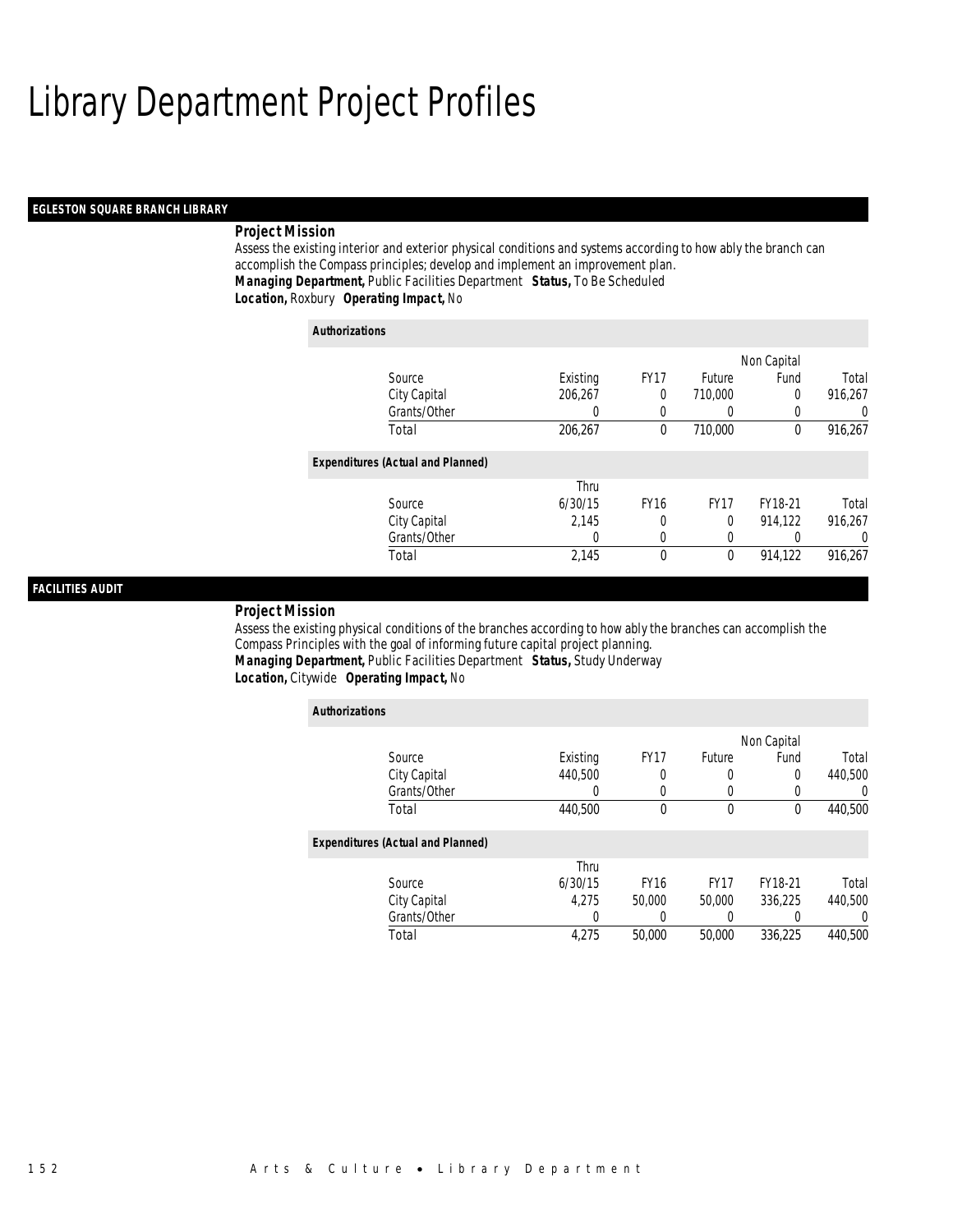#### *EGLESTON SQUARE BRANCH LIBRARY*

#### *Project Mission*

Assess the existing interior and exterior physical conditions and systems according to how ably the branch can accomplish the Compass principles; develop and implement an improvement plan. *Managing Department,* Public Facilities Department *Status,* To Be Scheduled*Location,* Roxbury *Operating Impact,* No

| <b>Authorizations</b>                    |          |             |                  |             |         |
|------------------------------------------|----------|-------------|------------------|-------------|---------|
|                                          |          |             |                  | Non Capital |         |
| Source                                   | Existing | <b>FY17</b> | Future           | Fund        | Total   |
| City Capital                             | 206.267  | 0           | 710,000          | $\Omega$    | 916,267 |
| Grants/Other                             | 0        | 0           | $\left( \right)$ |             | 0       |
| Total                                    | 206,267  | $\theta$    | 710,000          | $\Omega$    | 916,267 |
| <b>Expenditures (Actual and Planned)</b> |          |             |                  |             |         |
|                                          | Thru     |             |                  |             |         |
| Source                                   | 6/30/15  | <b>FY16</b> | <b>FY17</b>      | FY18-21     | Total   |
| City Capital                             | 2.145    | 0           | $\theta$         | 914.122     | 916.267 |
| Grants/Other                             | 0        | $\Omega$    | 0                |             |         |
| Total                                    | 2,145    | 0           | 0                | 914,122     | 916,267 |

#### *FACILITIES AUDIT*

#### *Project Mission*

Assess the existing physical conditions of the branches according to how ably the branches can accomplish the Compass Principles with the goal of informing future capital project planning. *Managing Department,* Public Facilities Department *Status,* Study Underway*Location,* Citywide *Operating Impact,* No

| <b>Authorizations</b>                    |          |             |             |             |                  |
|------------------------------------------|----------|-------------|-------------|-------------|------------------|
|                                          |          |             |             | Non Capital |                  |
| Source                                   | Existing | <b>FY17</b> | Future      | Fund        | Total            |
| City Capital                             | 440.500  | 0           | 0           | $\Omega$    | 440,500          |
| Grants/Other                             | 0        | 0           |             | $\Omega$    | $\left( \right)$ |
| Total                                    | 440.500  | 0           | $\mathbf 0$ | $\theta$    | 440,500          |
| <b>Expenditures (Actual and Planned)</b> |          |             |             |             |                  |
|                                          | Thru     |             |             |             |                  |
| Source                                   | 6/30/15  | <b>FY16</b> | <b>FY17</b> | FY18-21     | Total            |
| City Capital                             | 4.275    | 50,000      | 50,000      | 336.225     | 440,500          |
| Grants/Other                             | 0        |             |             |             | 0                |
| Total                                    | 4,275    | 50,000      | 50,000      | 336.225     | 440,500          |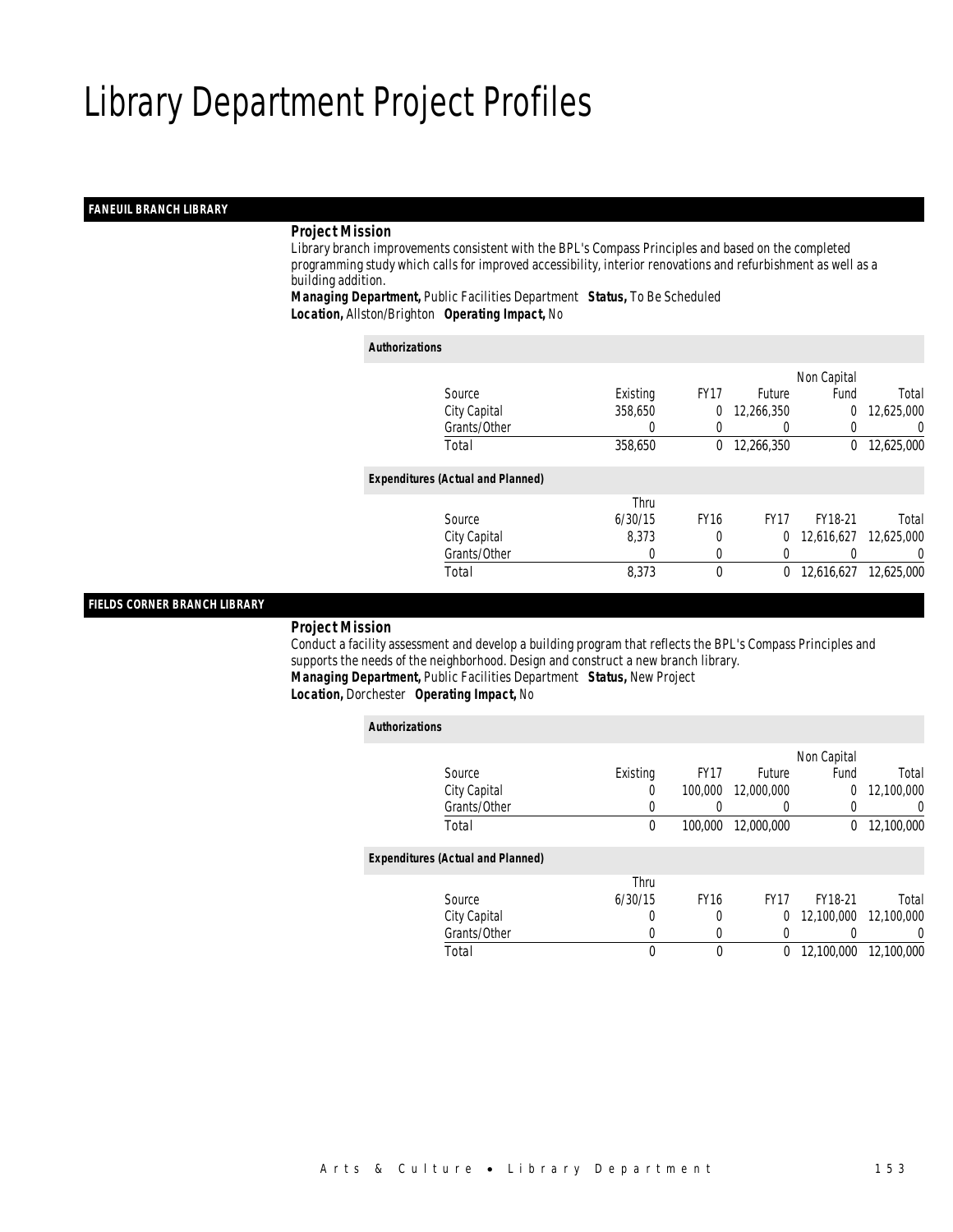#### *FANEUIL BRANCH LIBRARY*

#### *Project Mission*

 Library branch improvements consistent with the BPL's Compass Principles and based on the completed programming study which calls for improved accessibility, interior renovations and refurbishment as well as a building addition.

*Managing Department,* Public Facilities Department *Status,* To Be Scheduled*Location,* Allston/Brighton *Operating Impact,* No

| <b>Authorizations</b>                    |          |             |             |             |            |
|------------------------------------------|----------|-------------|-------------|-------------|------------|
|                                          |          |             |             | Non Capital |            |
| Source                                   | Existing | <b>FY17</b> | Future      | Fund        | Total      |
| City Capital                             | 358,650  | 0           | 12,266,350  | 0           | 12,625,000 |
| Grants/Other                             | 0        |             | 0           |             | $\Omega$   |
| Total                                    | 358,650  | 0           | 12,266,350  | $^{0}$      | 12,625,000 |
| <b>Expenditures (Actual and Planned)</b> |          |             |             |             |            |
|                                          | Thru     |             |             |             |            |
| Source                                   | 6/30/15  | <b>FY16</b> | <b>FY17</b> | FY18-21     | Total      |
| City Capital                             | 8.373    | 0           | $\Omega$    | 12,616,627  | 12.625.000 |
| Grants/Other                             | 0        | 0           | 0           |             | $\Omega$   |
| Total                                    | 8,373    | 0           | 0           | 12,616,627  | 12.625.000 |

#### *FIELDS CORNER BRANCH LIBRARY*

#### *Project Mission*

 Conduct a facility assessment and develop a building program that reflects the BPL's Compass Principles and supports the needs of the neighborhood. Design and construct a new branch library. *Managing Department,* Public Facilities Department *Status,* New Project

*Location,* Dorchester *Operating Impact,* No

| <b>Authorizations</b> |                                          |          |             |             |             |                  |
|-----------------------|------------------------------------------|----------|-------------|-------------|-------------|------------------|
|                       |                                          |          |             |             | Non Capital |                  |
|                       | Source                                   | Existing | <b>FY17</b> | Future      | Fund        | Total            |
|                       | City Capital                             | 0        | 100,000     | 12,000,000  | 0           | 12,100,000       |
|                       | Grants/Other                             | $\Omega$ | 0           | 0           | 0           | $\left( \right)$ |
|                       | Total                                    | 0        | 100,000     | 12,000,000  | $\Omega$    | 12,100,000       |
|                       | <b>Expenditures (Actual and Planned)</b> |          |             |             |             |                  |
|                       |                                          | Thru     |             |             |             |                  |
|                       | Source                                   | 6/30/15  | <b>FY16</b> | <b>FY17</b> | FY18-21     | Total            |
|                       | City Capital                             | 0        | 0           | 0           | 12,100,000  | 12,100,000       |
|                       | Grants/Other                             | 0        | 0           | 0           |             | 0                |
|                       | Total                                    | 0        | $\theta$    | $\Omega$    | 12,100,000  | 12,100,000       |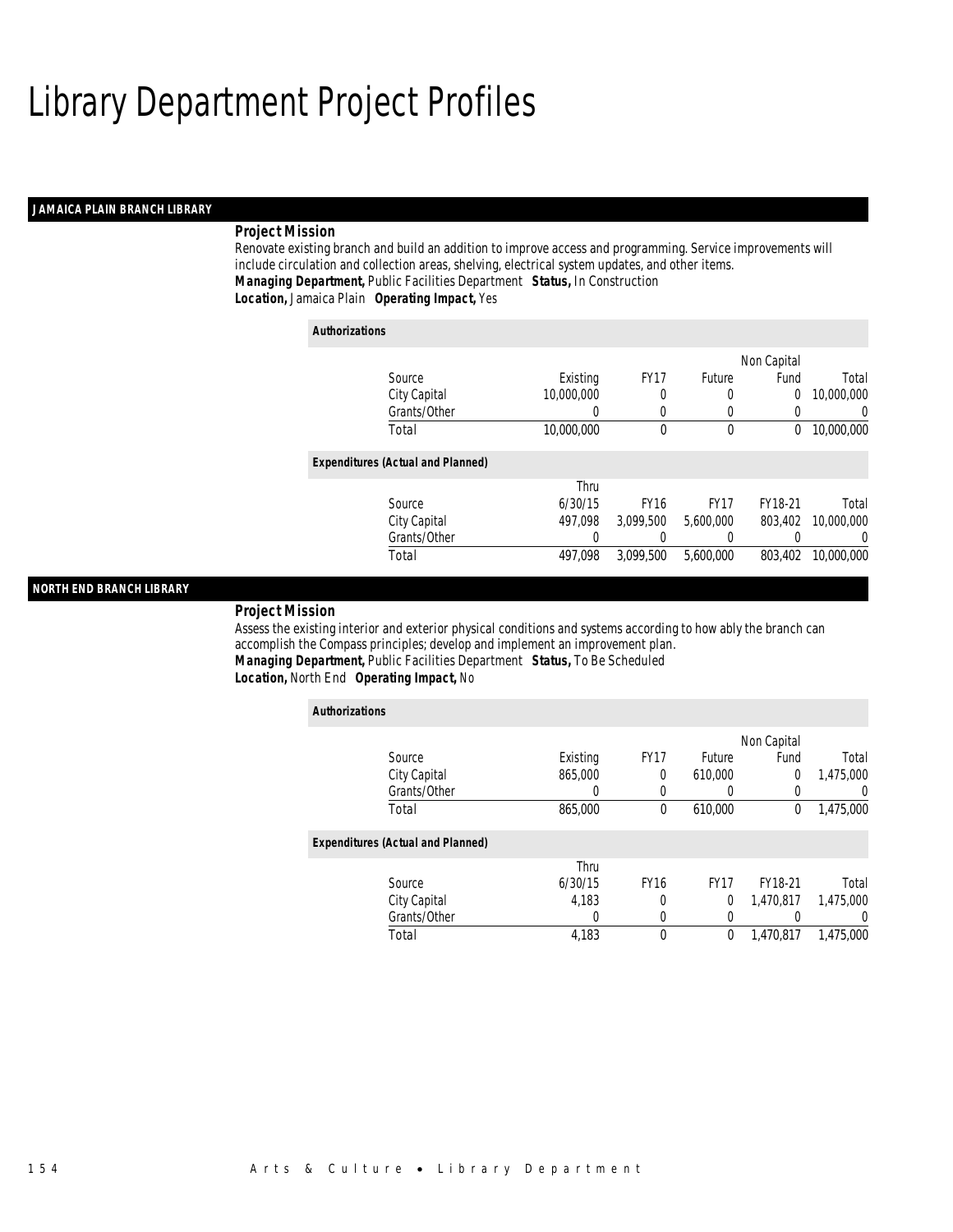#### *JAMAICA PLAIN BRANCH LIBRARY*

#### *Project Mission*

Renovate existing branch and build an addition to improve access and programming. Service improvements will include circulation and collection areas, shelving, electrical system updates, and other items. *Managing Department,* Public Facilities Department *Status,* In Construction*Location,* Jamaica Plain *Operating Impact,* Yes

| <b>Authorizations</b>                    |            |             |             |             |            |
|------------------------------------------|------------|-------------|-------------|-------------|------------|
|                                          |            |             |             | Non Capital |            |
| Source                                   | Existing   | <b>FY17</b> | Future      | Fund        | Total      |
| City Capital                             | 10,000,000 | 0           | 0           | 0           | 10,000,000 |
| Grants/Other                             |            | $\left($    | 0           |             | $\Omega$   |
| Total                                    | 10,000,000 | 0           | 0           | 0           | 10,000,000 |
| <b>Expenditures (Actual and Planned)</b> |            |             |             |             |            |
|                                          | Thru       |             |             |             |            |
| Source                                   | 6/30/15    | <b>FY16</b> | <b>FY17</b> | FY18-21     | Total      |
| City Capital                             | 497.098    | 3.099.500   | 5.600.000   | 803,402     | 10,000,000 |
| Grants/Other                             | 0          |             | 0           |             | $\Omega$   |
| Total                                    | 497.098    | 3.099.500   | 5.600.000   | 803.402     | 10,000,000 |

#### *NORTH END BRANCH LIBRARY*

#### *Project Mission*

Assess the existing interior and exterior physical conditions and systems according to how ably the branch can accomplish the Compass principles; develop and implement an improvement plan. *Managing Department,* Public Facilities Department *Status,* To Be Scheduled*Location,* North End *Operating Impact,* No

| <b>Authorizations</b>                    |          |             |             |             |                  |
|------------------------------------------|----------|-------------|-------------|-------------|------------------|
|                                          |          |             |             | Non Capital |                  |
| Source                                   | Existing | <b>FY17</b> | Future      | Fund        | Total            |
| City Capital                             | 865,000  | $\theta$    | 610,000     | 0           | 1,475,000        |
| Grants/Other                             | 0        | $\left($    |             | $\Omega$    | $\left( \right)$ |
| Total                                    | 865,000  | 0           | 610,000     | 0           | 1,475,000        |
| <b>Expenditures (Actual and Planned)</b> |          |             |             |             |                  |
|                                          | Thru     |             |             |             |                  |
| Source                                   | 6/30/15  | <b>FY16</b> | <b>FY17</b> | FY18-21     | Total            |
| City Capital                             | 4,183    | 0           | $\Omega$    | 1.470.817   | 1,475,000        |
| Grants/Other                             | 0        | 0           |             |             | 0                |
| Total                                    | 4,183    | $\theta$    | 0           | 1.470.817   | 1.475.000        |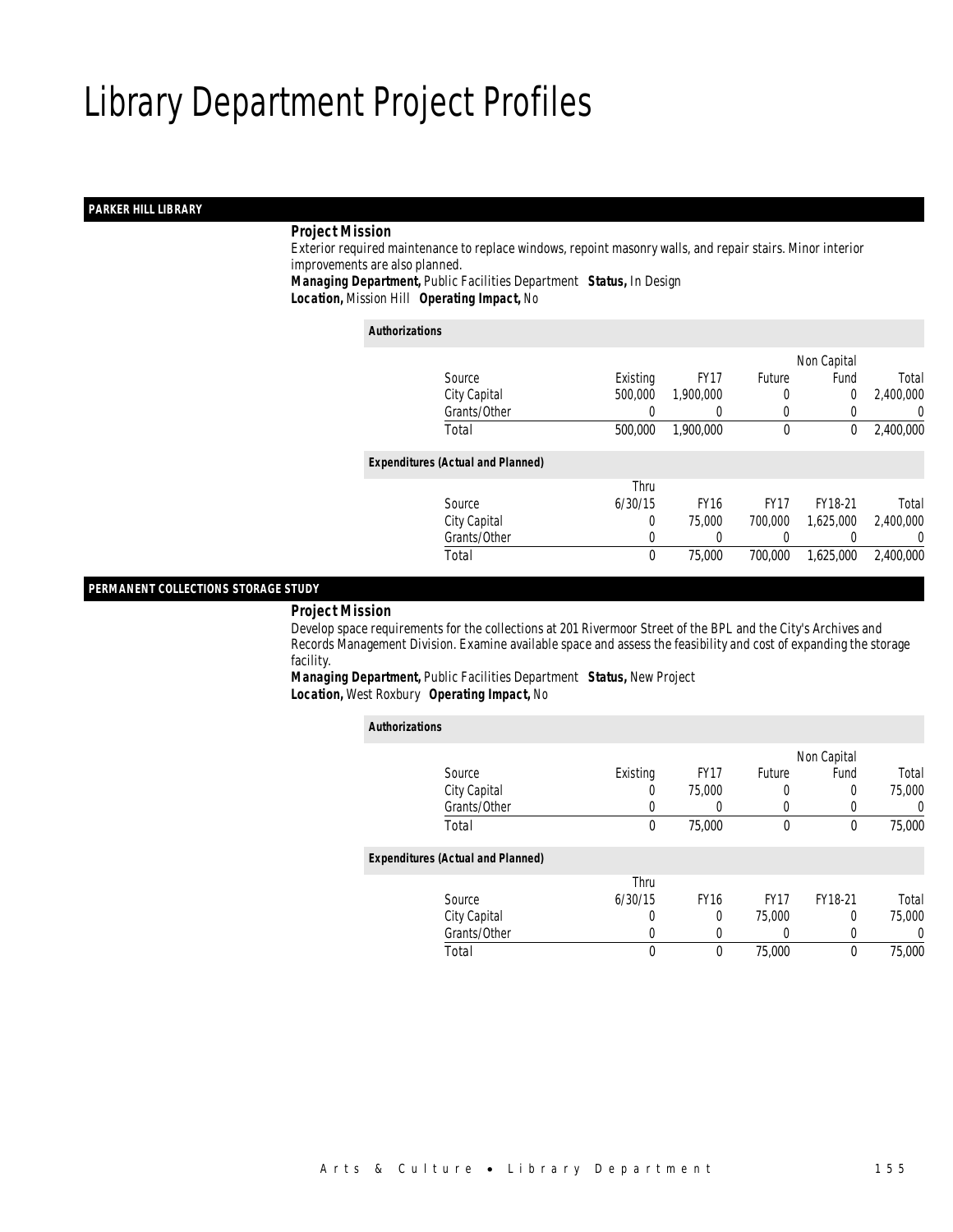#### *PARKER HILL LIBRARY*

#### *Project Mission*

 Exterior required maintenance to replace windows, repoint masonry walls, and repair stairs. Minor interior improvements are also planned. *Managing Department,* Public Facilities Department *Status,* In Design

*Location,* Mission Hill *Operating Impact,* No

#### *Authorizations*

|                                          |          |             |             | Non Capital |           |
|------------------------------------------|----------|-------------|-------------|-------------|-----------|
| Source                                   | Existing | <b>FY17</b> | Future      | Fund        | Total     |
| City Capital                             | 500,000  | 1,900,000   | 0           | $\Omega$    | 2,400,000 |
| Grants/Other                             |          |             | 0           |             | $\left($  |
| Total                                    | 500,000  | 1,900,000   | $\theta$    | 0           | 2,400,000 |
| <b>Expenditures (Actual and Planned)</b> |          |             |             |             |           |
|                                          | Thru     |             |             |             |           |
| Source                                   | 6/30/15  | <b>FY16</b> | <b>FY17</b> | FY18-21     | Total     |
| City Capital                             | 0        | 75,000      | 700,000     | 1,625,000   | 2,400,000 |
| Grants/Other                             | 0        |             |             |             | $\left($  |
| Total                                    | $\theta$ | 75,000      | 700,000     | 1,625,000   | 2,400,000 |

#### *PERMANENT COLLECTIONS STORAGE STUDY*

#### *Project Mission*

 Develop space requirements for the collections at 201 Rivermoor Street of the BPL and the City's Archives and Records Management Division. Examine available space and assess the feasibility and cost of expanding the storage facility.

*Managing Department,* Public Facilities Department *Status,* New Project*Location,* West Roxbury *Operating Impact,* No

| <b>Authorizations</b>                    |          |                  |                  |             |        |
|------------------------------------------|----------|------------------|------------------|-------------|--------|
|                                          |          |                  |                  | Non Capital |        |
| Source                                   | Existing | FY <sub>17</sub> | Future           | Fund        | Total  |
| City Capital                             | 0        | 75,000           | 0                | 0           | 75,000 |
| Grants/Other                             | 0        | 0                | 0                | 0           | 0      |
| Total                                    | 0        | 75,000           | $\mathbf 0$      | 0           | 75,000 |
| <b>Expenditures (Actual and Planned)</b> |          |                  |                  |             |        |
|                                          | Thru     |                  |                  |             |        |
| Source                                   | 6/30/15  | <b>FY16</b>      | FY <sub>17</sub> | FY18-21     | Total  |
| City Capital                             | 0        | 0                | 75,000           | 0           | 75,000 |
| Grants/Other                             | 0        | 0                | 0                | 0           | 0      |
| Total                                    | 0        | 0                | 75,000           | 0           | 75,000 |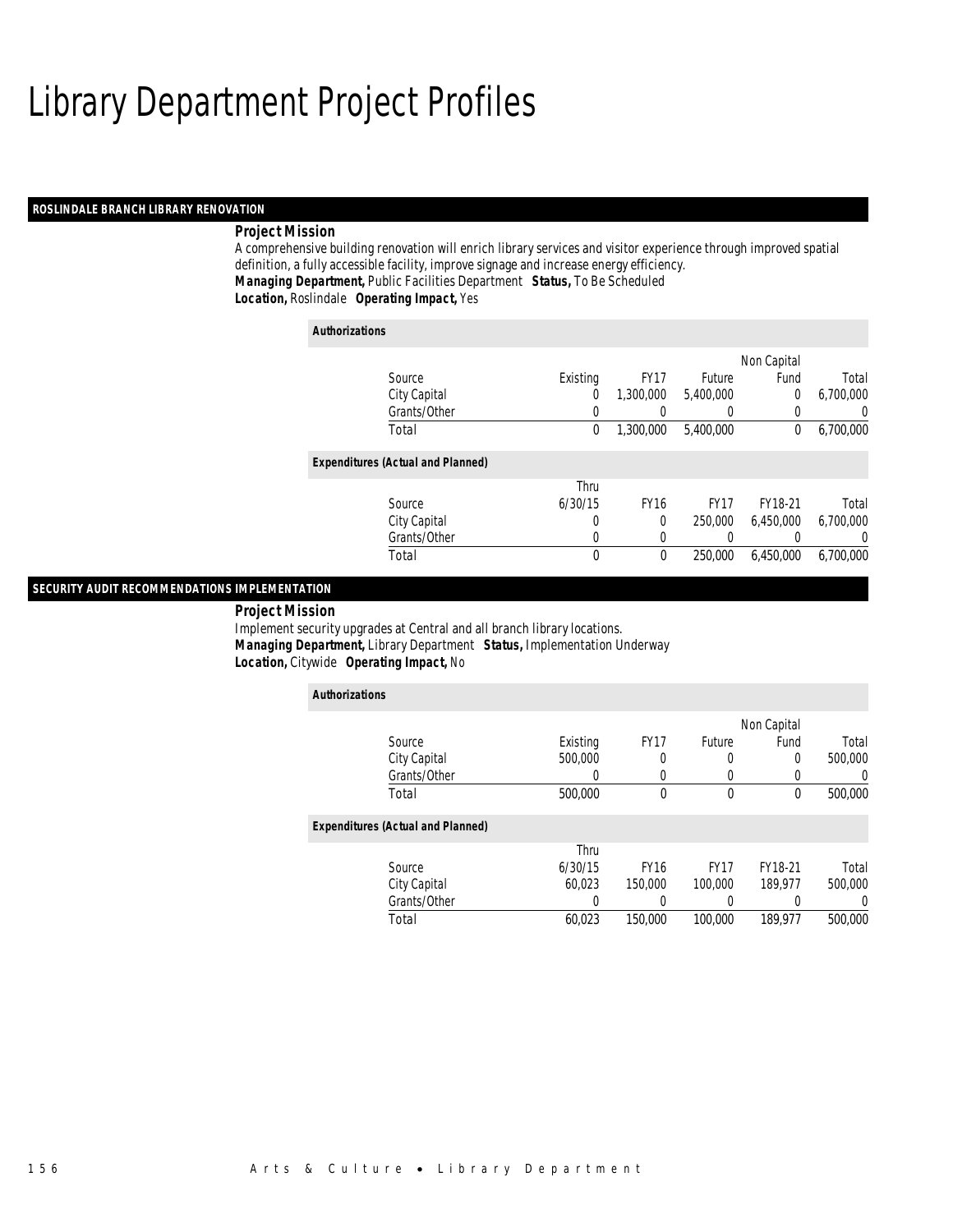#### *ROSLINDALE BRANCH LIBRARY RENOVATION*

#### *Project Mission*

A comprehensive building renovation will enrich library services and visitor experience through improved spatial definition, a fully accessible facility, improve signage and increase energy efficiency. *Managing Department,* Public Facilities Department *Status,* To Be Scheduled*Location,* Roslindale *Operating Impact,* Yes

| <b>Authorizations</b>                    |          |      |             |             |             |           |
|------------------------------------------|----------|------|-------------|-------------|-------------|-----------|
|                                          |          |      |             |             | Non Capital |           |
| Source                                   | Existing |      | <b>FY17</b> | Future      | Fund        | Total     |
| City Capital                             |          | 0    | 1,300,000   | 5.400.000   | $\Omega$    | 6,700,000 |
| Grants/Other                             |          | 0    |             | 0           |             | $\Omega$  |
| Total                                    |          | 0    | 1.300.000   | 5,400,000   | $\bf{0}$    | 6,700,000 |
| <b>Expenditures (Actual and Planned)</b> |          |      |             |             |             |           |
|                                          |          | Thru |             |             |             |           |
| Source                                   | 6/30/15  |      | <b>FY16</b> | <b>FY17</b> | FY18-21     | Total     |
| City Capital                             |          | 0    | 0           | 250,000     | 6.450.000   | 6.700.000 |
| Grants/Other                             |          | 0    | 0           | 0           |             | $\Omega$  |
| Total                                    |          | 0    | 0           | 250,000     | 6.450.000   | 6.700.000 |

#### *SECURITY AUDIT RECOMMENDATIONS IMPLEMENTATION*

#### *Project Mission*

Implement security upgrades at Central and all branch library locations. *Managing Department,* Library Department *Status,* Implementation Underway*Location,* Citywide *Operating Impact,* No

| <b>Authorizations</b>                    |          |             |             |             |                  |
|------------------------------------------|----------|-------------|-------------|-------------|------------------|
|                                          |          |             |             | Non Capital |                  |
| Source                                   | Existing | <b>FY17</b> | Future      | Fund        | Total            |
| City Capital                             | 500,000  | 0           |             | $\Omega$    | 500,000          |
| Grants/Other                             | 0        | 0           |             |             | 0                |
| Total                                    | 500,000  | 0           | 0           | 0           | 500,000          |
| <b>Expenditures (Actual and Planned)</b> |          |             |             |             |                  |
|                                          | Thru     |             |             |             |                  |
| Source                                   | 6/30/15  | <b>FY16</b> | <b>FY17</b> | FY18-21     | Total            |
| City Capital                             | 60.023   | 150,000     | 100,000     | 189.977     | 500,000          |
| Grants/Other                             | 0        |             |             |             | $\left( \right)$ |
| Total                                    | 60.023   | 150,000     | 100,000     | 189.977     | 500,000          |